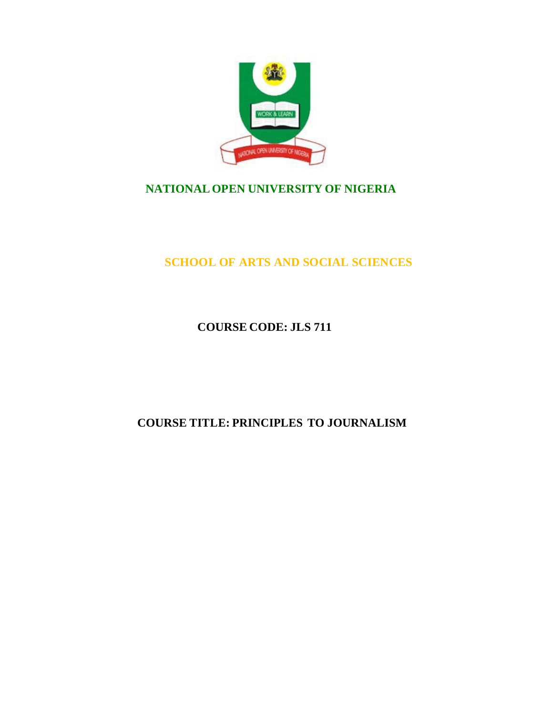

# **NATIONAL OPEN UNIVERSITY OF NIGERIA**

# **SCHOOL OF ARTS AND SOCIAL SCIENCES**

**COURSE CODE: JLS 711**

**COURSE TITLE: PRINCIPLES TO JOURNALISM**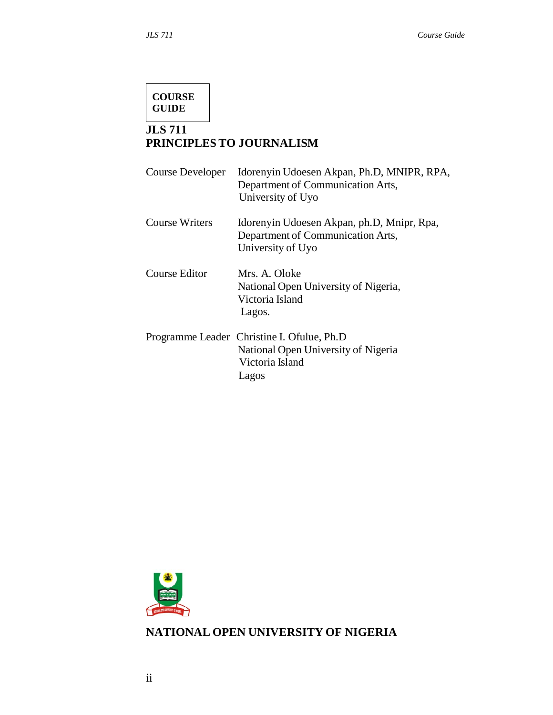# **COURSE GUIDE**

## **JLS 711 PRINCIPLES TO JOURNALISM**

| Course Developer | Idorenyin Udoesen Akpan, Ph.D, MNIPR, RPA,<br>Department of Communication Arts,<br>University of Uyo          |
|------------------|---------------------------------------------------------------------------------------------------------------|
| Course Writers   | Idorenyin Udoesen Akpan, ph.D, Mnipr, Rpa,<br>Department of Communication Arts,<br>University of Uyo          |
| Course Editor    | Mrs. A. Oloke<br>National Open University of Nigeria,<br>Victoria Island<br>Lagos.                            |
|                  | Programme Leader Christine I. Ofulue, Ph.D<br>National Open University of Nigeria<br>Victoria Island<br>Lagos |



## **NATIONAL OPEN UNIVERSITY OF NIGERIA**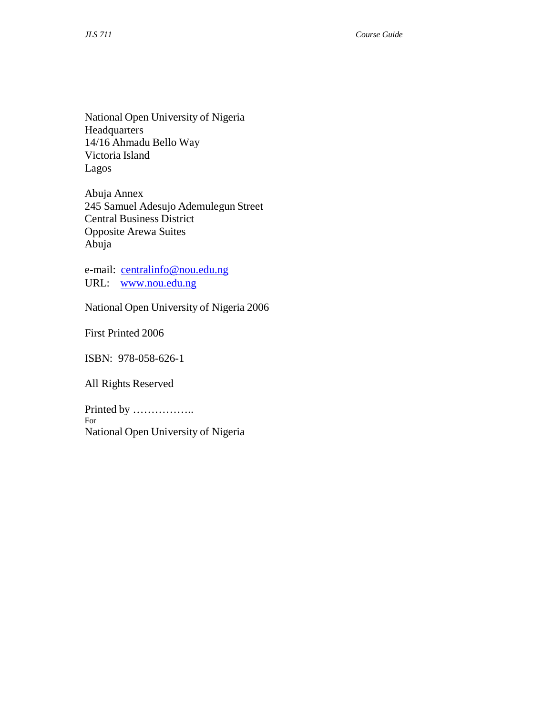National Open University of Nigeria Headquarters 14/16 Ahmadu Bello Way Victoria Island Lagos

Abuja Annex 245 Samuel Adesujo Ademulegun Street Central Business District Opposite Arewa Suites Abuja

e-mail: centralinfo@nou.edu.ng URL: www.nou.edu.ng

National Open University of Nigeria 2006

First Printed 2006

ISBN: 978-058-626-1

All Rights Reserved

Printed by …………….. For National Open University of Nigeria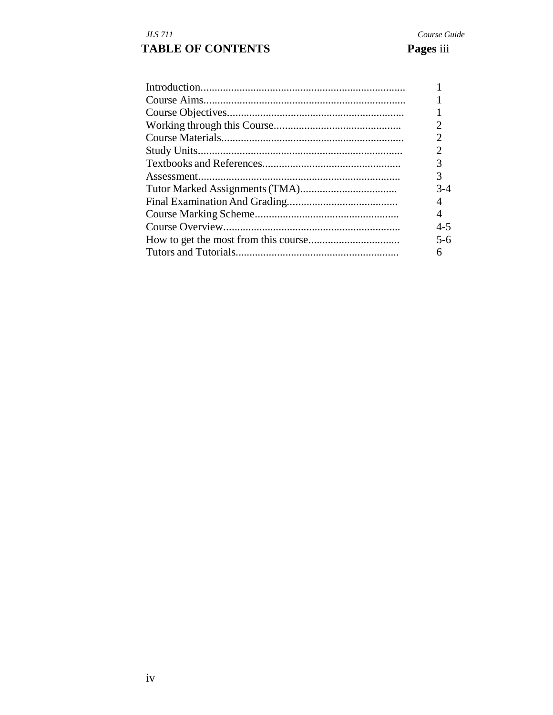#### Course Guide

# **TABLE OF CONTENTS**

Pages iii

| ∍       |
|---------|
|         |
|         |
| $3-4$   |
|         |
| 4       |
| $4 - 5$ |
| 5-6     |
|         |
|         |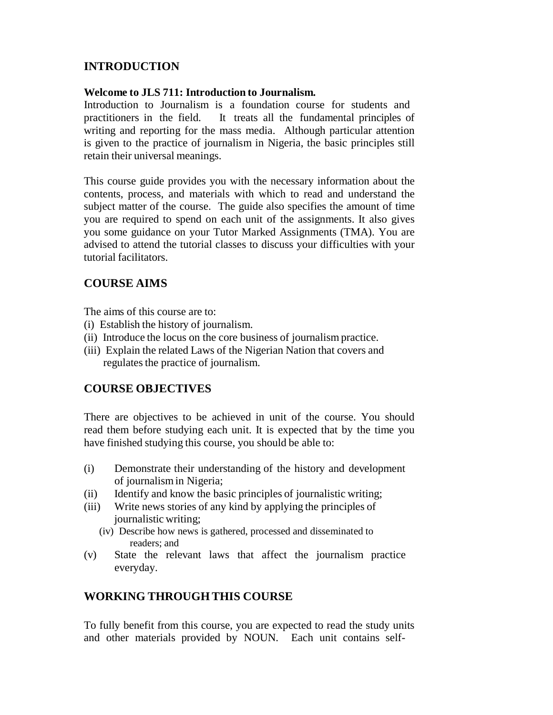## **INTRODUCTION**

#### **Welcome to JLS 711: Introduction to Journalism.**

Introduction to Journalism is a foundation course for students and practitioners in the field. It treats all the fundamental principles of writing and reporting for the mass media. Although particular attention is given to the practice of journalism in Nigeria, the basic principles still retain their universal meanings.

This course guide provides you with the necessary information about the contents, process, and materials with which to read and understand the subject matter of the course. The guide also specifies the amount of time you are required to spend on each unit of the assignments. It also gives you some guidance on your Tutor Marked Assignments (TMA). You are advised to attend the tutorial classes to discuss your difficulties with your tutorial facilitators.

## **COURSE AIMS**

The aims of this course are to:

- (i) Establish the history of journalism.
- (ii) Introduce the locus on the core business of journalism practice.
- (iii) Explain the related Laws of the Nigerian Nation that covers and regulates the practice of journalism.

## **COURSE OBJECTIVES**

There are objectives to be achieved in unit of the course. You should read them before studying each unit. It is expected that by the time you have finished studying this course, you should be able to:

- (i) Demonstrate their understanding of the history and development of journalism in Nigeria;
- (ii) Identify and know the basic principles of journalistic writing;
- (iii) Write news stories of any kind by applying the principles of journalistic writing;
	- (iv) Describe how news is gathered, processed and disseminated to readers; and
- (v) State the relevant laws that affect the journalism practice everyday.

## **WORKING THROUGH THIS COURSE**

To fully benefit from this course, you are expected to read the study units and other materials provided by NOUN. Each unit contains self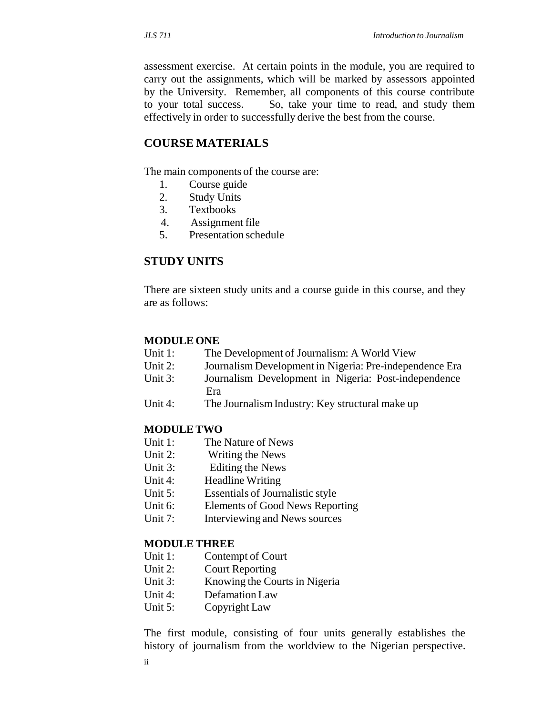assessment exercise. At certain points in the module, you are required to carry out the assignments, which will be marked by assessors appointed by the University. Remember, all components of this course contribute to your total success. So, take your time to read, and study them effectively in order to successfully derive the best from the course.

#### **COURSE MATERIALS**

The main components of the course are:

- 1. Course guide
- 2. Study Units
- 3. Textbooks
- 4. Assignment file
- 5. Presentation schedule

#### **STUDY UNITS**

There are sixteen study units and a course guide in this course, and they are as follows:

#### **MODULE ONE**

- Unit 1: The Development of Journalism: A World View
- Unit 2: Journalism Development in Nigeria: Pre-independence Era
- Unit 3: Journalism Development in Nigeria: Post-independence
	- Era
- Unit 4: The Journalism Industry: Key structural make up

#### **MODULE TWO**

- Unit 1: The Nature of News
- Unit 2: Writing the News
- Unit 3: Editing the News
- Unit 4: Headline Writing
- Unit 5: Essentials of Journalistic style
- Unit 6: Elements of Good News Reporting
- Unit 7: Interviewing and News sources

#### **MODULE THREE**

- Unit 1: Contempt of Court
- Unit 2: Court Reporting
- Unit 3: Knowing the Courts in Nigeria
- Unit 4: Defamation Law
- Unit 5: Copyright Law

The first module, consisting of four units generally establishes the history of journalism from the worldview to the Nigerian perspective.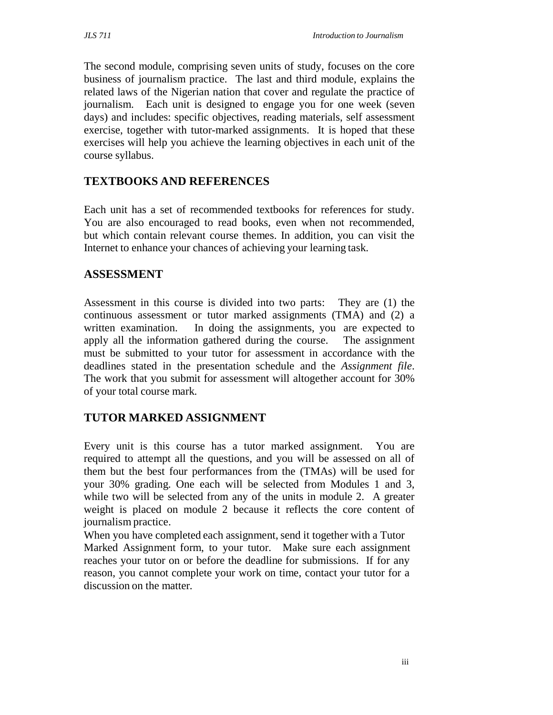The second module, comprising seven units of study, focuses on the core business of journalism practice. The last and third module, explains the related laws of the Nigerian nation that cover and regulate the practice of journalism. Each unit is designed to engage you for one week (seven days) and includes: specific objectives, reading materials, self assessment exercise, together with tutor-marked assignments. It is hoped that these exercises will help you achieve the learning objectives in each unit of the course syllabus.

#### **TEXTBOOKS AND REFERENCES**

Each unit has a set of recommended textbooks for references for study. You are also encouraged to read books, even when not recommended, but which contain relevant course themes. In addition, you can visit the Internet to enhance your chances of achieving your learning task.

#### **ASSESSMENT**

Assessment in this course is divided into two parts: They are (1) the continuous assessment or tutor marked assignments (TMA) and (2) a written examination. In doing the assignments, you are expected to apply all the information gathered during the course. The assignment must be submitted to your tutor for assessment in accordance with the deadlines stated in the presentation schedule and the *Assignment file*. The work that you submit for assessment will altogether account for 30% of your total course mark.

#### **TUTOR MARKED ASSIGNMENT**

Every unit is this course has a tutor marked assignment. You are required to attempt all the questions, and you will be assessed on all of them but the best four performances from the (TMAs) will be used for your 30% grading. One each will be selected from Modules 1 and 3, while two will be selected from any of the units in module 2. A greater weight is placed on module 2 because it reflects the core content of journalism practice.

When you have completed each assignment, send it together with a Tutor Marked Assignment form, to your tutor. Make sure each assignment reaches your tutor on or before the deadline for submissions. If for any reason, you cannot complete your work on time, contact your tutor for a discussion on the matter.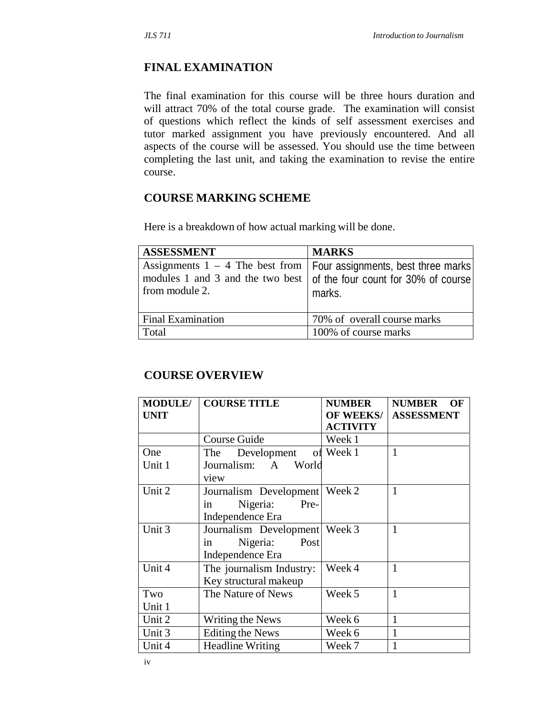### **FINAL EXAMINATION**

The final examination for this course will be three hours duration and will attract 70% of the total course grade. The examination will consist of questions which reflect the kinds of self assessment exercises and tutor marked assignment you have previously encountered. And all aspects of the course will be assessed. You should use the time between completing the last unit, and taking the examination to revise the entire course.

#### **COURSE MARKING SCHEME**

Here is a breakdown of how actual marking will be done.

| <b>ASSESSMENT</b>                                                                                                                                                  | <b>MARKS</b>                |
|--------------------------------------------------------------------------------------------------------------------------------------------------------------------|-----------------------------|
| Assignments $1 - 4$ The best from   Four assignments, best three marks<br>modules 1 and 3 and the two best   of the four count for 30% of course<br>from module 2. | marks.                      |
| <b>Final Examination</b>                                                                                                                                           | 70% of overall course marks |
| Total                                                                                                                                                              | 100% of course marks        |

#### **COURSE OVERVIEW**

| <b>MODULE</b> /<br><b>UNIT</b> | <b>COURSE TITLE</b>             | <b>NUMBER</b><br><b>OF WEEKS/</b><br><b>ACTIVITY</b> | <b>NUMBER</b><br>OF<br><b>ASSESSMENT</b> |
|--------------------------------|---------------------------------|------------------------------------------------------|------------------------------------------|
|                                | Course Guide                    | Week 1                                               |                                          |
| One                            | The Development                 | of Week 1                                            | $\mathbf{1}$                             |
| Unit 1                         | Journalism: A<br>World          |                                                      |                                          |
|                                | view                            |                                                      |                                          |
| Unit 2                         | Journalism Development   Week 2 |                                                      | 1                                        |
|                                | Nigeria:<br>Pre-<br>in          |                                                      |                                          |
|                                | Independence Era                |                                                      |                                          |
| Unit 3                         | Journalism Development Week 3   |                                                      | 1                                        |
|                                | Nigeria:<br>Post<br>in          |                                                      |                                          |
|                                | Independence Era                |                                                      |                                          |
| Unit 4                         | The journalism Industry:        | Week 4                                               | 1                                        |
|                                | Key structural makeup           |                                                      |                                          |
| Two                            | The Nature of News              | Week 5                                               | $\mathbf{1}$                             |
| Unit 1                         |                                 |                                                      |                                          |
| Unit 2                         | <b>Writing the News</b>         | Week 6                                               | 1                                        |
| Unit 3                         | <b>Editing the News</b>         | Week 6                                               |                                          |
| Unit 4                         | <b>Headline Writing</b>         | Week 7                                               |                                          |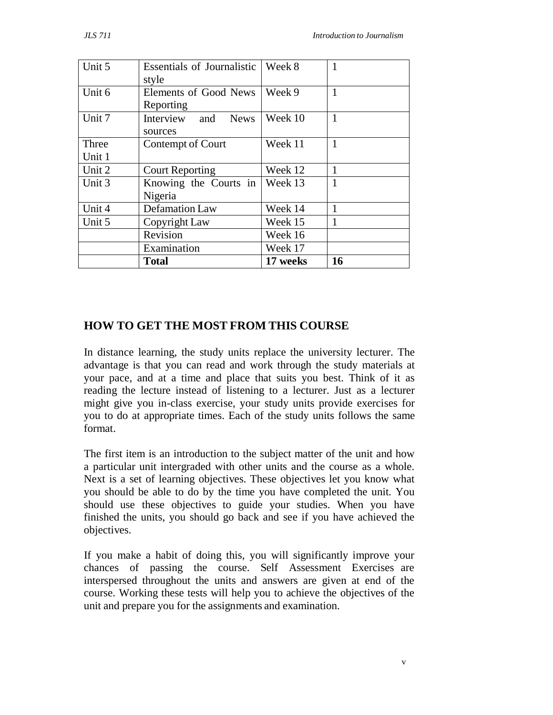| Unit 5 | Essentials of Journalistic      | Week 8   | 1  |
|--------|---------------------------------|----------|----|
|        | style                           |          |    |
| Unit 6 | Elements of Good News           | Week 9   | 1  |
|        | Reporting                       |          |    |
| Unit 7 | Interview<br>and<br><b>News</b> | Week 10  | 1  |
|        | sources                         |          |    |
| Three  | Contempt of Court               | Week 11  | 1  |
| Unit 1 |                                 |          |    |
| Unit 2 | <b>Court Reporting</b>          | Week 12  |    |
| Unit 3 | Knowing the Courts in           | Week 13  | 1  |
|        | Nigeria                         |          |    |
| Unit 4 | Defamation Law                  | Week 14  | 1  |
| Unit 5 | Copyright Law                   | Week 15  | 1  |
|        | Revision                        | Week 16  |    |
|        | Examination                     | Week 17  |    |
|        | <b>Total</b>                    | 17 weeks | 16 |

## **HOW TO GET THE MOST FROM THIS COURSE**

In distance learning, the study units replace the university lecturer. The advantage is that you can read and work through the study materials at your pace, and at a time and place that suits you best. Think of it as reading the lecture instead of listening to a lecturer. Just as a lecturer might give you in-class exercise, your study units provide exercises for you to do at appropriate times. Each of the study units follows the same format.

The first item is an introduction to the subject matter of the unit and how a particular unit intergraded with other units and the course as a whole. Next is a set of learning objectives. These objectives let you know what you should be able to do by the time you have completed the unit. You should use these objectives to guide your studies. When you have finished the units, you should go back and see if you have achieved the objectives.

If you make a habit of doing this, you will significantly improve your chances of passing the course. Self Assessment Exercises are interspersed throughout the units and answers are given at end of the course. Working these tests will help you to achieve the objectives of the unit and prepare you for the assignments and examination.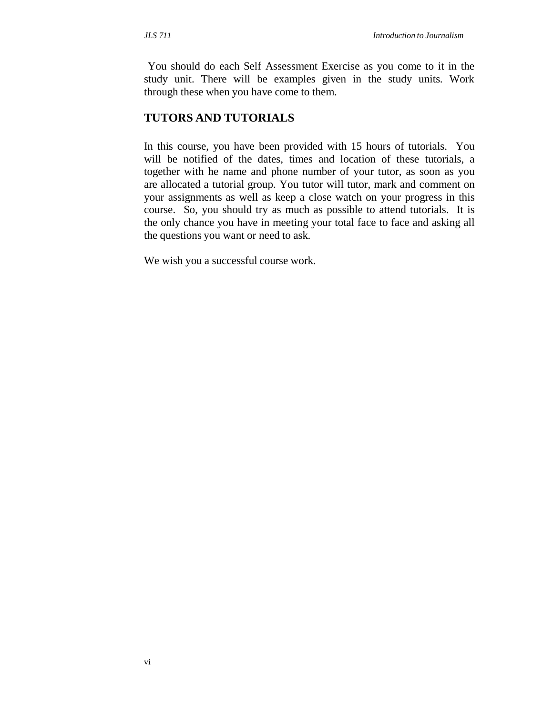You should do each Self Assessment Exercise as you come to it in the study unit. There will be examples given in the study units. Work through these when you have come to them.

#### **TUTORS AND TUTORIALS**

In this course, you have been provided with 15 hours of tutorials. You will be notified of the dates, times and location of these tutorials, a together with he name and phone number of your tutor, as soon as you are allocated a tutorial group. You tutor will tutor, mark and comment on your assignments as well as keep a close watch on your progress in this course. So, you should try as much as possible to attend tutorials. It is the only chance you have in meeting your total face to face and asking all the questions you want or need to ask.

We wish you a successful course work.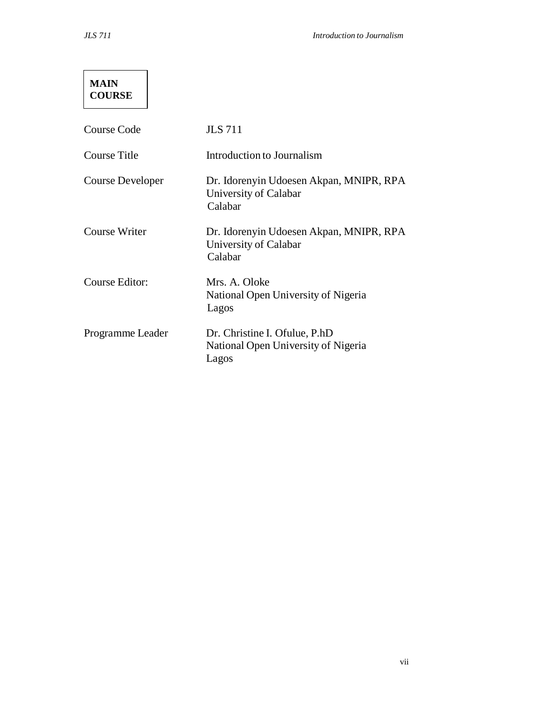# **MAIN COURSE**

| <b>Course Code</b>    | JLS 711                                                                       |
|-----------------------|-------------------------------------------------------------------------------|
| <b>Course Title</b>   | Introduction to Journalism                                                    |
| Course Developer      | Dr. Idorenyin Udoesen Akpan, MNIPR, RPA<br>University of Calabar<br>Calabar   |
| Course Writer         | Dr. Idorenyin Udoesen Akpan, MNIPR, RPA<br>University of Calabar<br>Calabar   |
| <b>Course Editor:</b> | Mrs. A. Oloke<br>National Open University of Nigeria<br>Lagos                 |
| Programme Leader      | Dr. Christine I. Ofulue, P.hD<br>National Open University of Nigeria<br>Lagos |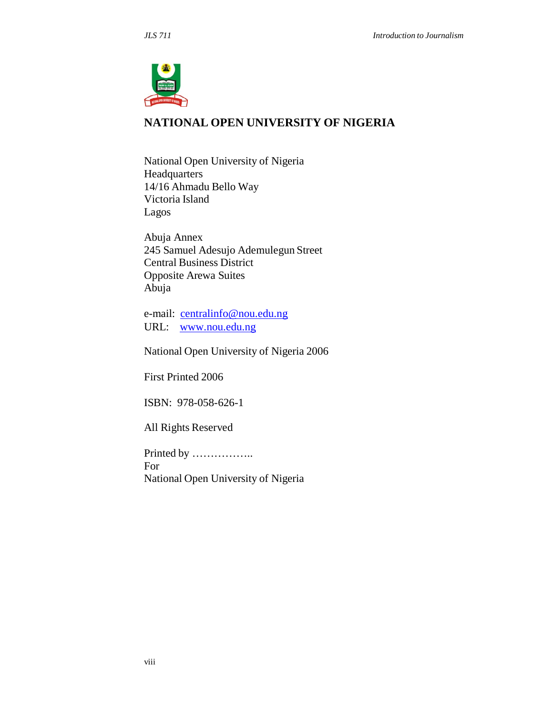

#### **NATIONAL OPEN UNIVERSITY OF NIGERIA**

National Open University of Nigeria Headquarters 14/16 Ahmadu Bello Way Victoria Island Lagos

Abuja Annex 245 Samuel Adesujo Ademulegun Street Central Business District Opposite Arewa Suites Abuja

e-mail: centralinfo@nou.edu.ng URL: www.nou.edu.ng

National Open University of Nigeria 2006

First Printed 2006

ISBN: 978-058-626-1

All Rights Reserved

Printed by …………….. For National Open University of Nigeria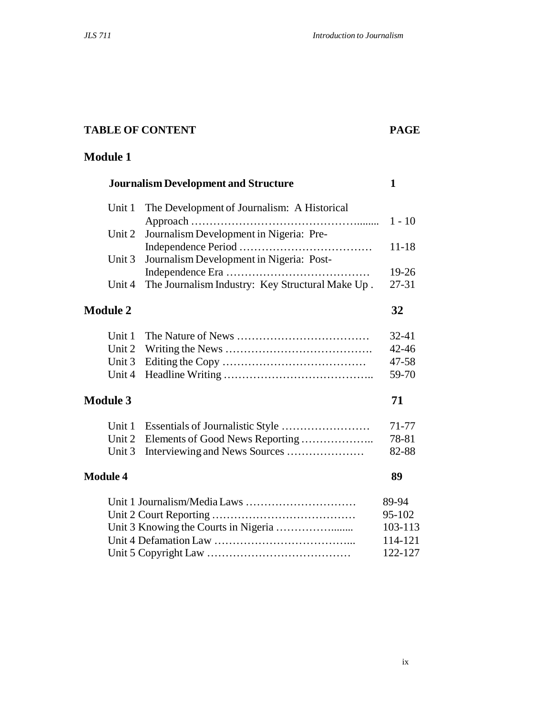**Module 1**

## TABLE OF CONTENT PAGE

|                 |        | <b>Journalism Development and Structure</b>      | $\mathbf{1}$ |
|-----------------|--------|--------------------------------------------------|--------------|
|                 | Unit 1 | The Development of Journalism: A Historical      |              |
|                 |        |                                                  | $1 - 10$     |
|                 | Unit 2 | Journalism Development in Nigeria: Pre-          |              |
|                 |        |                                                  | $11 - 18$    |
|                 | Unit 3 | Journalism Development in Nigeria: Post-         |              |
|                 |        |                                                  | 19-26        |
|                 | Unit 4 | The Journalism Industry: Key Structural Make Up. | $27 - 31$    |
| <b>Module 2</b> |        |                                                  | 32           |
|                 | Unit 1 |                                                  | $32 - 41$    |
|                 | Unit 2 |                                                  | $42 - 46$    |
|                 |        |                                                  |              |
|                 | Unit 3 |                                                  | 47-58        |
|                 | Unit 4 |                                                  | 59-70        |
| <b>Module 3</b> |        |                                                  | 71           |
|                 | Unit 1 |                                                  | 71-77        |
|                 | Unit 2 | Elements of Good News Reporting                  | 78-81        |
|                 | Unit 3 | Interviewing and News Sources                    | 82-88        |
| <b>Module 4</b> |        |                                                  | 89           |
|                 |        |                                                  | 89-94        |
|                 |        |                                                  |              |
|                 |        |                                                  | 103-113      |
|                 |        |                                                  | 114-121      |
|                 |        |                                                  | 122-127      |
|                 |        |                                                  | 95-102       |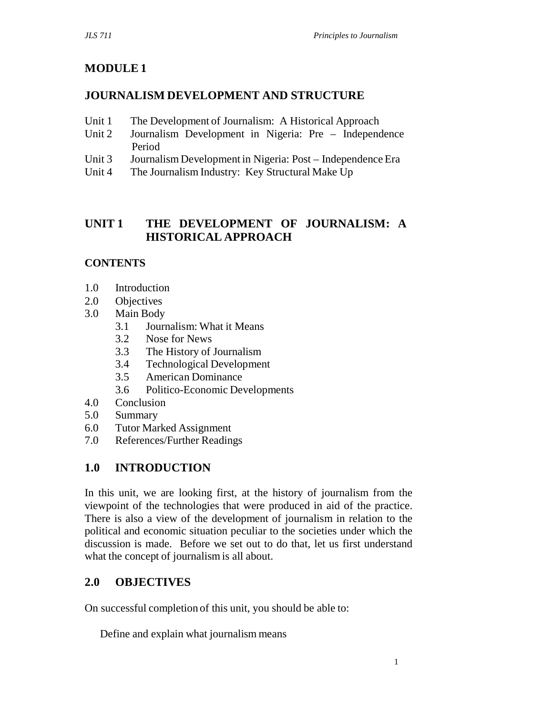## **MODULE 1**

## **JOURNALISM DEVELOPMENT AND STRUCTURE**

- Unit 1 The Development of Journalism: A Historical Approach
- Unit 2 Journalism Development in Nigeria: Pre Independence Period
- Unit 3 Journalism Development in Nigeria: Post Independence Era
- Unit 4 The Journalism Industry: Key Structural Make Up

## **UNIT 1 THE DEVELOPMENT OF JOURNALISM: A HISTORICAL APPROACH**

#### **CONTENTS**

- 1.0 Introduction
- 2.0 Objectives
- 3.0 Main Body
	- 3.1 Journalism: What it Means
	- 3.2 Nose for News
	- 3.3 The History of Journalism
	- 3.4 Technological Development
	- 3.5 American Dominance
	- 3.6 Politico-Economic Developments
- 4.0 Conclusion
- 5.0 Summary
- 6.0 Tutor Marked Assignment
- 7.0 References/Further Readings

## **1.0 INTRODUCTION**

In this unit, we are looking first, at the history of journalism from the viewpoint of the technologies that were produced in aid of the practice. There is also a view of the development of journalism in relation to the political and economic situation peculiar to the societies under which the discussion is made. Before we set out to do that, let us first understand what the concept of journalism is all about.

## **2.0 OBJECTIVES**

On successful completion of this unit, you should be able to:

Define and explain what journalism means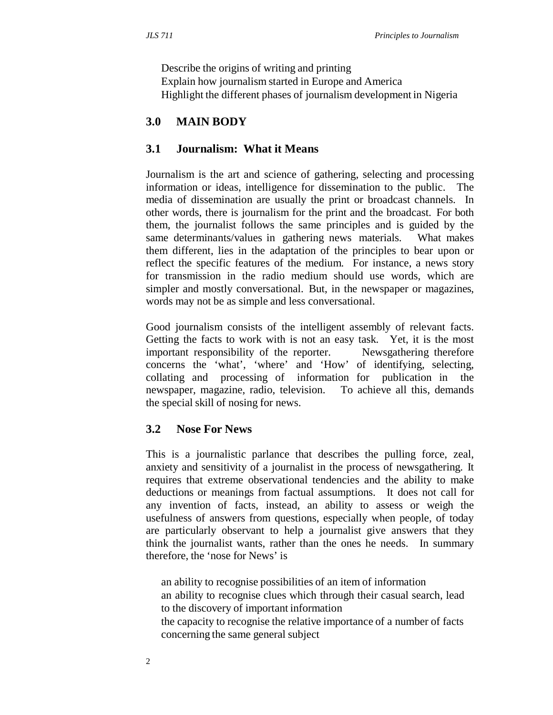Describe the origins of writing and printing Explain how journalism started in Europe and America Highlight the different phases of journalism development in Nigeria

#### **3.0 MAIN BODY**

#### **3.1 Journalism: What it Means**

Journalism is the art and science of gathering, selecting and processing information or ideas, intelligence for dissemination to the public. The media of dissemination are usually the print or broadcast channels. In other words, there is journalism for the print and the broadcast. For both them, the journalist follows the same principles and is guided by the same determinants/values in gathering news materials. What makes them different, lies in the adaptation of the principles to bear upon or reflect the specific features of the medium. For instance, a news story for transmission in the radio medium should use words, which are simpler and mostly conversational. But, in the newspaper or magazines, words may not be as simple and less conversational.

Good journalism consists of the intelligent assembly of relevant facts. Getting the facts to work with is not an easy task. Yet, it is the most important responsibility of the reporter. Newsgathering therefore concerns the 'what', 'where' and 'How' of identifying, selecting, collating and processing of information for publication in the newspaper, magazine, radio, television. To achieve all this, demands the special skill of nosing for news.

#### **3.2 Nose For News**

This is a journalistic parlance that describes the pulling force, zeal, anxiety and sensitivity of a journalist in the process of newsgathering. It requires that extreme observational tendencies and the ability to make deductions or meanings from factual assumptions. It does not call for any invention of facts, instead, an ability to assess or weigh the usefulness of answers from questions, especially when people, of today are particularly observant to help a journalist give answers that they think the journalist wants, rather than the ones he needs. In summary therefore, the 'nose for News' is

an ability to recognise possibilities of an item of information an ability to recognise clues which through their casual search, lead to the discovery of important information the capacity to recognise the relative importance of a number of facts

concerning the same general subject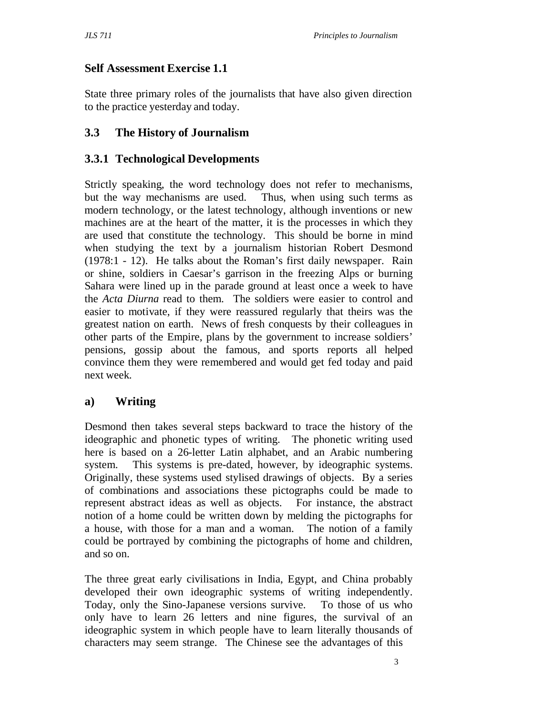## **Self Assessment Exercise 1.1**

State three primary roles of the journalists that have also given direction to the practice yesterday and today.

## **3.3 The History of Journalism**

## **3.3.1 Technological Developments**

Strictly speaking, the word technology does not refer to mechanisms, but the way mechanisms are used. Thus, when using such terms as modern technology, or the latest technology, although inventions or new machines are at the heart of the matter, it is the processes in which they are used that constitute the technology. This should be borne in mind when studying the text by a journalism historian Robert Desmond (1978:1 - 12). He talks about the Roman's first daily newspaper. Rain or shine, soldiers in Caesar's garrison in the freezing Alps or burning Sahara were lined up in the parade ground at least once a week to have the *Acta Diurna* read to them. The soldiers were easier to control and easier to motivate, if they were reassured regularly that theirs was the greatest nation on earth. News of fresh conquests by their colleagues in other parts of the Empire, plans by the government to increase soldiers' pensions, gossip about the famous, and sports reports all helped convince them they were remembered and would get fed today and paid next week.

## **a) Writing**

Desmond then takes several steps backward to trace the history of the ideographic and phonetic types of writing. The phonetic writing used here is based on a 26-letter Latin alphabet, and an Arabic numbering system. This systems is pre-dated, however, by ideographic systems. Originally, these systems used stylised drawings of objects. By a series of combinations and associations these pictographs could be made to represent abstract ideas as well as objects. For instance, the abstract notion of a home could be written down by melding the pictographs for a house, with those for a man and a woman. The notion of a family could be portrayed by combining the pictographs of home and children, and so on.

The three great early civilisations in India, Egypt, and China probably developed their own ideographic systems of writing independently. Today, only the Sino-Japanese versions survive. To those of us who only have to learn 26 letters and nine figures, the survival of an ideographic system in which people have to learn literally thousands of characters may seem strange. The Chinese see the advantages of this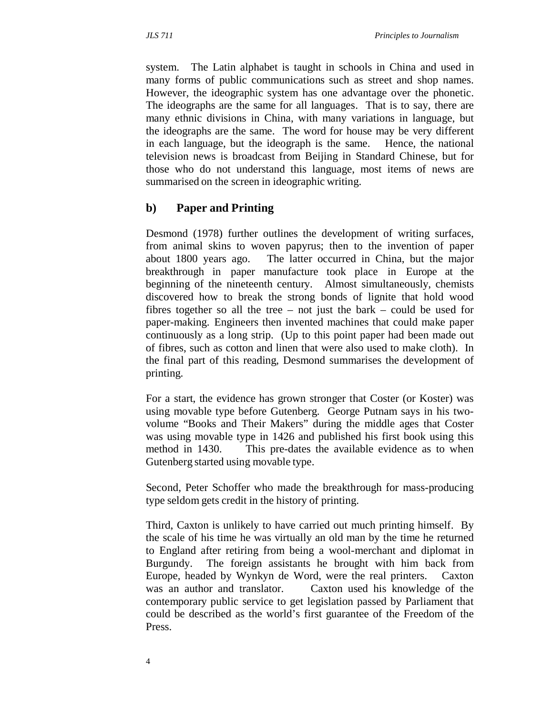system. The Latin alphabet is taught in schools in China and used in many forms of public communications such as street and shop names. However, the ideographic system has one advantage over the phonetic. The ideographs are the same for all languages. That is to say, there are many ethnic divisions in China, with many variations in language, but the ideographs are the same. The word for house may be very different in each language, but the ideograph is the same. Hence, the national television news is broadcast from Beijing in Standard Chinese, but for those who do not understand this language, most items of news are summarised on the screen in ideographic writing.

#### **b) Paper and Printing**

Desmond (1978) further outlines the development of writing surfaces, from animal skins to woven papyrus; then to the invention of paper about 1800 years ago. The latter occurred in China, but the major breakthrough in paper manufacture took place in Europe at the beginning of the nineteenth century. Almost simultaneously, chemists discovered how to break the strong bonds of lignite that hold wood fibres together so all the tree – not just the bark – could be used for paper-making. Engineers then invented machines that could make paper continuously as a long strip. (Up to this point paper had been made out of fibres, such as cotton and linen that were also used to make cloth). In the final part of this reading, Desmond summarises the development of printing.

For a start, the evidence has grown stronger that Coster (or Koster) was using movable type before Gutenberg. George Putnam says in his twovolume "Books and Their Makers" during the middle ages that Coster was using movable type in 1426 and published his first book using this method in 1430. This pre-dates the available evidence as to when Gutenberg started using movable type.

Second, Peter Schoffer who made the breakthrough for mass-producing type seldom gets credit in the history of printing.

Third, Caxton is unlikely to have carried out much printing himself. By the scale of his time he was virtually an old man by the time he returned to England after retiring from being a wool-merchant and diplomat in Burgundy. The foreign assistants he brought with him back from Europe, headed by Wynkyn de Word, were the real printers. Caxton was an author and translator. Caxton used his knowledge of the contemporary public service to get legislation passed by Parliament that could be described as the world's first guarantee of the Freedom of the Press.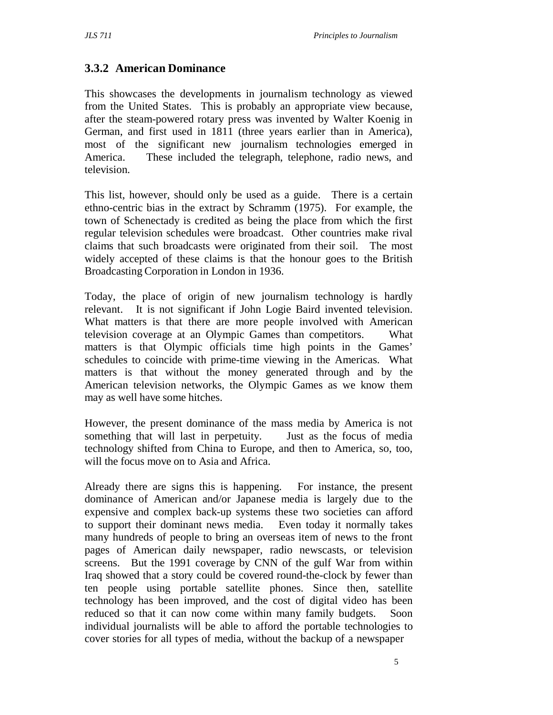#### **3.3.2 American Dominance**

This showcases the developments in journalism technology as viewed from the United States. This is probably an appropriate view because, after the steam-powered rotary press was invented by Walter Koenig in German, and first used in 1811 (three years earlier than in America), most of the significant new journalism technologies emerged in America. These included the telegraph, telephone, radio news, and television.

This list, however, should only be used as a guide. There is a certain ethno-centric bias in the extract by Schramm (1975). For example, the town of Schenectady is credited as being the place from which the first regular television schedules were broadcast. Other countries make rival claims that such broadcasts were originated from their soil. The most widely accepted of these claims is that the honour goes to the British Broadcasting Corporation in London in 1936.

Today, the place of origin of new journalism technology is hardly relevant. It is not significant if John Logie Baird invented television. What matters is that there are more people involved with American television coverage at an Olympic Games than competitors. What matters is that Olympic officials time high points in the Games' schedules to coincide with prime-time viewing in the Americas. What matters is that without the money generated through and by the American television networks, the Olympic Games as we know them may as well have some hitches.

However, the present dominance of the mass media by America is not something that will last in perpetuity. Just as the focus of media technology shifted from China to Europe, and then to America, so, too, will the focus move on to Asia and Africa.

Already there are signs this is happening. For instance, the present dominance of American and/or Japanese media is largely due to the expensive and complex back-up systems these two societies can afford to support their dominant news media. Even today it normally takes many hundreds of people to bring an overseas item of news to the front pages of American daily newspaper, radio newscasts, or television screens. But the 1991 coverage by CNN of the gulf War from within Iraq showed that a story could be covered round-the-clock by fewer than ten people using portable satellite phones. Since then, satellite technology has been improved, and the cost of digital video has been reduced so that it can now come within many family budgets. Soon individual journalists will be able to afford the portable technologies to cover stories for all types of media, without the backup of a newspaper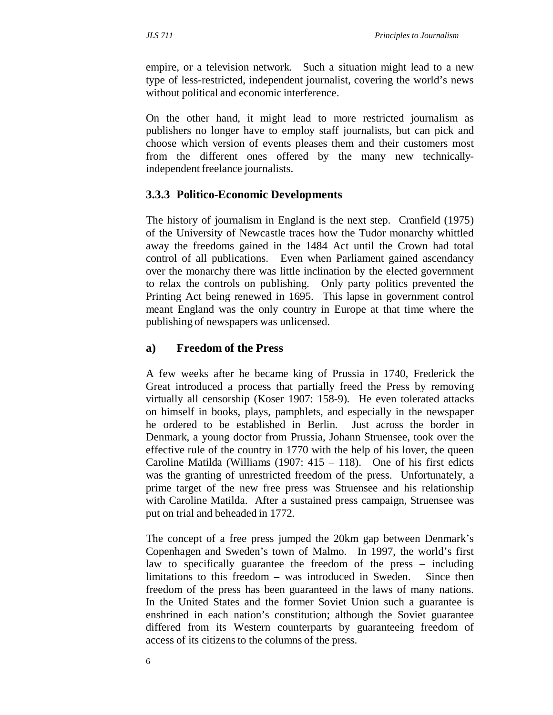empire, or a television network. Such a situation might lead to a new type of less-restricted, independent journalist, covering the world's news without political and economic interference.

On the other hand, it might lead to more restricted journalism as publishers no longer have to employ staff journalists, but can pick and choose which version of events pleases them and their customers most from the different ones offered by the many new technicallyindependent freelance journalists.

## **3.3.3 Politico-Economic Developments**

The history of journalism in England is the next step. Cranfield (1975) of the University of Newcastle traces how the Tudor monarchy whittled away the freedoms gained in the 1484 Act until the Crown had total control of all publications. Even when Parliament gained ascendancy over the monarchy there was little inclination by the elected government to relax the controls on publishing. Only party politics prevented the Printing Act being renewed in 1695. This lapse in government control meant England was the only country in Europe at that time where the publishing of newspapers was unlicensed.

## **a) Freedom of the Press**

A few weeks after he became king of Prussia in 1740, Frederick the Great introduced a process that partially freed the Press by removing virtually all censorship (Koser 1907: 158-9). He even tolerated attacks on himself in books, plays, pamphlets, and especially in the newspaper he ordered to be established in Berlin. Just across the border in Denmark, a young doctor from Prussia, Johann Struensee, took over the effective rule of the country in 1770 with the help of his lover, the queen Caroline Matilda (Williams  $(1907: 415 - 118)$ . One of his first edicts was the granting of unrestricted freedom of the press. Unfortunately, a prime target of the new free press was Struensee and his relationship with Caroline Matilda. After a sustained press campaign, Struensee was put on trial and beheaded in 1772.

The concept of a free press jumped the 20km gap between Denmark's Copenhagen and Sweden's town of Malmo. In 1997, the world's first law to specifically guarantee the freedom of the press – including limitations to this freedom – was introduced in Sweden. Since then freedom of the press has been guaranteed in the laws of many nations. In the United States and the former Soviet Union such a guarantee is enshrined in each nation's constitution; although the Soviet guarantee differed from its Western counterparts by guaranteeing freedom of access of its citizens to the columns of the press.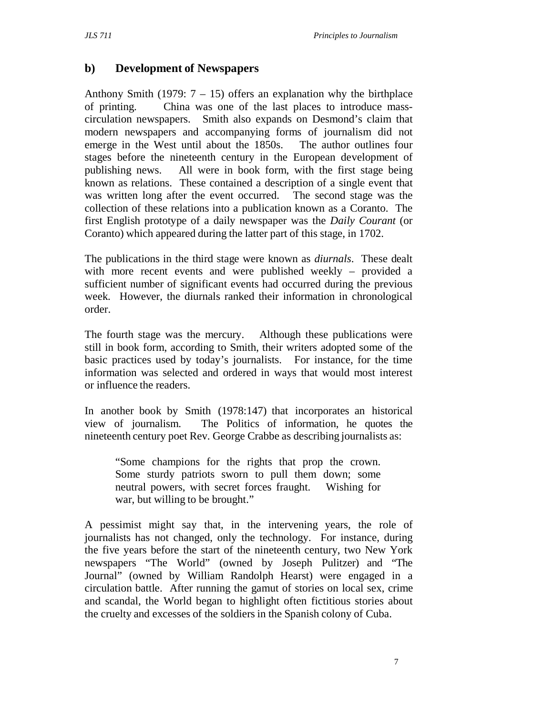## **b) Development of Newspapers**

Anthony Smith (1979:  $7 - 15$ ) offers an explanation why the birthplace of printing. China was one of the last places to introduce masscirculation newspapers. Smith also expands on Desmond's claim that modern newspapers and accompanying forms of journalism did not emerge in the West until about the 1850s. The author outlines four stages before the nineteenth century in the European development of publishing news. All were in book form, with the first stage being known as relations. These contained a description of a single event that was written long after the event occurred. The second stage was the collection of these relations into a publication known as a Coranto. The first English prototype of a daily newspaper was the *Daily Courant* (or Coranto) which appeared during the latter part of this stage, in 1702.

The publications in the third stage were known as *diurnals*. These dealt with more recent events and were published weekly – provided a sufficient number of significant events had occurred during the previous week. However, the diurnals ranked their information in chronological order.

The fourth stage was the mercury. Although these publications were still in book form, according to Smith, their writers adopted some of the basic practices used by today's journalists. For instance, for the time information was selected and ordered in ways that would most interest or influence the readers.

In another book by Smith (1978:147) that incorporates an historical view of journalism. The Politics of information, he quotes the nineteenth century poet Rev. George Crabbe as describing journalists as:

"Some champions for the rights that prop the crown. Some sturdy patriots sworn to pull them down; some neutral powers, with secret forces fraught. Wishing for war, but willing to be brought."

A pessimist might say that, in the intervening years, the role of journalists has not changed, only the technology. For instance, during the five years before the start of the nineteenth century, two New York newspapers "The World" (owned by Joseph Pulitzer) and "The Journal" (owned by William Randolph Hearst) were engaged in a circulation battle. After running the gamut of stories on local sex, crime and scandal, the World began to highlight often fictitious stories about the cruelty and excesses of the soldiers in the Spanish colony of Cuba.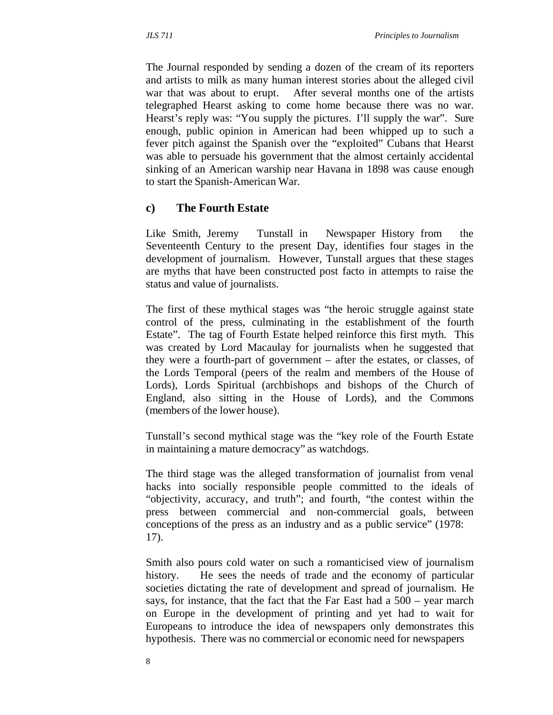The Journal responded by sending a dozen of the cream of its reporters and artists to milk as many human interest stories about the alleged civil war that was about to erupt. After several months one of the artists telegraphed Hearst asking to come home because there was no war. Hearst's reply was: "You supply the pictures. I'll supply the war". Sure enough, public opinion in American had been whipped up to such a fever pitch against the Spanish over the "exploited" Cubans that Hearst was able to persuade his government that the almost certainly accidental sinking of an American warship near Havana in 1898 was cause enough to start the Spanish-American War.

#### **c) The Fourth Estate**

Like Smith, Jeremy Tunstall in Newspaper History from the Seventeenth Century to the present Day, identifies four stages in the development of journalism. However, Tunstall argues that these stages are myths that have been constructed post facto in attempts to raise the status and value of journalists.

The first of these mythical stages was "the heroic struggle against state control of the press, culminating in the establishment of the fourth Estate". The tag of Fourth Estate helped reinforce this first myth. This was created by Lord Macaulay for journalists when he suggested that they were a fourth-part of government – after the estates, or classes, of the Lords Temporal (peers of the realm and members of the House of Lords), Lords Spiritual (archbishops and bishops of the Church of England, also sitting in the House of Lords), and the Commons (members of the lower house).

Tunstall's second mythical stage was the "key role of the Fourth Estate in maintaining a mature democracy" as watchdogs.

The third stage was the alleged transformation of journalist from venal hacks into socially responsible people committed to the ideals of "objectivity, accuracy, and truth"; and fourth, "the contest within the press between commercial and non-commercial goals, between conceptions of the press as an industry and as a public service" (1978: 17).

Smith also pours cold water on such a romanticised view of journalism history. He sees the needs of trade and the economy of particular societies dictating the rate of development and spread of journalism. He says, for instance, that the fact that the Far East had a 500 – year march on Europe in the development of printing and yet had to wait for Europeans to introduce the idea of newspapers only demonstrates this hypothesis. There was no commercial or economic need for newspapers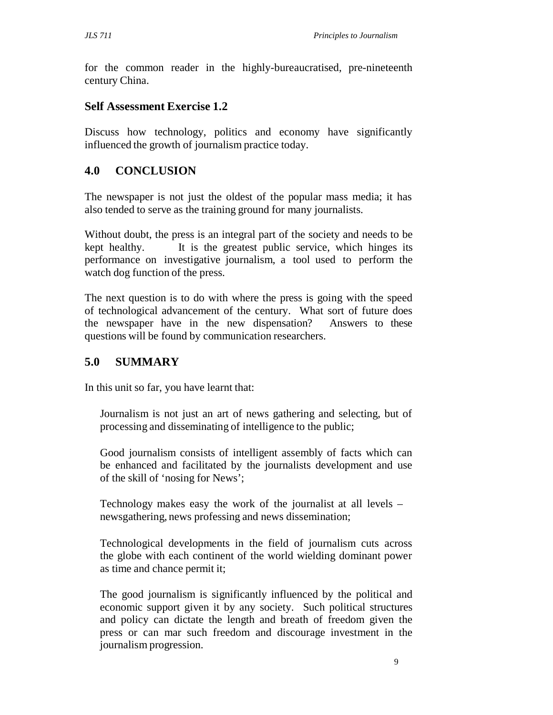for the common reader in the highly-bureaucratised, pre-nineteenth century China.

## **Self Assessment Exercise 1.2**

Discuss how technology, politics and economy have significantly influenced the growth of journalism practice today.

## **4.0 CONCLUSION**

The newspaper is not just the oldest of the popular mass media; it has also tended to serve as the training ground for many journalists.

Without doubt, the press is an integral part of the society and needs to be kept healthy. It is the greatest public service, which hinges its performance on investigative journalism, a tool used to perform the watch dog function of the press.

The next question is to do with where the press is going with the speed of technological advancement of the century. What sort of future does the newspaper have in the new dispensation? Answers to these questions will be found by communication researchers.

## **5.0 SUMMARY**

In this unit so far, you have learnt that:

Journalism is not just an art of news gathering and selecting, but of processing and disseminating of intelligence to the public;

Good journalism consists of intelligent assembly of facts which can be enhanced and facilitated by the journalists development and use of the skill of 'nosing for News';

Technology makes easy the work of the journalist at all levels – newsgathering, news professing and news dissemination;

Technological developments in the field of journalism cuts across the globe with each continent of the world wielding dominant power as time and chance permit it;

The good journalism is significantly influenced by the political and economic support given it by any society. Such political structures and policy can dictate the length and breath of freedom given the press or can mar such freedom and discourage investment in the journalism progression.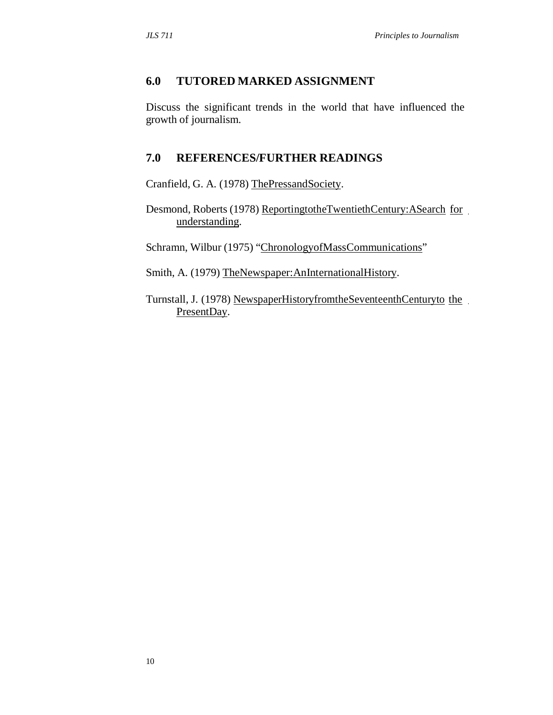## **6.0 TUTORED MARKED ASSIGNMENT**

Discuss the significant trends in the world that have influenced the growth of journalism.

## **7.0 REFERENCES/FURTHER READINGS**

Cranfield, G. A. (1978) ThePressandSociety.

Desmond, Roberts (1978) ReportingtotheTwentiethCentury:ASearch for understanding.

Schramn, Wilbur (1975) "ChronologyofMassCommunications"

Smith, A. (1979) TheNewspaper:AnInternationalHistory.

Turnstall, J. (1978) NewspaperHistoryfromtheSeventeenthCenturyto the PresentDay.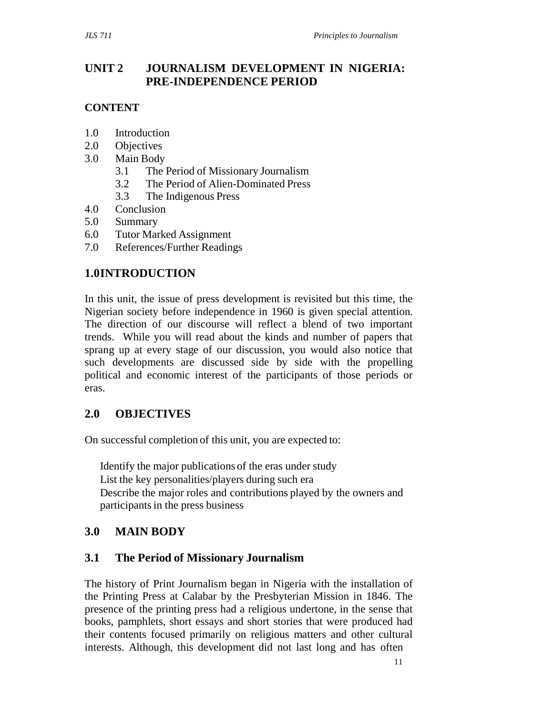## **UNIT 2 JOURNALISM DEVELOPMENT IN NIGERIA: PRE-INDEPENDENCE PERIOD**

## **CONTENT**

- 1.0 Introduction
- 2.0 Objectives
- 3.0 Main Body
	- 3.1 The Period of Missionary Journalism
	- 3.2 The Period of Alien-Dominated Press
	- 3.3 The Indigenous Press
- 4.0 Conclusion
- 5.0 Summary
- 6.0 Tutor Marked Assignment
- 7.0 References/Further Readings

## **1.0INTRODUCTION**

In this unit, the issue of press development is revisited but this time, the Nigerian society before independence in 1960 is given special attention. The direction of our discourse will reflect a blend of two important trends. While you will read about the kinds and number of papers that sprang up at every stage of our discussion, you would also notice that such developments are discussed side by side with the propelling political and economic interest of the participants of those periods or eras.

## **2.0 OBJECTIVES**

On successful completion of this unit, you are expected to:

Identify the major publications of the eras under study List the key personalities/players during such era Describe the major roles and contributions played by the owners and participants in the press business

## **3.0 MAIN BODY**

## **3.1 The Period of Missionary Journalism**

The history of Print Journalism began in Nigeria with the installation of the Printing Press at Calabar by the Presbyterian Mission in 1846. The presence of the printing press had a religious undertone, in the sense that books, pamphlets, short essays and short stories that were produced had their contents focused primarily on religious matters and other cultural interests. Although, this development did not last long and has often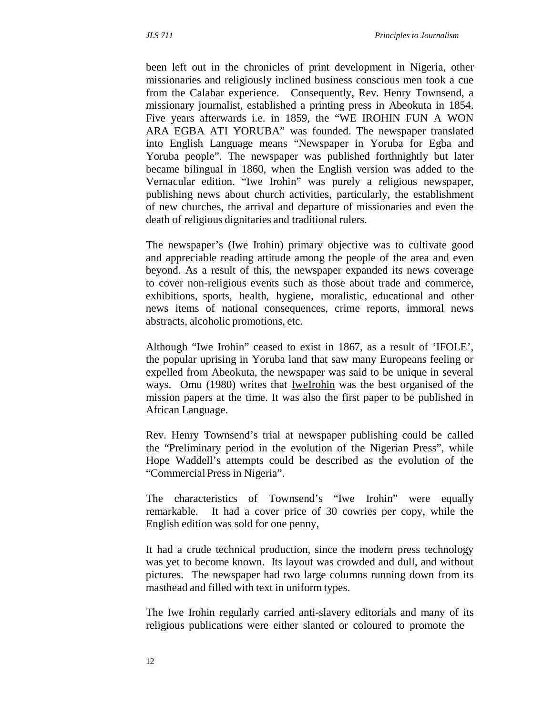been left out in the chronicles of print development in Nigeria, other missionaries and religiously inclined business conscious men took a cue from the Calabar experience. Consequently, Rev. Henry Townsend, a missionary journalist, established a printing press in Abeokuta in 1854. Five years afterwards i.e. in 1859, the "WE IROHIN FUN A WON ARA EGBA ATI YORUBA" was founded. The newspaper translated into English Language means "Newspaper in Yoruba for Egba and Yoruba people". The newspaper was published forthnightly but later became bilingual in 1860, when the English version was added to the Vernacular edition. "Iwe Irohin" was purely a religious newspaper, publishing news about church activities, particularly, the establishment of new churches, the arrival and departure of missionaries and even the death of religious dignitaries and traditional rulers.

The newspaper's (Iwe Irohin) primary objective was to cultivate good and appreciable reading attitude among the people of the area and even beyond. As a result of this, the newspaper expanded its news coverage to cover non-religious events such as those about trade and commerce, exhibitions, sports, health, hygiene, moralistic, educational and other news items of national consequences, crime reports, immoral news abstracts, alcoholic promotions, etc.

Although "Iwe Irohin" ceased to exist in 1867, as a result of 'IFOLE', the popular uprising in Yoruba land that saw many Europeans feeling or expelled from Abeokuta, the newspaper was said to be unique in several ways. Omu (1980) writes that IweIrohin was the best organised of the mission papers at the time. It was also the first paper to be published in African Language.

Rev. Henry Townsend's trial at newspaper publishing could be called the "Preliminary period in the evolution of the Nigerian Press", while Hope Waddell's attempts could be described as the evolution of the "Commercial Press in Nigeria".

The characteristics of Townsend's "Iwe Irohin" were equally remarkable. It had a cover price of 30 cowries per copy, while the English edition was sold for one penny,

It had a crude technical production, since the modern press technology was yet to become known. Its layout was crowded and dull, and without pictures. The newspaper had two large columns running down from its masthead and filled with text in uniform types.

The Iwe Irohin regularly carried anti-slavery editorials and many of its religious publications were either slanted or coloured to promote the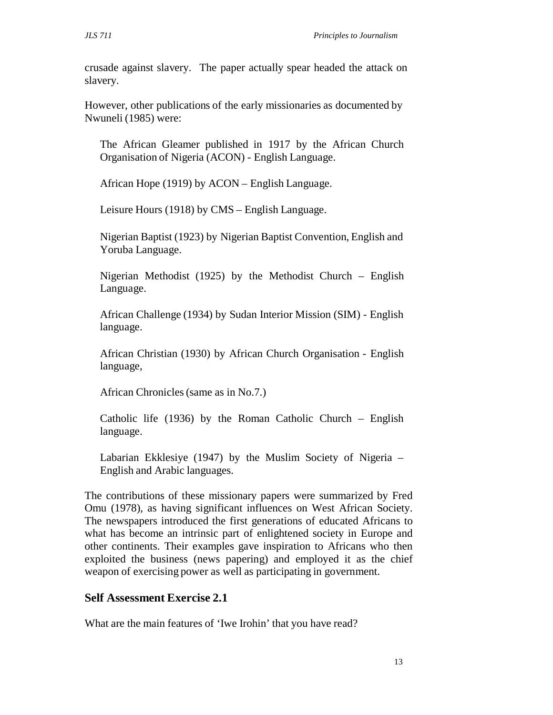crusade against slavery. The paper actually spear headed the attack on slavery.

However, other publications of the early missionaries as documented by Nwuneli (1985) were:

The African Gleamer published in 1917 by the African Church Organisation of Nigeria (ACON) - English Language.

African Hope (1919) by ACON – English Language.

Leisure Hours (1918) by CMS – English Language.

Nigerian Baptist (1923) by Nigerian Baptist Convention, English and Yoruba Language.

Nigerian Methodist (1925) by the Methodist Church – English Language.

African Challenge (1934) by Sudan Interior Mission (SIM) - English language.

African Christian (1930) by African Church Organisation - English language,

African Chronicles (same as in No.7.)

Catholic life (1936) by the Roman Catholic Church – English language.

Labarian Ekklesiye (1947) by the Muslim Society of Nigeria – English and Arabic languages.

The contributions of these missionary papers were summarized by Fred Omu (1978), as having significant influences on West African Society. The newspapers introduced the first generations of educated Africans to what has become an intrinsic part of enlightened society in Europe and other continents. Their examples gave inspiration to Africans who then exploited the business (news papering) and employed it as the chief weapon of exercising power as well as participating in government.

## **Self Assessment Exercise 2.1**

What are the main features of 'Iwe Irohin' that you have read?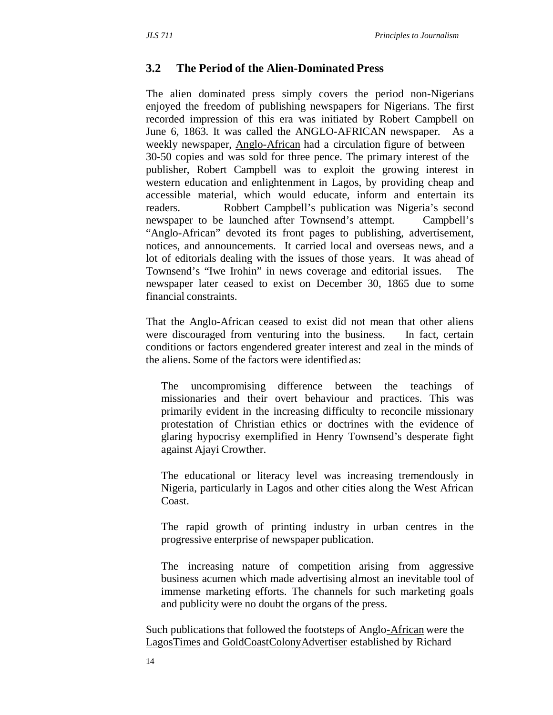#### **3.2 The Period of the Alien-Dominated Press**

The alien dominated press simply covers the period non-Nigerians enjoyed the freedom of publishing newspapers for Nigerians. The first recorded impression of this era was initiated by Robert Campbell on June 6, 1863. It was called the ANGLO-AFRICAN newspaper. As a weekly newspaper, Anglo-African had a circulation figure of between 30-50 copies and was sold for three pence. The primary interest of the publisher, Robert Campbell was to exploit the growing interest in western education and enlightenment in Lagos, by providing cheap and accessible material, which would educate, inform and entertain its readers. Robbert Campbell's publication was Nigeria's second newspaper to be launched after Townsend's attempt. Campbell's "Anglo-African" devoted its front pages to publishing, advertisement, notices, and announcements. It carried local and overseas news, and a lot of editorials dealing with the issues of those years. It was ahead of Townsend's "Iwe Irohin" in news coverage and editorial issues. The newspaper later ceased to exist on December 30, 1865 due to some financial constraints.

That the Anglo-African ceased to exist did not mean that other aliens were discouraged from venturing into the business. In fact, certain conditions or factors engendered greater interest and zeal in the minds of the aliens. Some of the factors were identified as:

The uncompromising difference between the teachings of missionaries and their overt behaviour and practices. This was primarily evident in the increasing difficulty to reconcile missionary protestation of Christian ethics or doctrines with the evidence of glaring hypocrisy exemplified in Henry Townsend's desperate fight against Ajayi Crowther.

The educational or literacy level was increasing tremendously in Nigeria, particularly in Lagos and other cities along the West African Coast.

The rapid growth of printing industry in urban centres in the progressive enterprise of newspaper publication.

The increasing nature of competition arising from aggressive business acumen which made advertising almost an inevitable tool of immense marketing efforts. The channels for such marketing goals and publicity were no doubt the organs of the press.

Such publications that followed the footsteps of Anglo-African were the LagosTimes and GoldCoastColonyAdvertiser established by Richard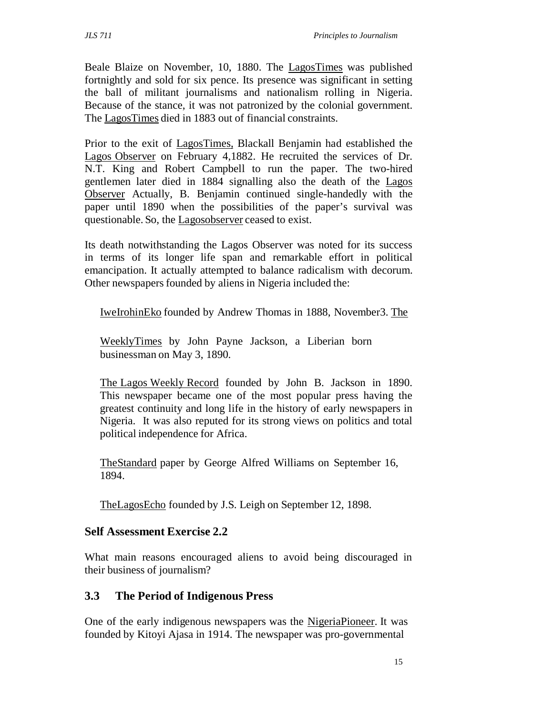Beale Blaize on November, 10, 1880. The LagosTimes was published fortnightly and sold for six pence. Its presence was significant in setting the ball of militant journalisms and nationalism rolling in Nigeria. Because of the stance, it was not patronized by the colonial government. The LagosTimes died in 1883 out of financial constraints.

Prior to the exit of LagosTimes, Blackall Benjamin had established the Lagos Observer on February 4,1882. He recruited the services of Dr. N.T. King and Robert Campbell to run the paper. The two-hired gentlemen later died in 1884 signalling also the death of the Lagos Observer Actually, B. Benjamin continued single-handedly with the paper until 1890 when the possibilities of the paper's survival was questionable. So, the Lagosobserver ceased to exist.

Its death notwithstanding the Lagos Observer was noted for its success in terms of its longer life span and remarkable effort in political emancipation. It actually attempted to balance radicalism with decorum. Other newspapers founded by aliens in Nigeria included the:

IweIrohinEko founded by Andrew Thomas in 1888, November3. The

WeeklyTimes by John Payne Jackson, a Liberian born businessman on May 3, 1890.

The Lagos Weekly Record founded by John B. Jackson in 1890. This newspaper became one of the most popular press having the greatest continuity and long life in the history of early newspapers in Nigeria. It was also reputed for its strong views on politics and total political independence for Africa.

TheStandard paper by George Alfred Williams on September 16, 1894.

TheLagosEcho founded by J.S. Leigh on September 12, 1898.

## **Self Assessment Exercise 2.2**

What main reasons encouraged aliens to avoid being discouraged in their business of journalism?

## **3.3 The Period of Indigenous Press**

One of the early indigenous newspapers was the NigeriaPioneer. It was founded by Kitoyi Ajasa in 1914. The newspaper was pro-governmental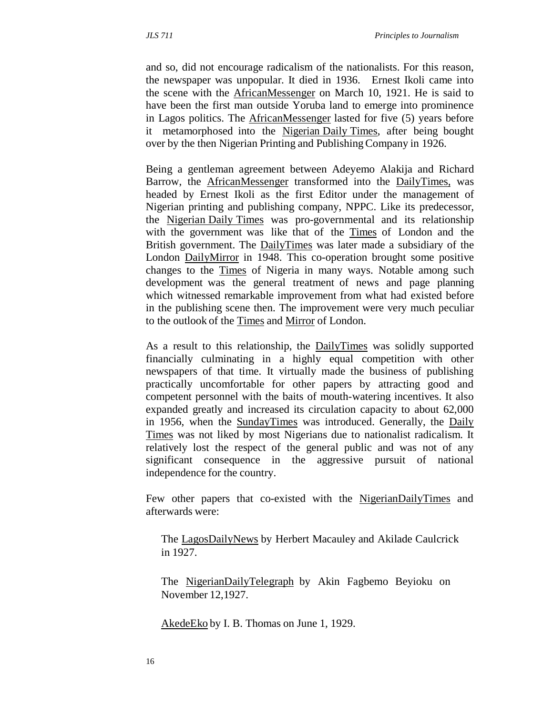and so, did not encourage radicalism of the nationalists. For this reason, the newspaper was unpopular. It died in 1936. Ernest Ikoli came into the scene with the AfricanMessenger on March 10, 1921. He is said to have been the first man outside Yoruba land to emerge into prominence in Lagos politics. The AfricanMessenger lasted for five (5) years before it metamorphosed into the Nigerian Daily Times, after being bought over by the then Nigerian Printing and Publishing Company in 1926.

Being a gentleman agreement between Adeyemo Alakija and Richard Barrow, the AfricanMessenger transformed into the DailyTimes, was headed by Ernest Ikoli as the first Editor under the management of Nigerian printing and publishing company, NPPC. Like its predecessor, the Nigerian Daily Times was pro-governmental and its relationship with the government was like that of the Times of London and the British government. The DailyTimes was later made a subsidiary of the London DailyMirror in 1948. This co-operation brought some positive changes to the Times of Nigeria in many ways. Notable among such development was the general treatment of news and page planning which witnessed remarkable improvement from what had existed before in the publishing scene then. The improvement were very much peculiar to the outlook of the Times and Mirror of London.

As a result to this relationship, the DailyTimes was solidly supported financially culminating in a highly equal competition with other newspapers of that time. It virtually made the business of publishing practically uncomfortable for other papers by attracting good and competent personnel with the baits of mouth-watering incentives. It also expanded greatly and increased its circulation capacity to about 62,000 in 1956, when the SundayTimes was introduced. Generally, the Daily Times was not liked by most Nigerians due to nationalist radicalism. It relatively lost the respect of the general public and was not of any significant consequence in the aggressive pursuit of national independence for the country.

Few other papers that co-existed with the NigerianDailyTimes and afterwards were:

The LagosDailyNews by Herbert Macauley and Akilade Caulcrick in 1927.

The NigerianDailyTelegraph by Akin Fagbemo Beyioku on November 12,1927.

AkedeEko by I. B. Thomas on June 1, 1929.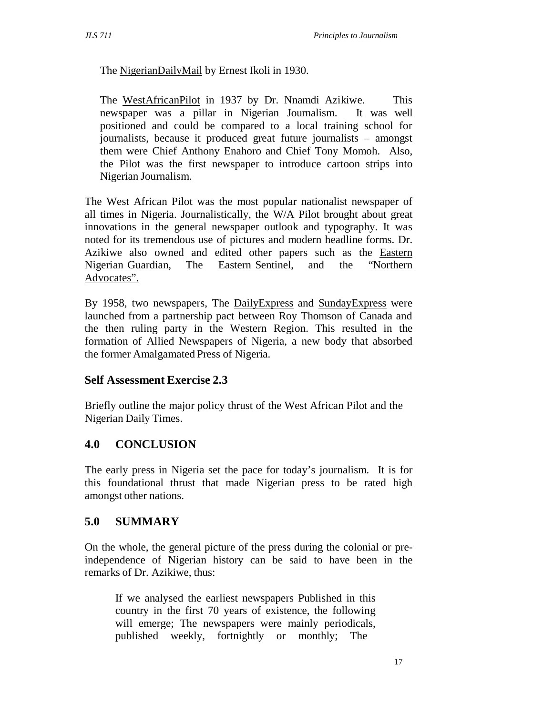The NigerianDailyMail by Ernest Ikoli in 1930.

The WestAfricanPilot in 1937 by Dr. Nnamdi Azikiwe. This newspaper was a pillar in Nigerian Journalism. It was well positioned and could be compared to a local training school for journalists, because it produced great future journalists – amongst them were Chief Anthony Enahoro and Chief Tony Momoh. Also, the Pilot was the first newspaper to introduce cartoon strips into Nigerian Journalism.

The West African Pilot was the most popular nationalist newspaper of all times in Nigeria. Journalistically, the W/A Pilot brought about great innovations in the general newspaper outlook and typography. It was noted for its tremendous use of pictures and modern headline forms. Dr. Azikiwe also owned and edited other papers such as the Eastern Nigerian Guardian, The Eastern Sentinel, and the "Northern Advocates".

By 1958, two newspapers, The DailyExpress and SundayExpress were launched from a partnership pact between Roy Thomson of Canada and the then ruling party in the Western Region. This resulted in the formation of Allied Newspapers of Nigeria, a new body that absorbed the former Amalgamated Press of Nigeria.

## **Self Assessment Exercise 2.3**

Briefly outline the major policy thrust of the West African Pilot and the Nigerian Daily Times.

## **4.0 CONCLUSION**

The early press in Nigeria set the pace for today's journalism. It is for this foundational thrust that made Nigerian press to be rated high amongst other nations.

## **5.0 SUMMARY**

On the whole, the general picture of the press during the colonial or preindependence of Nigerian history can be said to have been in the remarks of Dr. Azikiwe, thus:

If we analysed the earliest newspapers Published in this country in the first 70 years of existence, the following will emerge; The newspapers were mainly periodicals, published weekly, fortnightly or monthly; The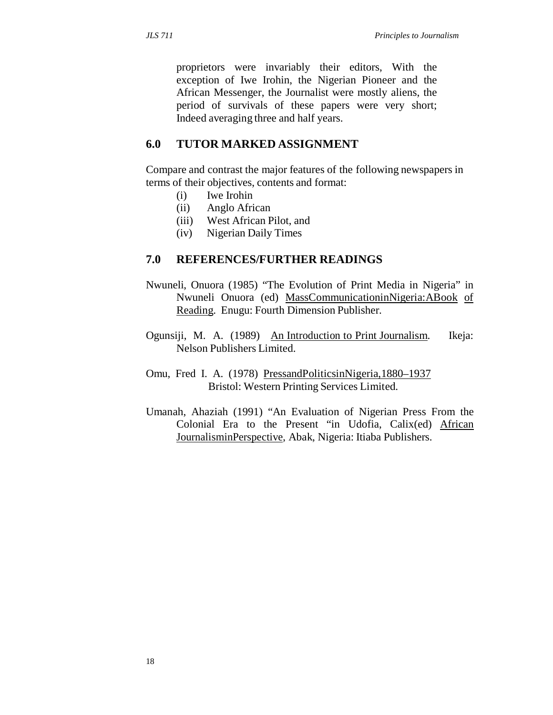proprietors were invariably their editors, With the exception of Iwe Irohin, the Nigerian Pioneer and the African Messenger, the Journalist were mostly aliens, the period of survivals of these papers were very short; Indeed averaging three and half years.

#### **6.0 TUTOR MARKED ASSIGNMENT**

Compare and contrast the major features of the following newspapers in terms of their objectives, contents and format:

- (i) Iwe Irohin
- (ii) Anglo African
- (iii) West African Pilot, and
- (iv) Nigerian Daily Times

#### **7.0 REFERENCES/FURTHER READINGS**

- Nwuneli, Onuora (1985) "The Evolution of Print Media in Nigeria" in Nwuneli Onuora (ed) MassCommunicationinNigeria:ABook of Reading. Enugu: Fourth Dimension Publisher.
- Ogunsiji, M. A. (1989) An Introduction to Print Journalism. Ikeja: Nelson Publishers Limited.
- Omu, Fred I. A. (1978) PressandPoliticsinNigeria,1880–1937 Bristol: Western Printing Services Limited.
- Umanah, Ahaziah (1991) "An Evaluation of Nigerian Press From the Colonial Era to the Present "in Udofia, Calix(ed) African JournalisminPerspective, Abak, Nigeria: Itiaba Publishers.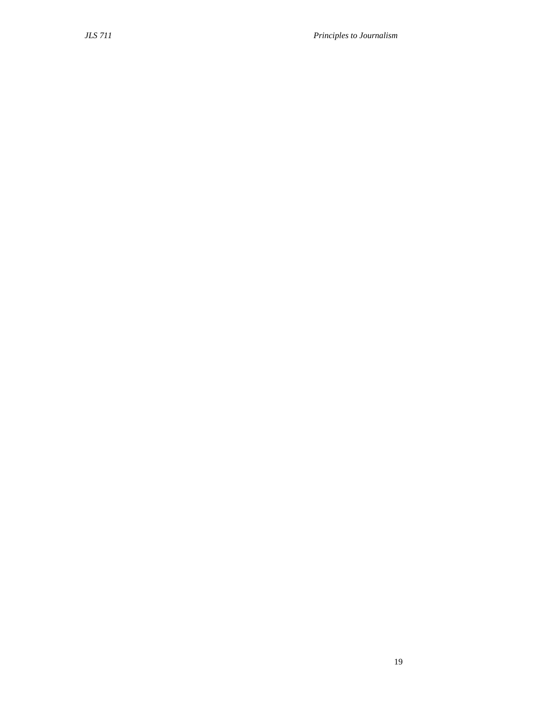*JLS 711 Principles to Journalism*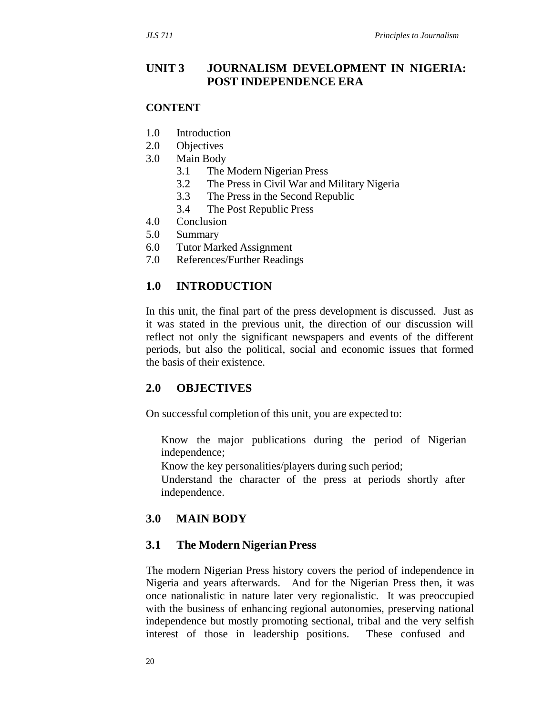### **UNIT 3 JOURNALISM DEVELOPMENT IN NIGERIA: POST INDEPENDENCE ERA**

#### **CONTENT**

- 1.0 Introduction
- 2.0 Objectives
- 3.0 Main Body
	- 3.1 The Modern Nigerian Press
	- 3.2 The Press in Civil War and Military Nigeria
	- 3.3 The Press in the Second Republic
	- 3.4 The Post Republic Press
- 4.0 Conclusion
- 5.0 Summary
- 6.0 Tutor Marked Assignment
- 7.0 References/Further Readings

#### **1.0 INTRODUCTION**

In this unit, the final part of the press development is discussed. Just as it was stated in the previous unit, the direction of our discussion will reflect not only the significant newspapers and events of the different periods, but also the political, social and economic issues that formed the basis of their existence.

#### **2.0 OBJECTIVES**

On successful completion of this unit, you are expected to:

Know the major publications during the period of Nigerian independence;

Know the key personalities/players during such period;

Understand the character of the press at periods shortly after independence.

#### **3.0 MAIN BODY**

#### **3.1 The Modern Nigerian Press**

The modern Nigerian Press history covers the period of independence in Nigeria and years afterwards. And for the Nigerian Press then, it was once nationalistic in nature later very regionalistic. It was preoccupied with the business of enhancing regional autonomies, preserving national independence but mostly promoting sectional, tribal and the very selfish interest of those in leadership positions. These confused and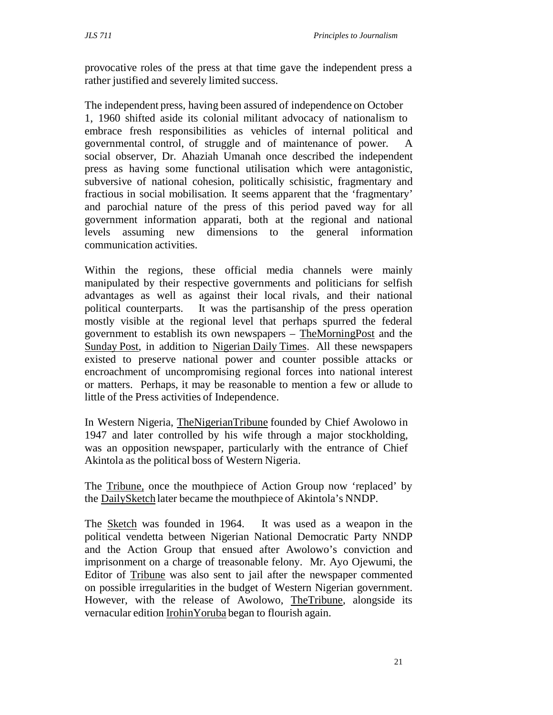provocative roles of the press at that time gave the independent press a rather justified and severely limited success.

The independent press, having been assured of independence on October 1, 1960 shifted aside its colonial militant advocacy of nationalism to embrace fresh responsibilities as vehicles of internal political and governmental control, of struggle and of maintenance of power. A social observer, Dr. Ahaziah Umanah once described the independent press as having some functional utilisation which were antagonistic, subversive of national cohesion, politically schisistic, fragmentary and fractious in social mobilisation. It seems apparent that the 'fragmentary' and parochial nature of the press of this period paved way for all government information apparati, both at the regional and national levels assuming new dimensions to the general information communication activities.

Within the regions, these official media channels were mainly manipulated by their respective governments and politicians for selfish advantages as well as against their local rivals, and their national political counterparts. It was the partisanship of the press operation mostly visible at the regional level that perhaps spurred the federal government to establish its own newspapers – TheMorningPost and the Sunday Post, in addition to Nigerian Daily Times. All these newspapers existed to preserve national power and counter possible attacks or encroachment of uncompromising regional forces into national interest or matters. Perhaps, it may be reasonable to mention a few or allude to little of the Press activities of Independence.

In Western Nigeria, TheNigerianTribune founded by Chief Awolowo in 1947 and later controlled by his wife through a major stockholding, was an opposition newspaper, particularly with the entrance of Chief Akintola as the political boss of Western Nigeria.

The Tribune, once the mouthpiece of Action Group now 'replaced' by the DailySketch later became the mouthpiece of Akintola's NNDP.

The Sketch was founded in 1964. It was used as a weapon in the political vendetta between Nigerian National Democratic Party NNDP and the Action Group that ensued after Awolowo's conviction and imprisonment on a charge of treasonable felony. Mr. Ayo Ojewumi, the Editor of Tribune was also sent to jail after the newspaper commented on possible irregularities in the budget of Western Nigerian government. However, with the release of Awolowo, TheTribune, alongside its vernacular edition IrohinYoruba began to flourish again.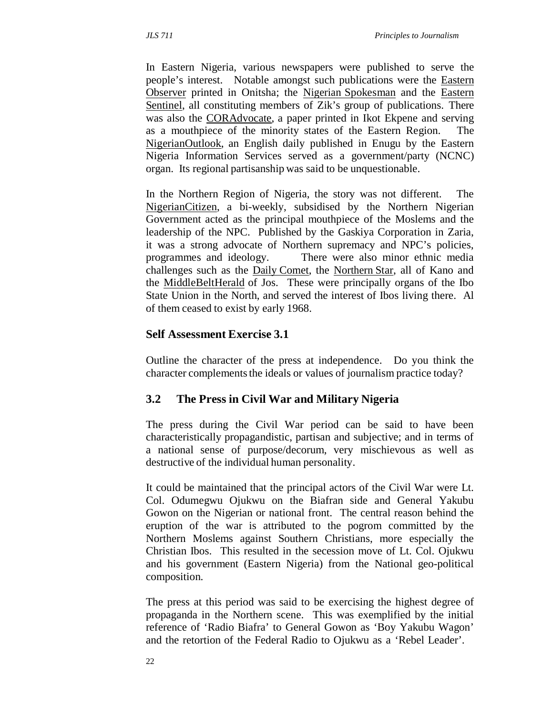In Eastern Nigeria, various newspapers were published to serve the people's interest. Notable amongst such publications were the Eastern Observer printed in Onitsha; the Nigerian Spokesman and the Eastern Sentinel, all constituting members of Zik's group of publications. There was also the CORAdvocate, a paper printed in Ikot Ekpene and serving as a mouthpiece of the minority states of the Eastern Region. The NigerianOutlook, an English daily published in Enugu by the Eastern Nigeria Information Services served as a government/party (NCNC) organ. Its regional partisanship was said to be unquestionable.

In the Northern Region of Nigeria, the story was not different. The NigerianCitizen, a bi-weekly, subsidised by the Northern Nigerian Government acted as the principal mouthpiece of the Moslems and the leadership of the NPC. Published by the Gaskiya Corporation in Zaria, it was a strong advocate of Northern supremacy and NPC's policies, programmes and ideology. There were also minor ethnic media challenges such as the Daily Comet, the Northern Star, all of Kano and the MiddleBeltHerald of Jos. These were principally organs of the Ibo State Union in the North, and served the interest of Ibos living there. Al of them ceased to exist by early 1968.

### **Self Assessment Exercise 3.1**

Outline the character of the press at independence. Do you think the character complements the ideals or values of journalism practice today?

## **3.2 The Press in Civil War and Military Nigeria**

The press during the Civil War period can be said to have been characteristically propagandistic, partisan and subjective; and in terms of a national sense of purpose/decorum, very mischievous as well as destructive of the individual human personality.

It could be maintained that the principal actors of the Civil War were Lt. Col. Odumegwu Ojukwu on the Biafran side and General Yakubu Gowon on the Nigerian or national front. The central reason behind the eruption of the war is attributed to the pogrom committed by the Northern Moslems against Southern Christians, more especially the Christian Ibos. This resulted in the secession move of Lt. Col. Ojukwu and his government (Eastern Nigeria) from the National geo-political composition.

The press at this period was said to be exercising the highest degree of propaganda in the Northern scene. This was exemplified by the initial reference of 'Radio Biafra' to General Gowon as 'Boy Yakubu Wagon' and the retortion of the Federal Radio to Ojukwu as a 'Rebel Leader'.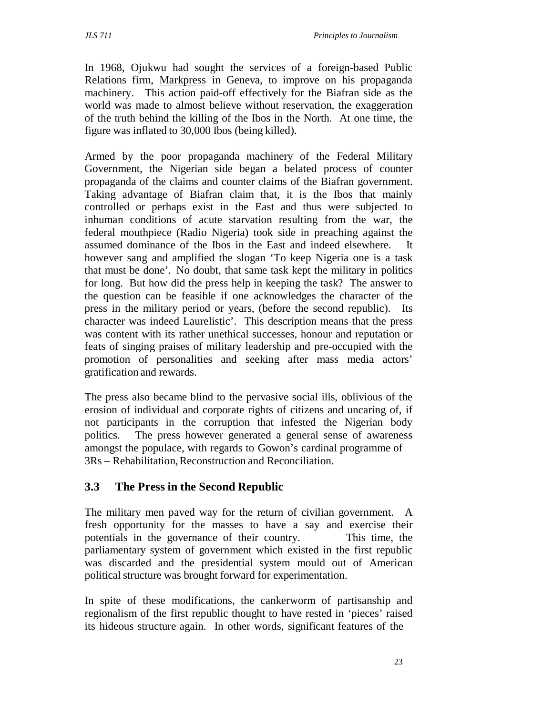*JLS 711 Principles to Journalism*

In 1968, Ojukwu had sought the services of a foreign-based Public Relations firm, Markpress in Geneva, to improve on his propaganda machinery. This action paid-off effectively for the Biafran side as the world was made to almost believe without reservation, the exaggeration of the truth behind the killing of the Ibos in the North. At one time, the figure was inflated to 30,000 Ibos (being killed).

Armed by the poor propaganda machinery of the Federal Military Government, the Nigerian side began a belated process of counter propaganda of the claims and counter claims of the Biafran government. Taking advantage of Biafran claim that, it is the Ibos that mainly controlled or perhaps exist in the East and thus were subjected to inhuman conditions of acute starvation resulting from the war, the federal mouthpiece (Radio Nigeria) took side in preaching against the assumed dominance of the Ibos in the East and indeed elsewhere. It however sang and amplified the slogan 'To keep Nigeria one is a task that must be done'. No doubt, that same task kept the military in politics for long. But how did the press help in keeping the task? The answer to the question can be feasible if one acknowledges the character of the press in the military period or years, (before the second republic). Its character was indeed Laurelistic'. This description means that the press was content with its rather unethical successes, honour and reputation or feats of singing praises of military leadership and pre-occupied with the promotion of personalities and seeking after mass media actors' gratification and rewards.

The press also became blind to the pervasive social ills, oblivious of the erosion of individual and corporate rights of citizens and uncaring of, if not participants in the corruption that infested the Nigerian body politics. The press however generated a general sense of awareness amongst the populace, with regards to Gowon's cardinal programme of 3Rs – Rehabilitation, Reconstruction and Reconciliation.

## **3.3 The Press in the Second Republic**

The military men paved way for the return of civilian government. A fresh opportunity for the masses to have a say and exercise their potentials in the governance of their country. This time, the parliamentary system of government which existed in the first republic was discarded and the presidential system mould out of American political structure was brought forward for experimentation.

In spite of these modifications, the cankerworm of partisanship and regionalism of the first republic thought to have rested in 'pieces' raised its hideous structure again. In other words, significant features of the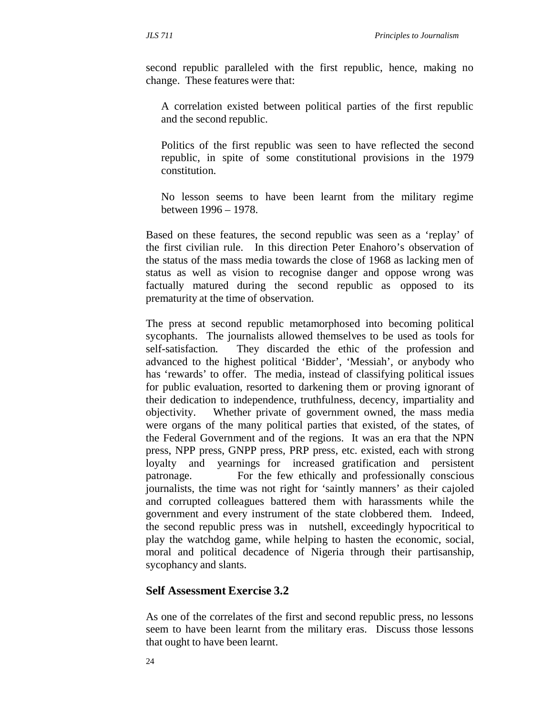second republic paralleled with the first republic, hence, making no change. These features were that:

A correlation existed between political parties of the first republic and the second republic.

Politics of the first republic was seen to have reflected the second republic, in spite of some constitutional provisions in the 1979 constitution.

No lesson seems to have been learnt from the military regime between 1996 – 1978.

Based on these features, the second republic was seen as a 'replay' of the first civilian rule. In this direction Peter Enahoro's observation of the status of the mass media towards the close of 1968 as lacking men of status as well as vision to recognise danger and oppose wrong was factually matured during the second republic as opposed to its prematurity at the time of observation.

The press at second republic metamorphosed into becoming political sycophants. The journalists allowed themselves to be used as tools for self-satisfaction. They discarded the ethic of the profession and advanced to the highest political 'Bidder', 'Messiah', or anybody who has 'rewards' to offer. The media, instead of classifying political issues for public evaluation, resorted to darkening them or proving ignorant of their dedication to independence, truthfulness, decency, impartiality and objectivity. Whether private of government owned, the mass media were organs of the many political parties that existed, of the states, of the Federal Government and of the regions. It was an era that the NPN press, NPP press, GNPP press, PRP press, etc. existed, each with strong loyalty and yearnings for increased gratification and persistent patronage. For the few ethically and professionally conscious journalists, the time was not right for 'saintly manners' as their cajoled and corrupted colleagues battered them with harassments while the government and every instrument of the state clobbered them. Indeed, the second republic press was in nutshell, exceedingly hypocritical to play the watchdog game, while helping to hasten the economic, social, moral and political decadence of Nigeria through their partisanship, sycophancy and slants.

#### **Self Assessment Exercise 3.2**

As one of the correlates of the first and second republic press, no lessons seem to have been learnt from the military eras. Discuss those lessons that ought to have been learnt.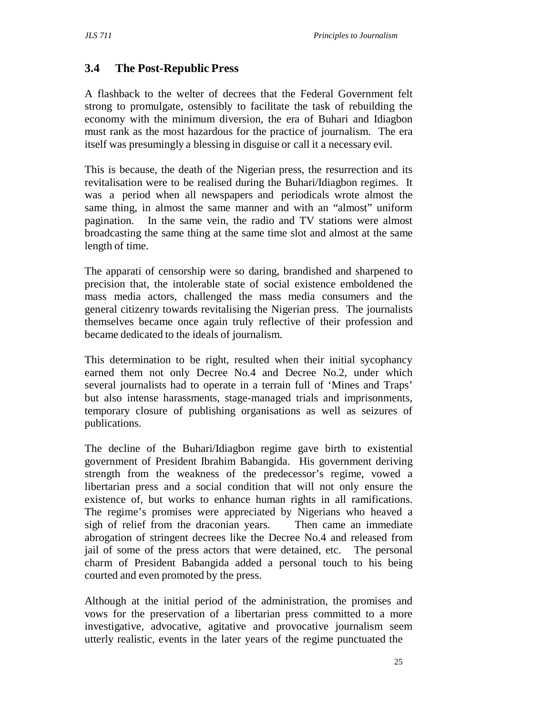## **3.4 The Post-Republic Press**

A flashback to the welter of decrees that the Federal Government felt strong to promulgate, ostensibly to facilitate the task of rebuilding the economy with the minimum diversion, the era of Buhari and Idiagbon must rank as the most hazardous for the practice of journalism. The era itself was presumingly a blessing in disguise or call it a necessary evil.

This is because, the death of the Nigerian press, the resurrection and its revitalisation were to be realised during the Buhari/Idiagbon regimes. It was a period when all newspapers and periodicals wrote almost the same thing, in almost the same manner and with an "almost" uniform pagination. In the same vein, the radio and TV stations were almost broadcasting the same thing at the same time slot and almost at the same length of time.

The apparati of censorship were so daring, brandished and sharpened to precision that, the intolerable state of social existence emboldened the mass media actors, challenged the mass media consumers and the general citizenry towards revitalising the Nigerian press. The journalists themselves became once again truly reflective of their profession and became dedicated to the ideals of journalism.

This determination to be right, resulted when their initial sycophancy earned them not only Decree No.4 and Decree No.2, under which several journalists had to operate in a terrain full of 'Mines and Traps' but also intense harassments, stage-managed trials and imprisonments, temporary closure of publishing organisations as well as seizures of publications.

The decline of the Buhari/Idiagbon regime gave birth to existential government of President Ibrahim Babangida. His government deriving strength from the weakness of the predecessor's regime, vowed a libertarian press and a social condition that will not only ensure the existence of, but works to enhance human rights in all ramifications. The regime's promises were appreciated by Nigerians who heaved a sigh of relief from the draconian years. Then came an immediate abrogation of stringent decrees like the Decree No.4 and released from jail of some of the press actors that were detained, etc. The personal charm of President Babangida added a personal touch to his being courted and even promoted by the press.

Although at the initial period of the administration, the promises and vows for the preservation of a libertarian press committed to a more investigative, advocative, agitative and provocative journalism seem utterly realistic, events in the later years of the regime punctuated the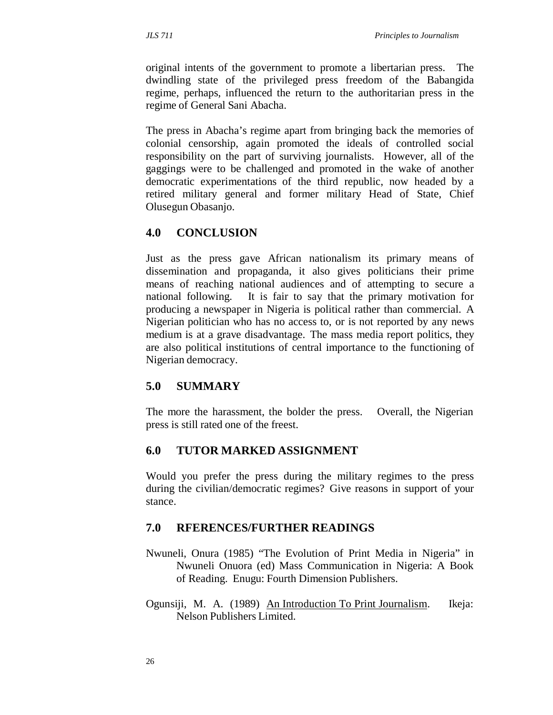original intents of the government to promote a libertarian press. The dwindling state of the privileged press freedom of the Babangida regime, perhaps, influenced the return to the authoritarian press in the regime of General Sani Abacha.

The press in Abacha's regime apart from bringing back the memories of colonial censorship, again promoted the ideals of controlled social responsibility on the part of surviving journalists. However, all of the gaggings were to be challenged and promoted in the wake of another democratic experimentations of the third republic, now headed by a retired military general and former military Head of State, Chief Olusegun Obasanjo.

## **4.0 CONCLUSION**

Just as the press gave African nationalism its primary means of dissemination and propaganda, it also gives politicians their prime means of reaching national audiences and of attempting to secure a national following. It is fair to say that the primary motivation for producing a newspaper in Nigeria is political rather than commercial. A Nigerian politician who has no access to, or is not reported by any news medium is at a grave disadvantage. The mass media report politics, they are also political institutions of central importance to the functioning of Nigerian democracy.

## **5.0 SUMMARY**

The more the harassment, the bolder the press. Overall, the Nigerian press is still rated one of the freest.

## **6.0 TUTOR MARKED ASSIGNMENT**

Would you prefer the press during the military regimes to the press during the civilian/democratic regimes? Give reasons in support of your stance.

## **7.0 RFERENCES/FURTHER READINGS**

- Nwuneli, Onura (1985) "The Evolution of Print Media in Nigeria" in Nwuneli Onuora (ed) Mass Communication in Nigeria: A Book of Reading. Enugu: Fourth Dimension Publishers.
- Ogunsiji, M. A. (1989) An Introduction To Print Journalism. Ikeja: Nelson Publishers Limited.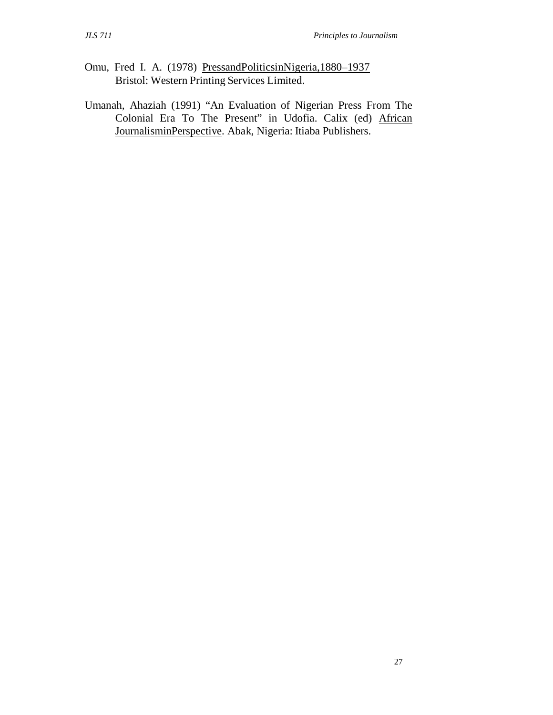- Omu, Fred I. A. (1978) PressandPoliticsinNigeria,1880–1937 Bristol: Western Printing Services Limited.
- Umanah, Ahaziah (1991) "An Evaluation of Nigerian Press From The Colonial Era To The Present" in Udofia. Calix (ed) African JournalisminPerspective. Abak, Nigeria: Itiaba Publishers.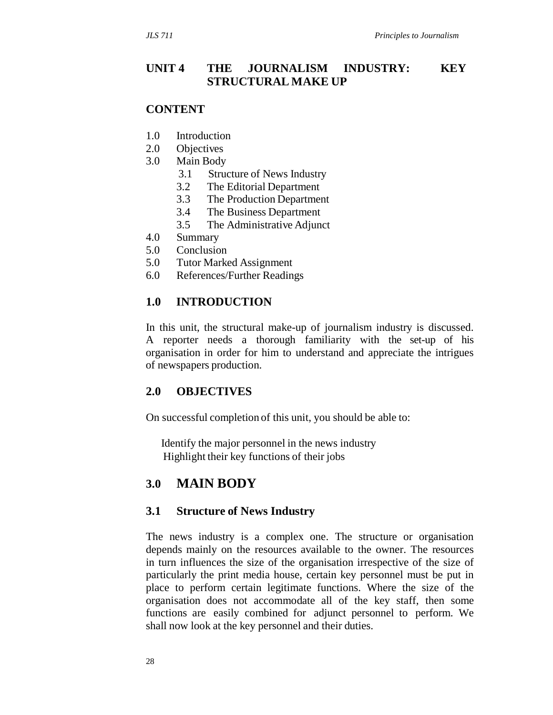### **UNIT 4 THE JOURNALISM INDUSTRY: KEY STRUCTURAL MAKE UP**

#### **CONTENT**

- 1.0 Introduction
- 2.0 Objectives
- 3.0 Main Body
	- 3.1 Structure of News Industry
	- 3.2 The Editorial Department
	- 3.3 The Production Department
	- 3.4 The Business Department
	- 3.5 The Administrative Adjunct
- 4.0 Summary
- 5.0 Conclusion
- 5.0 Tutor Marked Assignment
- 6.0 References/Further Readings

#### **1.0 INTRODUCTION**

In this unit, the structural make-up of journalism industry is discussed. A reporter needs a thorough familiarity with the set-up of his organisation in order for him to understand and appreciate the intrigues of newspapers production.

#### **2.0 OBJECTIVES**

On successful completion of this unit, you should be able to:

Identify the major personnel in the news industry Highlight their key functions of their jobs

### **3.0 MAIN BODY**

#### **3.1 Structure of News Industry**

The news industry is a complex one. The structure or organisation depends mainly on the resources available to the owner. The resources in turn influences the size of the organisation irrespective of the size of particularly the print media house, certain key personnel must be put in place to perform certain legitimate functions. Where the size of the organisation does not accommodate all of the key staff, then some functions are easily combined for adjunct personnel to perform. We shall now look at the key personnel and their duties.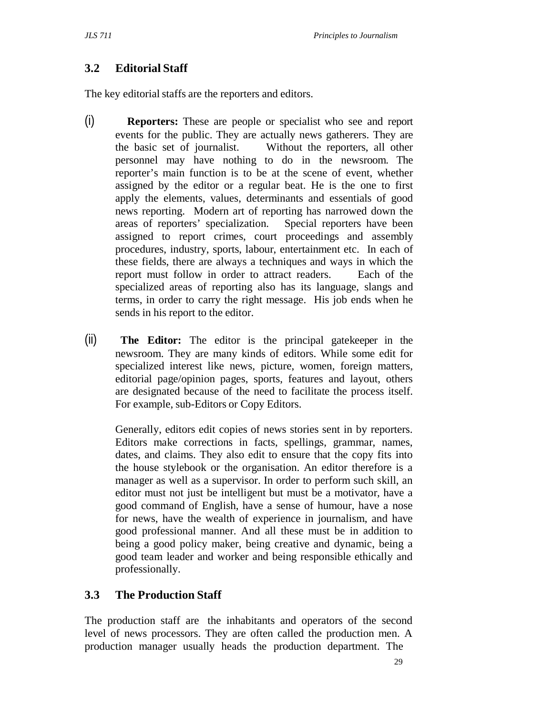# **3.2 Editorial Staff**

The key editorial staffs are the reporters and editors.

- (i) **Reporters:** These are people or specialist who see and report events for the public. They are actually news gatherers. They are the basic set of journalist. Without the reporters, all other personnel may have nothing to do in the newsroom. The reporter's main function is to be at the scene of event, whether assigned by the editor or a regular beat. He is the one to first apply the elements, values, determinants and essentials of good news reporting. Modern art of reporting has narrowed down the areas of reporters' specialization. Special reporters have been assigned to report crimes, court proceedings and assembly procedures, industry, sports, labour, entertainment etc. In each of these fields, there are always a techniques and ways in which the report must follow in order to attract readers. Each of the specialized areas of reporting also has its language, slangs and terms, in order to carry the right message. His job ends when he sends in his report to the editor.
- (ii) **The Editor:** The editor is the principal gatekeeper in the newsroom. They are many kinds of editors. While some edit for specialized interest like news, picture, women, foreign matters, editorial page/opinion pages, sports, features and layout, others are designated because of the need to facilitate the process itself. For example, sub-Editors or Copy Editors.

Generally, editors edit copies of news stories sent in by reporters. Editors make corrections in facts, spellings, grammar, names, dates, and claims. They also edit to ensure that the copy fits into the house stylebook or the organisation. An editor therefore is a manager as well as a supervisor. In order to perform such skill, an editor must not just be intelligent but must be a motivator, have a good command of English, have a sense of humour, have a nose for news, have the wealth of experience in journalism, and have good professional manner. And all these must be in addition to being a good policy maker, being creative and dynamic, being a good team leader and worker and being responsible ethically and professionally.

## **3.3 The Production Staff**

The production staff are the inhabitants and operators of the second level of news processors. They are often called the production men. A production manager usually heads the production department. The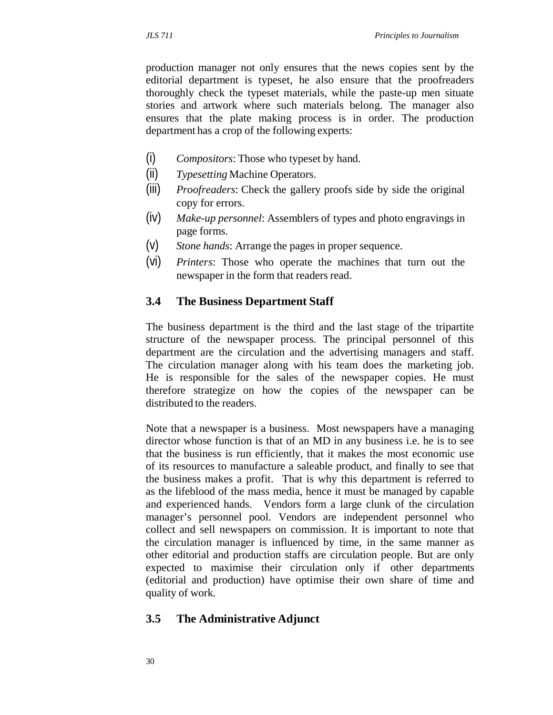production manager not only ensures that the news copies sent by the editorial department is typeset, he also ensure that the proofreaders thoroughly check the typeset materials, while the paste-up men situate stories and artwork where such materials belong. The manager also ensures that the plate making process is in order. The production department has a crop of the following experts:

- (i) *Compositors*: Those who typeset by hand.
- (ii) *Typesetting* Machine Operators.
- (iii) *Proofreaders*: Check the gallery proofs side by side the original copy for errors.
- (iv) *Make*-*up personnel*: Assemblers of types and photo engravings in page forms.
- (v) *Stone hands*: Arrange the pages in proper sequence.
- (vi) *Printers*: Those who operate the machines that turn out the newspaper in the form that readers read.

#### **3.4 The Business Department Staff**

The business department is the third and the last stage of the tripartite structure of the newspaper process. The principal personnel of this department are the circulation and the advertising managers and staff. The circulation manager along with his team does the marketing job. He is responsible for the sales of the newspaper copies. He must therefore strategize on how the copies of the newspaper can be distributed to the readers.

Note that a newspaper is a business. Most newspapers have a managing director whose function is that of an MD in any business i.e. he is to see that the business is run efficiently, that it makes the most economic use of its resources to manufacture a saleable product, and finally to see that the business makes a profit. That is why this department is referred to as the lifeblood of the mass media, hence it must be managed by capable and experienced hands. Vendors form a large clunk of the circulation manager's personnel pool. Vendors are independent personnel who collect and sell newspapers on commission. It is important to note that the circulation manager is influenced by time, in the same manner as other editorial and production staffs are circulation people. But are only expected to maximise their circulation only if other departments (editorial and production) have optimise their own share of time and quality of work.

#### **3.5 The Administrative Adjunct**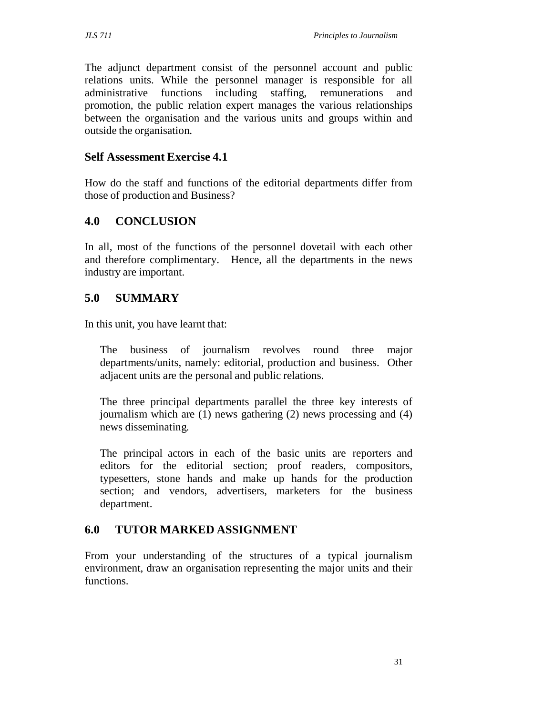The adjunct department consist of the personnel account and public relations units. While the personnel manager is responsible for all administrative functions including staffing, remunerations and promotion, the public relation expert manages the various relationships between the organisation and the various units and groups within and outside the organisation.

### **Self Assessment Exercise 4.1**

How do the staff and functions of the editorial departments differ from those of production and Business?

### **4.0 CONCLUSION**

In all, most of the functions of the personnel dovetail with each other and therefore complimentary. Hence, all the departments in the news industry are important.

### **5.0 SUMMARY**

In this unit, you have learnt that:

The business of journalism revolves round three major departments/units, namely: editorial, production and business. Other adjacent units are the personal and public relations.

The three principal departments parallel the three key interests of journalism which are (1) news gathering (2) news processing and (4) news disseminating.

The principal actors in each of the basic units are reporters and editors for the editorial section; proof readers, compositors, typesetters, stone hands and make up hands for the production section; and vendors, advertisers, marketers for the business department.

### **6.0 TUTOR MARKED ASSIGNMENT**

From your understanding of the structures of a typical journalism environment, draw an organisation representing the major units and their functions.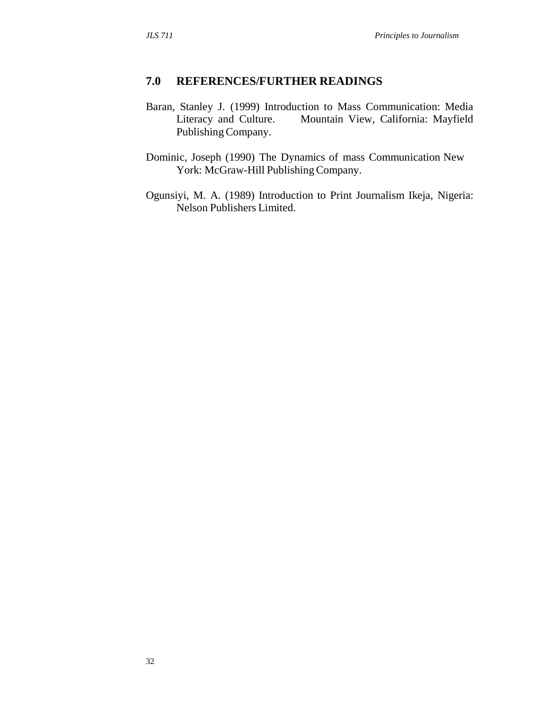### **7.0 REFERENCES/FURTHER READINGS**

- Baran, Stanley J. (1999) Introduction to Mass Communication: Media Mountain View, California: Mayfield Publishing Company.
- Dominic, Joseph (1990) The Dynamics of mass Communication New York: McGraw-Hill Publishing Company.
- Ogunsiyi, M. A. (1989) Introduction to Print Journalism Ikeja, Nigeria: Nelson Publishers Limited.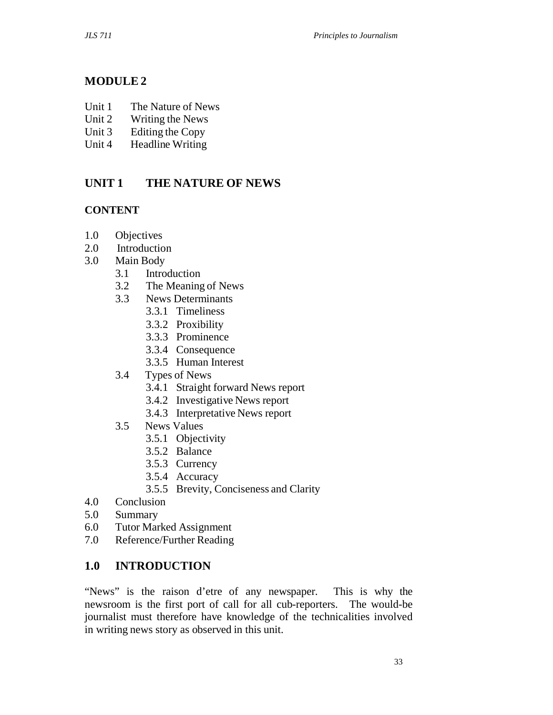# **MODULE 2**

- Unit 1 The Nature of News
- Unit 2 Writing the News
- Unit 3 Editing the Copy
- Unit 4 Headline Writing

# **UNIT 1 THE NATURE OF NEWS**

## **CONTENT**

- 1.0 Objectives
- 2.0 Introduction
- 3.0 Main Body
	- 3.1 Introduction
	- 3.2 The Meaning of News
	- 3.3 News Determinants
		- 3.3.1 Timeliness
		- 3.3.2 Proxibility
		- 3.3.3 Prominence
		- 3.3.4 Consequence
		- 3.3.5 Human Interest
	- 3.4 Types of News
		- 3.4.1 Straight forward News report
		- 3.4.2 Investigative News report
		- 3.4.3 Interpretative News report
	- 3.5 News Values
		- 3.5.1 Objectivity
		- 3.5.2 Balance
		- 3.5.3 Currency
		- 3.5.4 Accuracy
		- 3.5.5 Brevity, Conciseness and Clarity
- 4.0 Conclusion
- 5.0 Summary
- 6.0 Tutor Marked Assignment
- 7.0 Reference/Further Reading

# **1.0 INTRODUCTION**

"News" is the raison d'etre of any newspaper. This is why the newsroom is the first port of call for all cub-reporters. The would-be journalist must therefore have knowledge of the technicalities involved in writing news story as observed in this unit.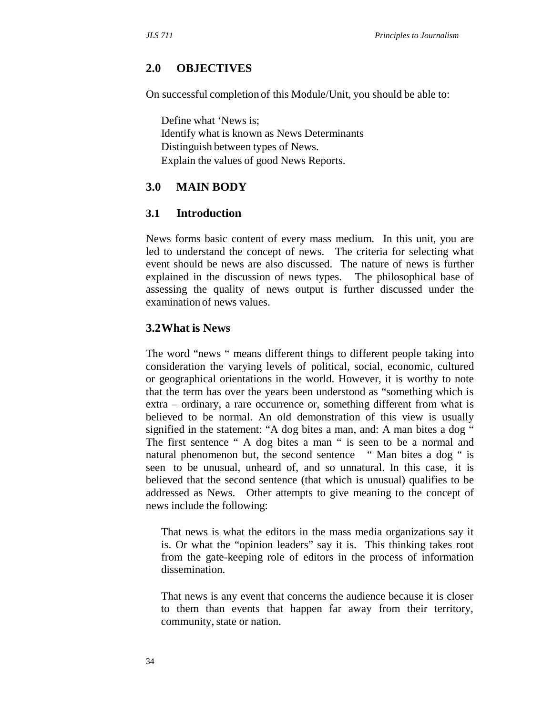#### **2.0 OBJECTIVES**

On successful completion of this Module/Unit, you should be able to:

Define what 'News is; Identify what is known as News Determinants Distinguish between types of News. Explain the values of good News Reports.

#### **3.0 MAIN BODY**

#### **3.1 Introduction**

News forms basic content of every mass medium. In this unit, you are led to understand the concept of news. The criteria for selecting what event should be news are also discussed. The nature of news is further explained in the discussion of news types. The philosophical base of assessing the quality of news output is further discussed under the examination of news values.

#### **3.2What is News**

The word "news " means different things to different people taking into consideration the varying levels of political, social, economic, cultured or geographical orientations in the world. However, it is worthy to note that the term has over the years been understood as "something which is extra – ordinary, a rare occurrence or, something different from what is believed to be normal. An old demonstration of this view is usually signified in the statement: "A dog bites a man, and: A man bites a dog " The first sentence " A dog bites a man " is seen to be a normal and natural phenomenon but, the second sentence " Man bites a dog " is seen to be unusual, unheard of, and so unnatural. In this case, it is believed that the second sentence (that which is unusual) qualifies to be addressed as News. Other attempts to give meaning to the concept of news include the following:

That news is what the editors in the mass media organizations say it is. Or what the "opinion leaders" say it is. This thinking takes root from the gate-keeping role of editors in the process of information dissemination.

That news is any event that concerns the audience because it is closer to them than events that happen far away from their territory, community, state or nation.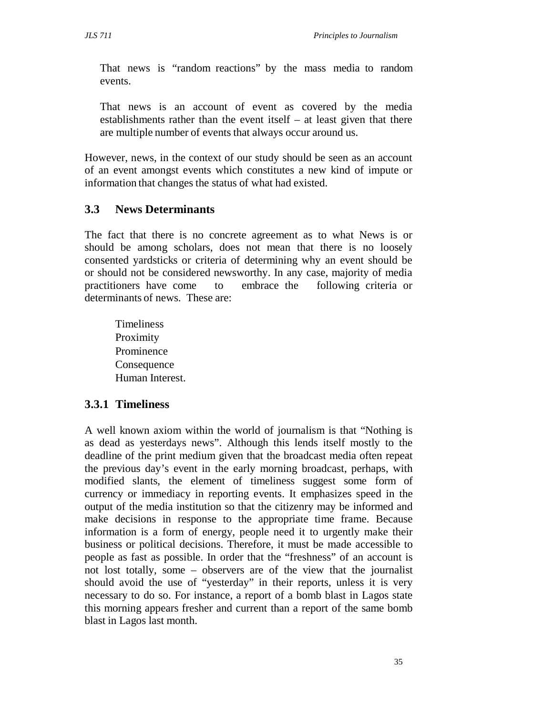That news is "random reactions" by the mass media to random events.

That news is an account of event as covered by the media establishments rather than the event itself – at least given that there are multiple number of events that always occur around us.

However, news, in the context of our study should be seen as an account of an event amongst events which constitutes a new kind of impute or information that changes the status of what had existed.

#### **3.3 News Determinants**

The fact that there is no concrete agreement as to what News is or should be among scholars, does not mean that there is no loosely consented yardsticks or criteria of determining why an event should be or should not be considered newsworthy. In any case, majority of media practitioners have come to embrace the following criteria or determinants of news. These are:

Timeliness Proximity Prominence **Consequence** Human Interest.

#### **3.3.1 Timeliness**

A well known axiom within the world of journalism is that "Nothing is as dead as yesterdays news". Although this lends itself mostly to the deadline of the print medium given that the broadcast media often repeat the previous day's event in the early morning broadcast, perhaps, with modified slants, the element of timeliness suggest some form of currency or immediacy in reporting events. It emphasizes speed in the output of the media institution so that the citizenry may be informed and make decisions in response to the appropriate time frame. Because information is a form of energy, people need it to urgently make their business or political decisions. Therefore, it must be made accessible to people as fast as possible. In order that the "freshness" of an account is not lost totally, some – observers are of the view that the journalist should avoid the use of "yesterday" in their reports, unless it is very necessary to do so. For instance, a report of a bomb blast in Lagos state this morning appears fresher and current than a report of the same bomb blast in Lagos last month.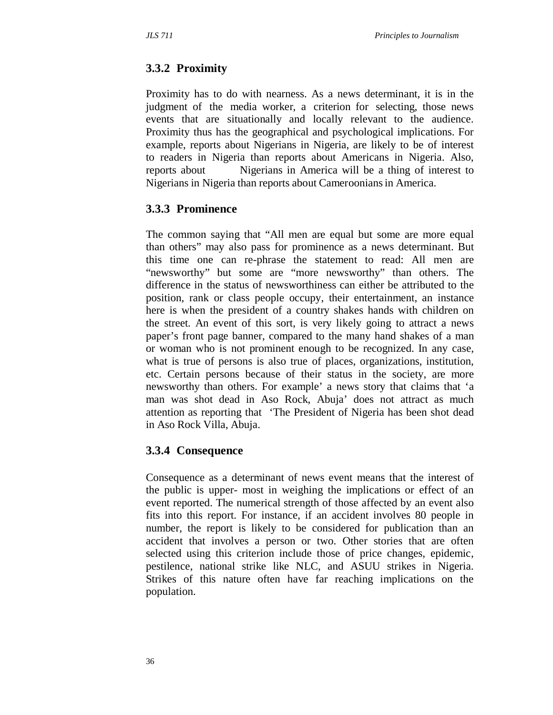# **3.3.2 Proximity**

Proximity has to do with nearness. As a news determinant, it is in the judgment of the media worker, a criterion for selecting, those news events that are situationally and locally relevant to the audience. Proximity thus has the geographical and psychological implications. For example, reports about Nigerians in Nigeria, are likely to be of interest to readers in Nigeria than reports about Americans in Nigeria. Also, reports about Nigerians in America will be a thing of interest to Nigerians in Nigeria than reports about Cameroonians in America.

## **3.3.3 Prominence**

The common saying that "All men are equal but some are more equal than others" may also pass for prominence as a news determinant. But this time one can re-phrase the statement to read: All men are "newsworthy" but some are "more newsworthy" than others. The difference in the status of newsworthiness can either be attributed to the position, rank or class people occupy, their entertainment, an instance here is when the president of a country shakes hands with children on the street. An event of this sort, is very likely going to attract a news paper's front page banner, compared to the many hand shakes of a man or woman who is not prominent enough to be recognized. In any case, what is true of persons is also true of places, organizations, institution, etc. Certain persons because of their status in the society, are more newsworthy than others. For example' a news story that claims that 'a man was shot dead in Aso Rock, Abuja' does not attract as much attention as reporting that 'The President of Nigeria has been shot dead in Aso Rock Villa, Abuja.

### **3.3.4 Consequence**

Consequence as a determinant of news event means that the interest of the public is upper- most in weighing the implications or effect of an event reported. The numerical strength of those affected by an event also fits into this report. For instance, if an accident involves 80 people in number, the report is likely to be considered for publication than an accident that involves a person or two. Other stories that are often selected using this criterion include those of price changes, epidemic, pestilence, national strike like NLC, and ASUU strikes in Nigeria. Strikes of this nature often have far reaching implications on the population.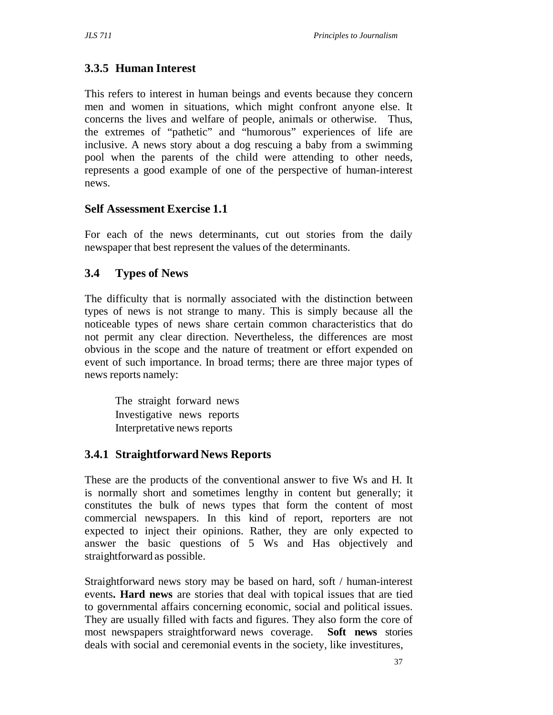# **3.3.5 Human Interest**

This refers to interest in human beings and events because they concern men and women in situations, which might confront anyone else. It concerns the lives and welfare of people, animals or otherwise. Thus, the extremes of "pathetic" and "humorous" experiences of life are inclusive. A news story about a dog rescuing a baby from a swimming pool when the parents of the child were attending to other needs, represents a good example of one of the perspective of human-interest news.

## **Self Assessment Exercise 1.1**

For each of the news determinants, cut out stories from the daily newspaper that best represent the values of the determinants.

# **3.4 Types of News**

The difficulty that is normally associated with the distinction between types of news is not strange to many. This is simply because all the noticeable types of news share certain common characteristics that do not permit any clear direction. Nevertheless, the differences are most obvious in the scope and the nature of treatment or effort expended on event of such importance. In broad terms; there are three major types of news reports namely:

The straight forward news Investigative news reports Interpretative news reports

## **3.4.1 Straightforward News Reports**

These are the products of the conventional answer to five Ws and H. It is normally short and sometimes lengthy in content but generally; it constitutes the bulk of news types that form the content of most commercial newspapers. In this kind of report, reporters are not expected to inject their opinions. Rather, they are only expected to answer the basic questions of 5 Ws and Has objectively and straightforward as possible.

Straightforward news story may be based on hard, soft / human-interest events**. Hard news** are stories that deal with topical issues that are tied to governmental affairs concerning economic, social and political issues. They are usually filled with facts and figures. They also form the core of most newspapers straightforward news coverage. **Soft news** stories deals with social and ceremonial events in the society, like investitures,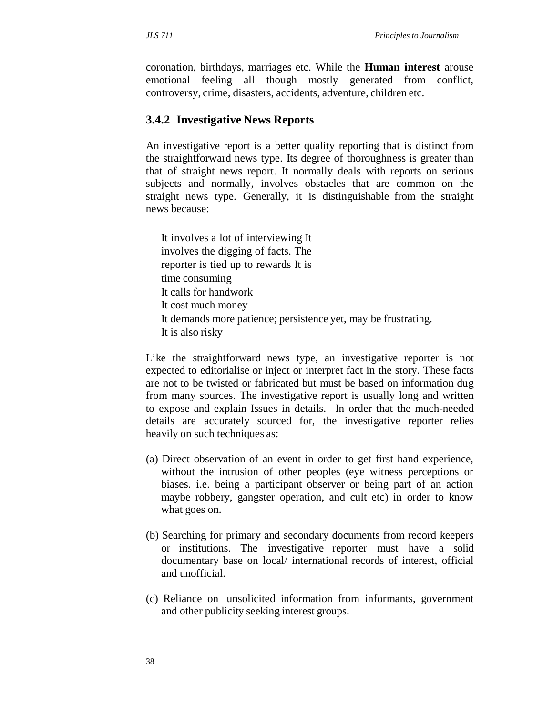coronation, birthdays, marriages etc. While the **Human interest** arouse emotional feeling all though mostly generated from conflict, controversy, crime, disasters, accidents, adventure, children etc.

### **3.4.2 Investigative News Reports**

An investigative report is a better quality reporting that is distinct from the straightforward news type. Its degree of thoroughness is greater than that of straight news report. It normally deals with reports on serious subjects and normally, involves obstacles that are common on the straight news type. Generally, it is distinguishable from the straight news because:

It involves a lot of interviewing It involves the digging of facts. The reporter is tied up to rewards It is time consuming It calls for handwork It cost much money It demands more patience; persistence yet, may be frustrating. It is also risky

Like the straightforward news type, an investigative reporter is not expected to editorialise or inject or interpret fact in the story. These facts are not to be twisted or fabricated but must be based on information dug from many sources. The investigative report is usually long and written to expose and explain Issues in details. In order that the much-needed details are accurately sourced for, the investigative reporter relies heavily on such techniques as:

- (a) Direct observation of an event in order to get first hand experience, without the intrusion of other peoples (eye witness perceptions or biases. i.e. being a participant observer or being part of an action maybe robbery, gangster operation, and cult etc) in order to know what goes on.
- (b) Searching for primary and secondary documents from record keepers or institutions. The investigative reporter must have a solid documentary base on local/ international records of interest, official and unofficial.
- (c) Reliance on unsolicited information from informants, government and other publicity seeking interest groups.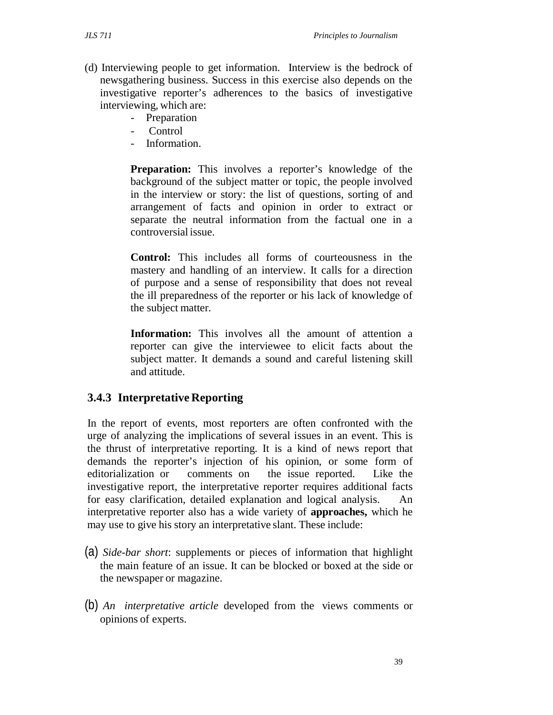- (d) Interviewing people to get information. Interview is the bedrock of newsgathering business. Success in this exercise also depends on the investigative reporter's adherences to the basics of investigative interviewing, which are:
	- Preparation
	- Control
	- Information.

**Preparation:** This involves a reporter's knowledge of the background of the subject matter or topic, the people involved in the interview or story: the list of questions, sorting of and arrangement of facts and opinion in order to extract or separate the neutral information from the factual one in a controversial issue.

**Control:** This includes all forms of courteousness in the mastery and handling of an interview. It calls for a direction of purpose and a sense of responsibility that does not reveal the ill preparedness of the reporter or his lack of knowledge of the subject matter.

**Information:** This involves all the amount of attention a reporter can give the interviewee to elicit facts about the subject matter. It demands a sound and careful listening skill and attitude.

#### **3.4.3 Interpretative Reporting**

In the report of events, most reporters are often confronted with the urge of analyzing the implications of several issues in an event. This is the thrust of interpretative reporting. It is a kind of news report that demands the reporter's injection of his opinion, or some form of editorialization or comments on the issue reported. Like the investigative report, the interpretative reporter requires additional facts for easy clarification, detailed explanation and logical analysis. An interpretative reporter also has a wide variety of **approaches,** which he may use to give his story an interpretative slant. These include:

- (a) *Side-bar short*: supplements or pieces of information that highlight the main feature of an issue. It can be blocked or boxed at the side or the newspaper or magazine.
- (b) *An interpretative article* developed from the views comments or opinions of experts.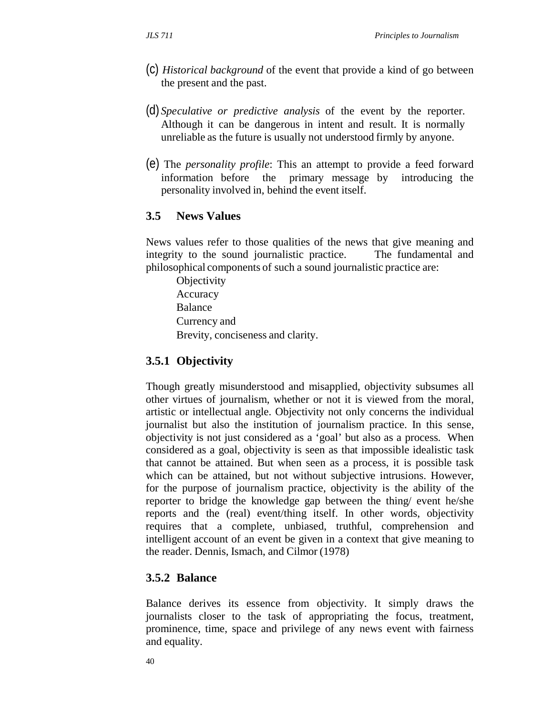- (c) *Historical background* of the event that provide a kind of go between the present and the past.
- (d) *Speculative or predictive analysis* of the event by the reporter. Although it can be dangerous in intent and result. It is normally unreliable as the future is usually not understood firmly by anyone.
- (e) The *personality profile*: This an attempt to provide a feed forward information before the primary message by introducing the personality involved in, behind the event itself.

#### **3.5 News Values**

News values refer to those qualities of the news that give meaning and integrity to the sound journalistic practice. The fundamental and philosophical components of such a sound journalistic practice are:

**Objectivity** Accuracy Balance Currency and Brevity, conciseness and clarity.

#### **3.5.1 Objectivity**

Though greatly misunderstood and misapplied, objectivity subsumes all other virtues of journalism, whether or not it is viewed from the moral, artistic or intellectual angle. Objectivity not only concerns the individual journalist but also the institution of journalism practice. In this sense, objectivity is not just considered as a 'goal' but also as a process. When considered as a goal, objectivity is seen as that impossible idealistic task that cannot be attained. But when seen as a process, it is possible task which can be attained, but not without subjective intrusions. However, for the purpose of journalism practice, objectivity is the ability of the reporter to bridge the knowledge gap between the thing/ event he/she reports and the (real) event/thing itself. In other words, objectivity requires that a complete, unbiased, truthful, comprehension and intelligent account of an event be given in a context that give meaning to the reader. Dennis, Ismach, and Cilmor (1978)

#### **3.5.2 Balance**

Balance derives its essence from objectivity. It simply draws the journalists closer to the task of appropriating the focus, treatment, prominence, time, space and privilege of any news event with fairness and equality.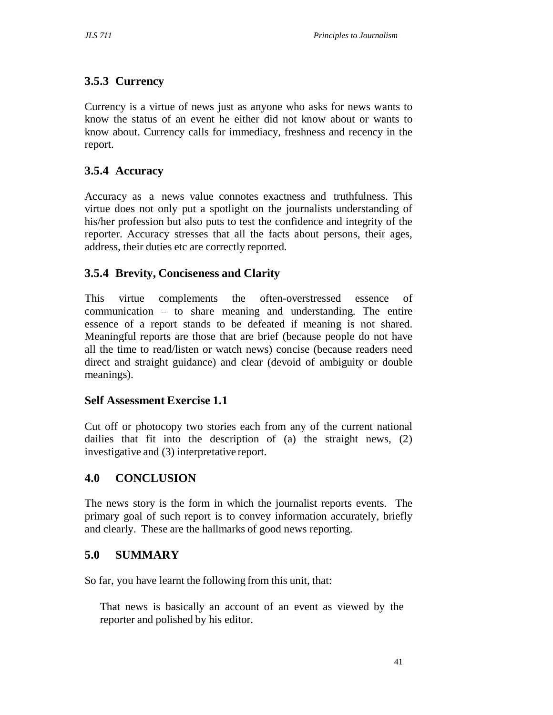# **3.5.3 Currency**

Currency is a virtue of news just as anyone who asks for news wants to know the status of an event he either did not know about or wants to know about. Currency calls for immediacy, freshness and recency in the report.

## **3.5.4 Accuracy**

Accuracy as a news value connotes exactness and truthfulness. This virtue does not only put a spotlight on the journalists understanding of his/her profession but also puts to test the confidence and integrity of the reporter. Accuracy stresses that all the facts about persons, their ages, address, their duties etc are correctly reported.

## **3.5.4 Brevity, Conciseness and Clarity**

This virtue complements the often-overstressed essence of communication – to share meaning and understanding. The entire essence of a report stands to be defeated if meaning is not shared. Meaningful reports are those that are brief (because people do not have all the time to read/listen or watch news) concise (because readers need direct and straight guidance) and clear (devoid of ambiguity or double meanings).

### **Self Assessment Exercise 1.1**

Cut off or photocopy two stories each from any of the current national dailies that fit into the description of (a) the straight news, (2) investigative and (3) interpretative report.

### **4.0 CONCLUSION**

The news story is the form in which the journalist reports events. The primary goal of such report is to convey information accurately, briefly and clearly. These are the hallmarks of good news reporting.

### **5.0 SUMMARY**

So far, you have learnt the following from this unit, that:

That news is basically an account of an event as viewed by the reporter and polished by his editor.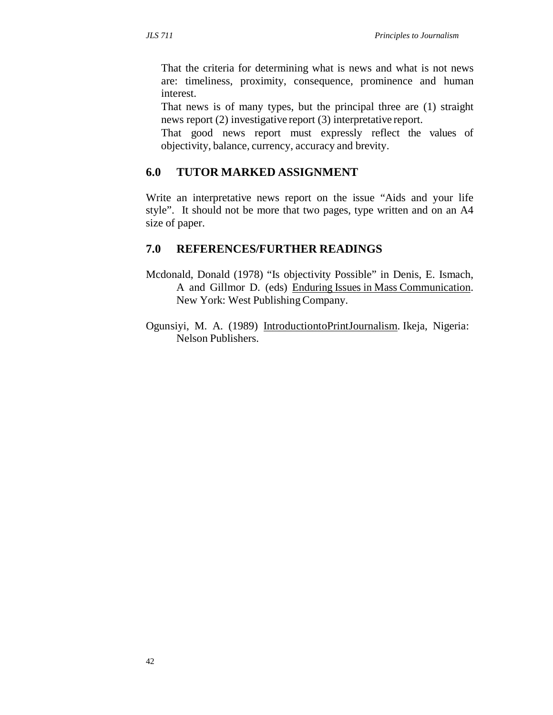That the criteria for determining what is news and what is not news are: timeliness, proximity, consequence, prominence and human interest.

That news is of many types, but the principal three are (1) straight news report (2) investigative report (3) interpretative report.

That good news report must expressly reflect the values of objectivity, balance, currency, accuracy and brevity.

### **6.0 TUTOR MARKED ASSIGNMENT**

Write an interpretative news report on the issue "Aids and your life style". It should not be more that two pages, type written and on an A4 size of paper.

#### **7.0 REFERENCES/FURTHER READINGS**

- Mcdonald, Donald (1978) "Is objectivity Possible" in Denis, E. Ismach, A and Gillmor D. (eds) Enduring Issues in Mass Communication. New York: West Publishing Company.
- Ogunsiyi, M. A. (1989) IntroductiontoPrintJournalism. Ikeja, Nigeria: Nelson Publishers.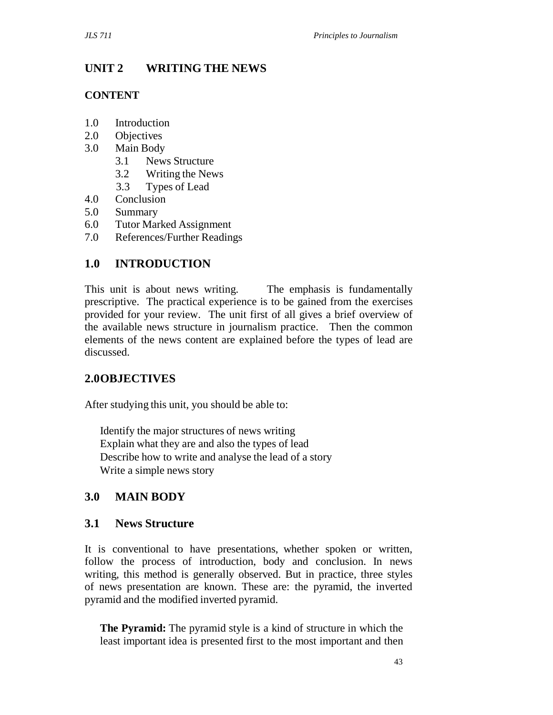# **UNIT 2 WRITING THE NEWS**

### **CONTENT**

- 1.0 Introduction
- 2.0 Objectives
- 3.0 Main Body
	- 3.1 News Structure
	- 3.2 Writing the News
	- 3.3 Types of Lead
- 4.0 Conclusion
- 5.0 Summary
- 6.0 Tutor Marked Assignment
- 7.0 References/Further Readings

## **1.0 INTRODUCTION**

This unit is about news writing. The emphasis is fundamentally prescriptive. The practical experience is to be gained from the exercises provided for your review. The unit first of all gives a brief overview of the available news structure in journalism practice. Then the common elements of the news content are explained before the types of lead are discussed.

## **2.0OBJECTIVES**

After studying this unit, you should be able to:

Identify the major structures of news writing Explain what they are and also the types of lead Describe how to write and analyse the lead of a story Write a simple news story

## **3.0 MAIN BODY**

### **3.1 News Structure**

It is conventional to have presentations, whether spoken or written, follow the process of introduction, body and conclusion. In news writing, this method is generally observed. But in practice, three styles of news presentation are known. These are: the pyramid, the inverted pyramid and the modified inverted pyramid.

**The Pyramid:** The pyramid style is a kind of structure in which the least important idea is presented first to the most important and then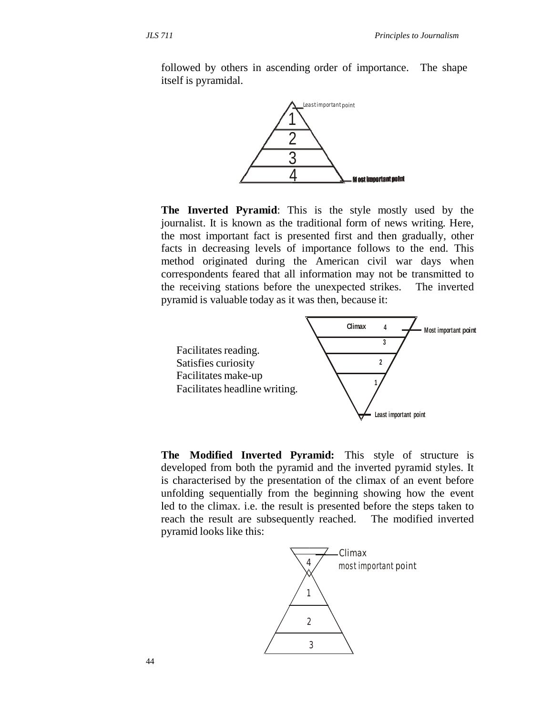followed by others in ascending order of importance. The shape itself is pyramidal.



**The Inverted Pyramid**: This is the style mostly used by the journalist. It is known as the traditional form of news writing. Here, the most important fact is presented first and then gradually, other facts in decreasing levels of importance follows to the end. This method originated during the American civil war days when correspondents feared that all information may not be transmitted to the receiving stations before the unexpected strikes. The inverted pyramid is valuable today as it was then, because it:



**The Modified Inverted Pyramid:** This style of structure is developed from both the pyramid and the inverted pyramid styles. It is characterised by the presentation of the climax of an event before unfolding sequentially from the beginning showing how the event led to the climax. i.e. the result is presented before the steps taken to reach the result are subsequently reached. The modified inverted pyramid looks like this:

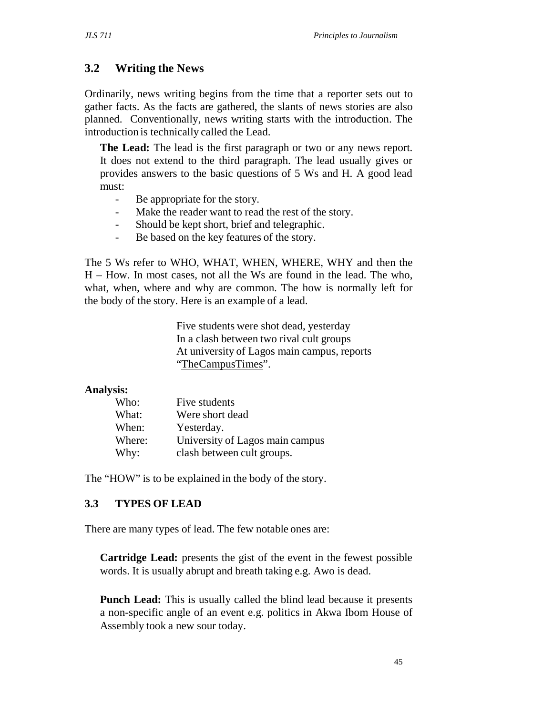## **3.2 Writing the News**

Ordinarily, news writing begins from the time that a reporter sets out to gather facts. As the facts are gathered, the slants of news stories are also planned. Conventionally, news writing starts with the introduction. The introduction is technically called the Lead.

**The Lead:** The lead is the first paragraph or two or any news report. It does not extend to the third paragraph. The lead usually gives or provides answers to the basic questions of 5 Ws and H. A good lead must:

- Be appropriate for the story.
- Make the reader want to read the rest of the story.
- Should be kept short, brief and telegraphic.
- Be based on the key features of the story.

The 5 Ws refer to WHO, WHAT, WHEN, WHERE, WHY and then the H – How. In most cases, not all the Ws are found in the lead. The who, what, when, where and why are common. The how is normally left for the body of the story. Here is an example of a lead.

> Five students were shot dead, yesterday In a clash between two rival cult groups At university of Lagos main campus, reports "TheCampusTimes".

#### **Analysis:**

| Who:   | Five students                   |
|--------|---------------------------------|
| What:  | Were short dead                 |
| When:  | Yesterday.                      |
| Where: | University of Lagos main campus |
| Why:   | clash between cult groups.      |

The "HOW" is to be explained in the body of the story.

#### **3.3 TYPES OF LEAD**

There are many types of lead. The few notable ones are:

**Cartridge Lead:** presents the gist of the event in the fewest possible words. It is usually abrupt and breath taking e.g. Awo is dead.

**Punch Lead:** This is usually called the blind lead because it presents a non-specific angle of an event e.g. politics in Akwa Ibom House of Assembly took a new sour today.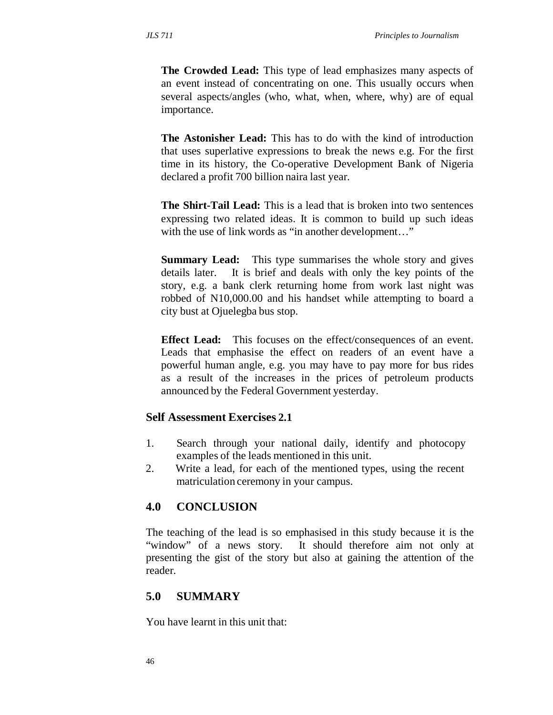**The Crowded Lead:** This type of lead emphasizes many aspects of an event instead of concentrating on one. This usually occurs when several aspects/angles (who, what, when, where, why) are of equal importance.

**The Astonisher Lead:** This has to do with the kind of introduction that uses superlative expressions to break the news e.g. For the first time in its history, the Co-operative Development Bank of Nigeria declared a profit 700 billion naira last year.

**The Shirt-Tail Lead:** This is a lead that is broken into two sentences expressing two related ideas. It is common to build up such ideas with the use of link words as "in another development..."

**Summary Lead:** This type summarises the whole story and gives details later. It is brief and deals with only the key points of the story, e.g. a bank clerk returning home from work last night was robbed of N10,000.00 and his handset while attempting to board a city bust at Ojuelegba bus stop.

**Effect Lead:** This focuses on the effect/consequences of an event. Leads that emphasise the effect on readers of an event have a powerful human angle, e.g. you may have to pay more for bus rides as a result of the increases in the prices of petroleum products announced by the Federal Government yesterday.

#### **Self Assessment Exercises 2.1**

- 1. Search through your national daily, identify and photocopy examples of the leads mentioned in this unit.
- 2. Write a lead, for each of the mentioned types, using the recent matriculation ceremony in your campus.

#### **4.0 CONCLUSION**

The teaching of the lead is so emphasised in this study because it is the "window" of a news story. It should therefore aim not only at presenting the gist of the story but also at gaining the attention of the reader.

#### **5.0 SUMMARY**

You have learnt in this unit that: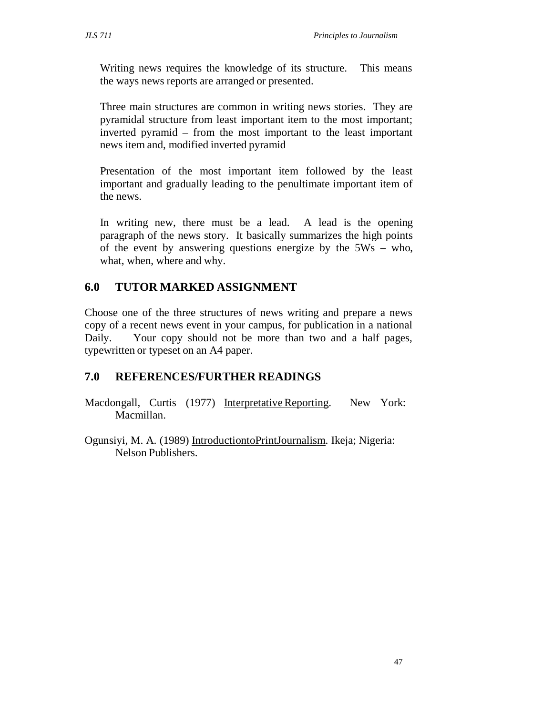Writing news requires the knowledge of its structure. This means the ways news reports are arranged or presented.

Three main structures are common in writing news stories. They are pyramidal structure from least important item to the most important; inverted pyramid – from the most important to the least important news item and, modified inverted pyramid

Presentation of the most important item followed by the least important and gradually leading to the penultimate important item of the news.

In writing new, there must be a lead. A lead is the opening paragraph of the news story. It basically summarizes the high points of the event by answering questions energize by the 5Ws – who, what, when, where and why.

#### **6.0 TUTOR MARKED ASSIGNMENT**

Choose one of the three structures of news writing and prepare a news copy of a recent news event in your campus, for publication in a national Daily. Your copy should not be more than two and a half pages, typewritten or typeset on an A4 paper.

#### **7.0 REFERENCES/FURTHER READINGS**

Macdongall, Curtis (1977) Interpretative Reporting. New York: Macmillan.

Ogunsiyi, M. A. (1989) IntroductiontoPrintJournalism. Ikeja; Nigeria: Nelson Publishers.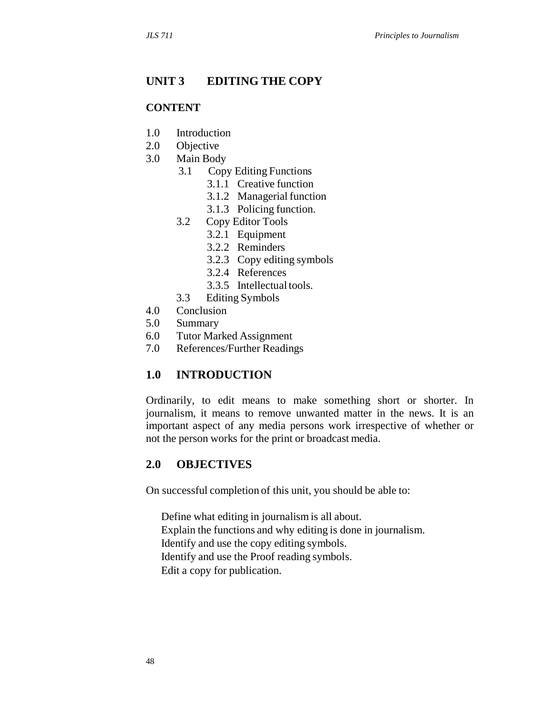### **UNIT 3 EDITING THE COPY**

#### **CONTENT**

- 1.0 Introduction
- 2.0 Objective
- 3.0 Main Body
	- 3.1 Copy Editing Functions
		- 3.1.1 Creative function
		- 3.1.2 Managerial function
		- 3.1.3 Policing function.
	- 3.2 Copy Editor Tools
		- 3.2.1 Equipment
			- 3.2.2 Reminders
			- 3.2.3 Copy editing symbols
		- 3.2.4 References
		- 3.3.5 Intellectual tools.
	- 3.3 Editing Symbols
- 4.0 Conclusion
- 5.0 Summary
- 6.0 Tutor Marked Assignment
- 7.0 References/Further Readings

#### **1.0 INTRODUCTION**

Ordinarily, to edit means to make something short or shorter. In journalism, it means to remove unwanted matter in the news. It is an important aspect of any media persons work irrespective of whether or not the person works for the print or broadcast media.

#### **2.0 OBJECTIVES**

On successful completion of this unit, you should be able to:

Define what editing in journalism is all about. Explain the functions and why editing is done in journalism. Identify and use the copy editing symbols. Identify and use the Proof reading symbols. Edit a copy for publication.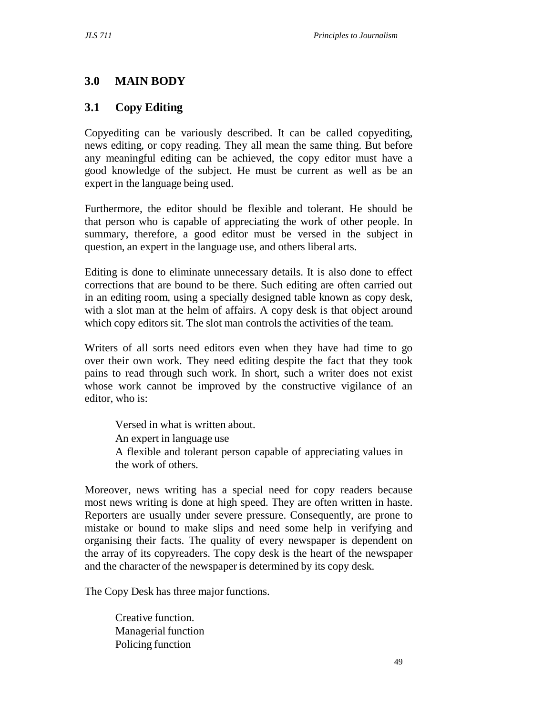## **3.0 MAIN BODY**

### **3.1 Copy Editing**

Copyediting can be variously described. It can be called copyediting, news editing, or copy reading. They all mean the same thing. But before any meaningful editing can be achieved, the copy editor must have a good knowledge of the subject. He must be current as well as be an expert in the language being used.

Furthermore, the editor should be flexible and tolerant. He should be that person who is capable of appreciating the work of other people. In summary, therefore, a good editor must be versed in the subject in question, an expert in the language use, and others liberal arts.

Editing is done to eliminate unnecessary details. It is also done to effect corrections that are bound to be there. Such editing are often carried out in an editing room, using a specially designed table known as copy desk, with a slot man at the helm of affairs. A copy desk is that object around which copy editors sit. The slot man controls the activities of the team.

Writers of all sorts need editors even when they have had time to go over their own work. They need editing despite the fact that they took pains to read through such work. In short, such a writer does not exist whose work cannot be improved by the constructive vigilance of an editor, who is:

Versed in what is written about. An expert in language use A flexible and tolerant person capable of appreciating values in the work of others.

Moreover, news writing has a special need for copy readers because most news writing is done at high speed. They are often written in haste. Reporters are usually under severe pressure. Consequently, are prone to mistake or bound to make slips and need some help in verifying and organising their facts. The quality of every newspaper is dependent on the array of its copyreaders. The copy desk is the heart of the newspaper and the character of the newspaper is determined by its copy desk.

The Copy Desk has three major functions.

Creative function. Managerial function Policing function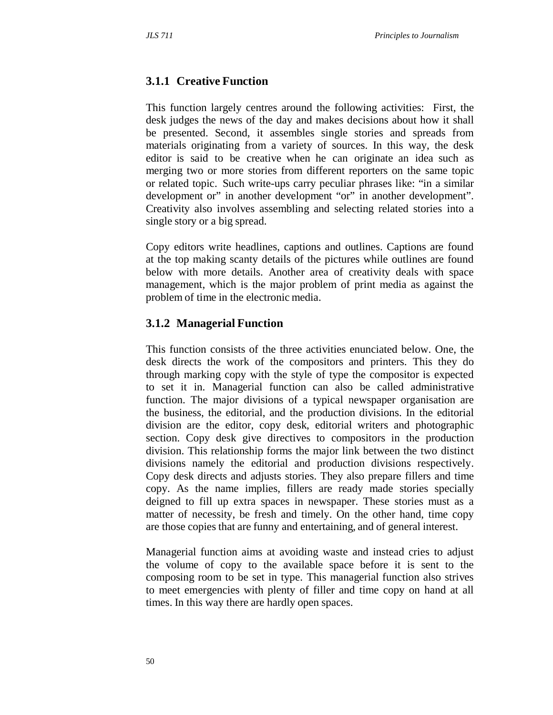### **3.1.1 Creative Function**

This function largely centres around the following activities: First, the desk judges the news of the day and makes decisions about how it shall be presented. Second, it assembles single stories and spreads from materials originating from a variety of sources. In this way, the desk editor is said to be creative when he can originate an idea such as merging two or more stories from different reporters on the same topic or related topic. Such write-ups carry peculiar phrases like: "in a similar development or" in another development "or" in another development". Creativity also involves assembling and selecting related stories into a single story or a big spread.

Copy editors write headlines, captions and outlines. Captions are found at the top making scanty details of the pictures while outlines are found below with more details. Another area of creativity deals with space management, which is the major problem of print media as against the problem of time in the electronic media.

#### **3.1.2 Managerial Function**

This function consists of the three activities enunciated below. One, the desk directs the work of the compositors and printers. This they do through marking copy with the style of type the compositor is expected to set it in. Managerial function can also be called administrative function. The major divisions of a typical newspaper organisation are the business, the editorial, and the production divisions. In the editorial division are the editor, copy desk, editorial writers and photographic section. Copy desk give directives to compositors in the production division. This relationship forms the major link between the two distinct divisions namely the editorial and production divisions respectively. Copy desk directs and adjusts stories. They also prepare fillers and time copy. As the name implies, fillers are ready made stories specially deigned to fill up extra spaces in newspaper. These stories must as a matter of necessity, be fresh and timely. On the other hand, time copy are those copies that are funny and entertaining, and of general interest.

Managerial function aims at avoiding waste and instead cries to adjust the volume of copy to the available space before it is sent to the composing room to be set in type. This managerial function also strives to meet emergencies with plenty of filler and time copy on hand at all times. In this way there are hardly open spaces.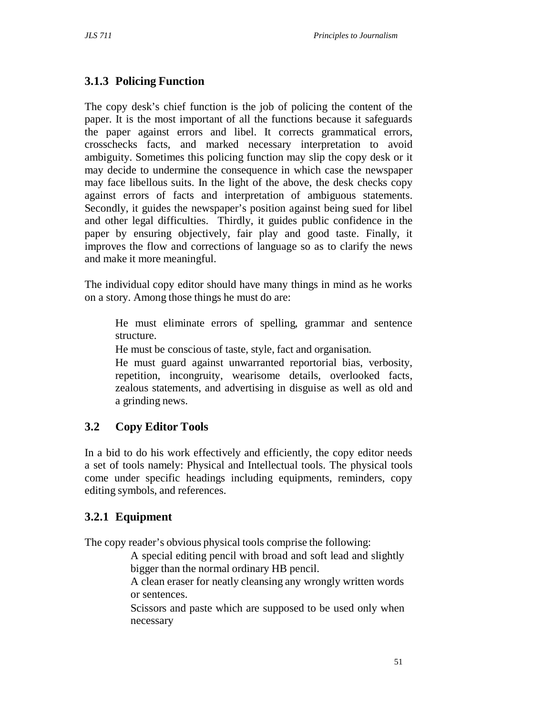# **3.1.3 Policing Function**

The copy desk's chief function is the job of policing the content of the paper. It is the most important of all the functions because it safeguards the paper against errors and libel. It corrects grammatical errors, crosschecks facts, and marked necessary interpretation to avoid ambiguity. Sometimes this policing function may slip the copy desk or it may decide to undermine the consequence in which case the newspaper may face libellous suits. In the light of the above, the desk checks copy against errors of facts and interpretation of ambiguous statements. Secondly, it guides the newspaper's position against being sued for libel and other legal difficulties. Thirdly, it guides public confidence in the paper by ensuring objectively, fair play and good taste. Finally, it improves the flow and corrections of language so as to clarify the news and make it more meaningful.

The individual copy editor should have many things in mind as he works on a story. Among those things he must do are:

He must eliminate errors of spelling, grammar and sentence structure.

He must be conscious of taste, style, fact and organisation.

He must guard against unwarranted reportorial bias, verbosity, repetition, incongruity, wearisome details, overlooked facts, zealous statements, and advertising in disguise as well as old and a grinding news.

## **3.2 Copy Editor Tools**

In a bid to do his work effectively and efficiently, the copy editor needs a set of tools namely: Physical and Intellectual tools. The physical tools come under specific headings including equipments, reminders, copy editing symbols, and references.

## **3.2.1 Equipment**

The copy reader's obvious physical tools comprise the following:

A special editing pencil with broad and soft lead and slightly bigger than the normal ordinary HB pencil.

A clean eraser for neatly cleansing any wrongly written words or sentences.

Scissors and paste which are supposed to be used only when necessary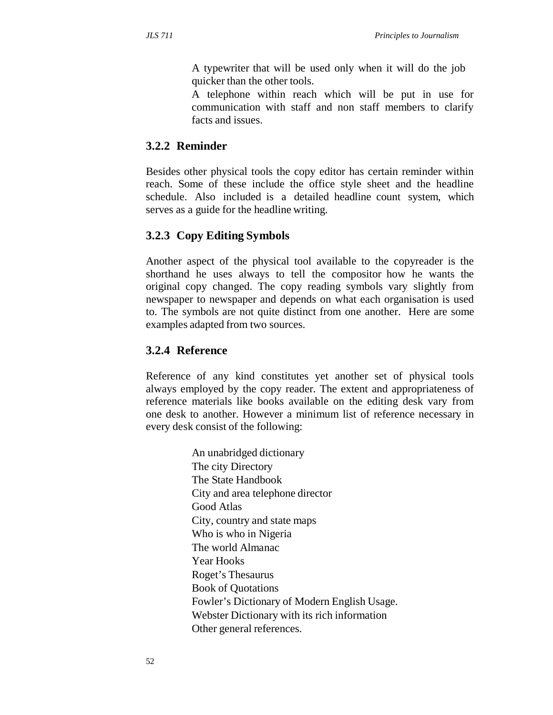A typewriter that will be used only when it will do the job quicker than the other tools.

A telephone within reach which will be put in use for communication with staff and non staff members to clarify facts and issues.

#### **3.2.2 Reminder**

Besides other physical tools the copy editor has certain reminder within reach. Some of these include the office style sheet and the headline schedule. Also included is a detailed headline count system, which serves as a guide for the headline writing.

#### **3.2.3 Copy Editing Symbols**

Another aspect of the physical tool available to the copyreader is the shorthand he uses always to tell the compositor how he wants the original copy changed. The copy reading symbols vary slightly from newspaper to newspaper and depends on what each organisation is used to. The symbols are not quite distinct from one another. Here are some examples adapted from two sources.

#### **3.2.4 Reference**

Reference of any kind constitutes yet another set of physical tools always employed by the copy reader. The extent and appropriateness of reference materials like books available on the editing desk vary from one desk to another. However a minimum list of reference necessary in every desk consist of the following:

> An unabridged dictionary The city Directory The State Handbook City and area telephone director Good Atlas City, country and state maps Who is who in Nigeria The world Almanac Year Hooks Roget's Thesaurus Book of Quotations Fowler's Dictionary of Modern English Usage. Webster Dictionary with its rich information Other general references.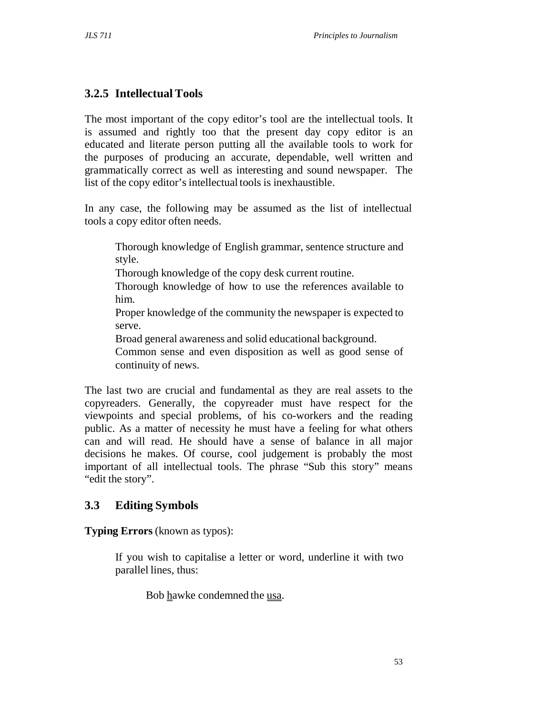## **3.2.5 Intellectual Tools**

The most important of the copy editor's tool are the intellectual tools. It is assumed and rightly too that the present day copy editor is an educated and literate person putting all the available tools to work for the purposes of producing an accurate, dependable, well written and grammatically correct as well as interesting and sound newspaper. The list of the copy editor's intellectual tools is inexhaustible.

In any case, the following may be assumed as the list of intellectual tools a copy editor often needs.

Thorough knowledge of English grammar, sentence structure and style.

Thorough knowledge of the copy desk current routine.

Thorough knowledge of how to use the references available to him.

Proper knowledge of the community the newspaper is expected to serve.

Broad general awareness and solid educational background.

Common sense and even disposition as well as good sense of continuity of news.

The last two are crucial and fundamental as they are real assets to the copyreaders. Generally, the copyreader must have respect for the viewpoints and special problems, of his co-workers and the reading public. As a matter of necessity he must have a feeling for what others can and will read. He should have a sense of balance in all major decisions he makes. Of course, cool judgement is probably the most important of all intellectual tools. The phrase "Sub this story" means "edit the story".

### **3.3 Editing Symbols**

**Typing Errors** (known as typos):

If you wish to capitalise a letter or word, underline it with two parallel lines, thus:

Bob hawke condemned the usa.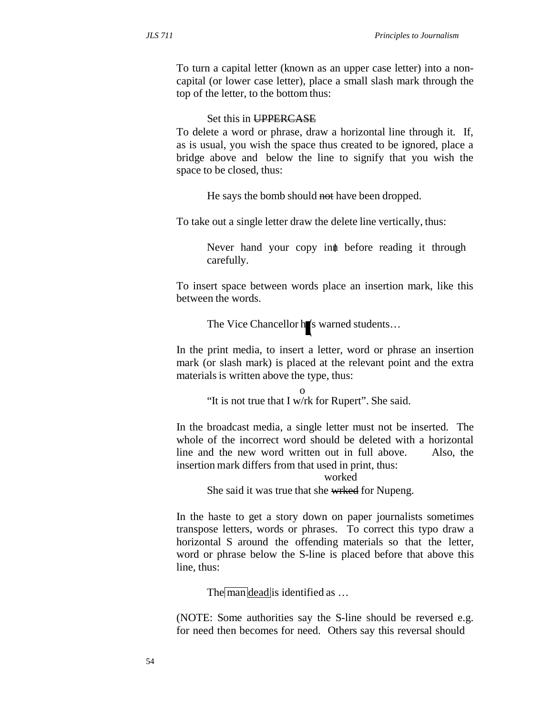To turn a capital letter (known as an upper case letter) into a noncapital (or lower case letter), place a small slash mark through the top of the letter, to the bottom thus:

#### Set this in UPPERCASE

To delete a word or phrase, draw a horizontal line through it. If, as is usual, you wish the space thus created to be ignored, place a bridge above and below the line to signify that you wish the space to be closed, thus:

He says the bomb should not have been dropped.

To take out a single letter draw the delete line vertically, thus:

Never hand your copy in the before reading it through carefully.

To insert space between words place an insertion mark, like this between the words.

The Vice Chancellor h s warned students...

In the print media, to insert a letter, word or phrase an insertion mark (or slash mark) is placed at the relevant point and the extra materials is written above the type, thus:

o "It is not true that I w/rk for Rupert". She said.

In the broadcast media, a single letter must not be inserted. The whole of the incorrect word should be deleted with a horizontal line and the new word written out in full above. Also, the insertion mark differs from that used in print, thus:

#### worked

She said it was true that she wrked for Nupeng.

In the haste to get a story down on paper journalists sometimes transpose letters, words or phrases. To correct this typo draw a horizontal S around the offending materials so that the letter, word or phrase below the S-line is placed before that above this line, thus:

The man dead is identified as ...

(NOTE: Some authorities say the S-line should be reversed e.g. for need then becomes for need. Others say this reversal should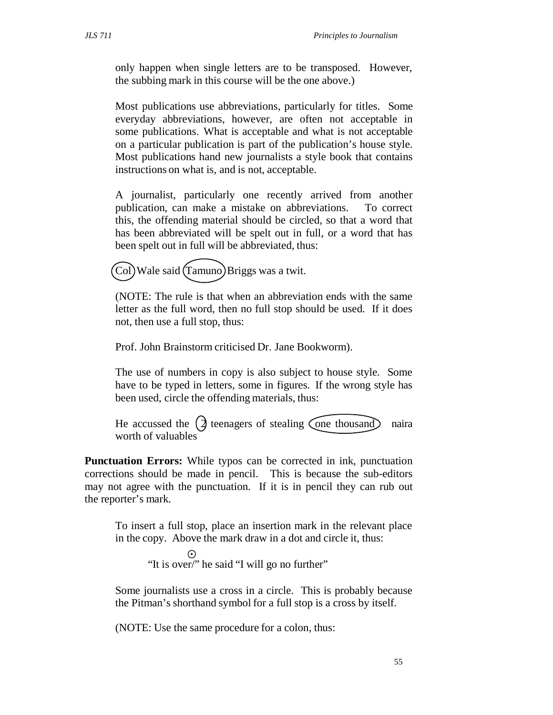only happen when single letters are to be transposed. However, the subbing mark in this course will be the one above.)

Most publications use abbreviations, particularly for titles. Some everyday abbreviations, however, are often not acceptable in some publications. What is acceptable and what is not acceptable on a particular publication is part of the publication's house style. Most publications hand new journalists a style book that contains instructions on what is, and is not, acceptable.

A journalist, particularly one recently arrived from another publication, can make a mistake on abbreviations. To correct this, the offending material should be circled, so that a word that has been abbreviated will be spelt out in full, or a word that has been spelt out in full will be abbreviated, thus:

Col) Wale said (Tamuno) Briggs was a twit.

(NOTE: The rule is that when an abbreviation ends with the same letter as the full word, then no full stop should be used. If it does not, then use a full stop, thus:

Prof. John Brainstorm criticised Dr. Jane Bookworm).

The use of numbers in copy is also subject to house style. Some have to be typed in letters, some in figures. If the wrong style has been used, circle the offending materials, thus:

He accussed the  $(2)$  teenagers of stealing (one thousand) naira worth of valuables

**Punctuation Errors:** While typos can be corrected in ink, punctuation corrections should be made in pencil. This is because the sub-editors may not agree with the punctuation. If it is in pencil they can rub out the reporter's mark.

To insert a full stop, place an insertion mark in the relevant place in the copy. Above the mark draw in a dot and circle it, thus:

> **.** "It is over/" he said "I will go no further"

Some journalists use a cross in a circle. This is probably because the Pitman's shorthand symbol for a full stop is a cross by itself.

(NOTE: Use the same procedure for a colon, thus: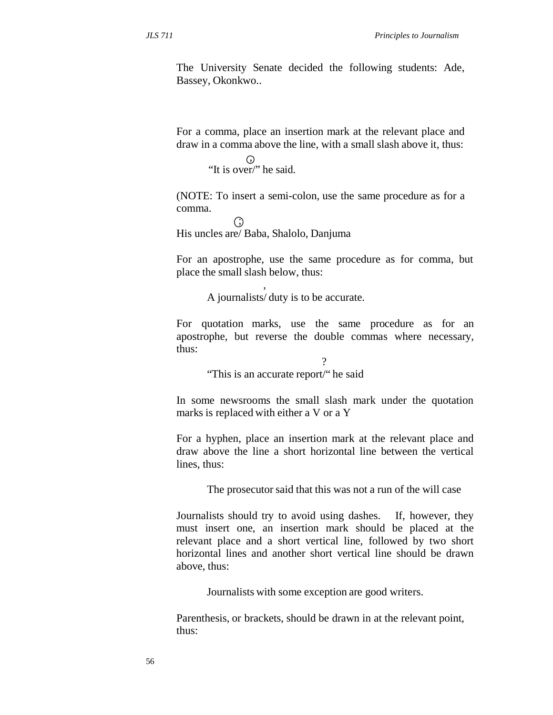The University Senate decided the following students: Ade, Bassey, Okonkwo..

For a comma, place an insertion mark at the relevant place and draw in a comma above the line, with a small slash above it, thus:

```
\bigcirc"It is over/" he said.
```
(NOTE: To insert a semi-colon, use the same procedure as for a comma.

 $\bigodot$ His uncles are/ Baba, Shalolo, Danjuma

,

For an apostrophe, use the same procedure as for comma, but place the small slash below, thus:

A journalists/ duty is to be accurate.

For quotation marks, use the same procedure as for an apostrophe, but reverse the double commas where necessary, thus:

> ? "This is an accurate report/" he said

In some newsrooms the small slash mark under the quotation marks is replaced with either a V or a Y

For a hyphen, place an insertion mark at the relevant place and draw above the line a short horizontal line between the vertical lines, thus:

The prosecutor said that this was not a run of the will case

Journalists should try to avoid using dashes. If, however, they must insert one, an insertion mark should be placed at the relevant place and a short vertical line, followed by two short horizontal lines and another short vertical line should be drawn above, thus:

Journalists with some exception are good writers.

Parenthesis, or brackets, should be drawn in at the relevant point, thus: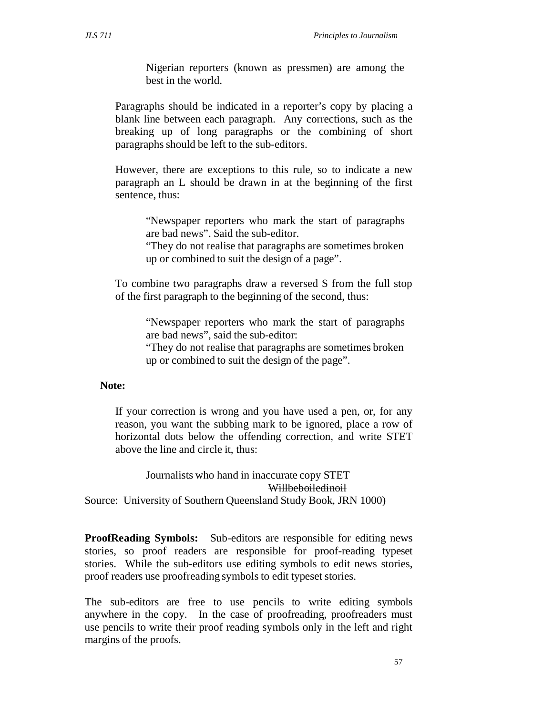Nigerian reporters (known as pressmen) are among the best in the world.

Paragraphs should be indicated in a reporter's copy by placing a blank line between each paragraph. Any corrections, such as the breaking up of long paragraphs or the combining of short paragraphs should be left to the sub-editors.

However, there are exceptions to this rule, so to indicate a new paragraph an L should be drawn in at the beginning of the first sentence, thus:

> "Newspaper reporters who mark the start of paragraphs are bad news". Said the sub-editor.

> "They do not realise that paragraphs are sometimes broken up or combined to suit the design of a page".

To combine two paragraphs draw a reversed S from the full stop of the first paragraph to the beginning of the second, thus:

> "Newspaper reporters who mark the start of paragraphs are bad news", said the sub-editor:

> "They do not realise that paragraphs are sometimes broken up or combined to suit the design of the page".

#### **Note:**

If your correction is wrong and you have used a pen, or, for any reason, you want the subbing mark to be ignored, place a row of horizontal dots below the offending correction, and write STET above the line and circle it, thus:

Journalists who hand in inaccurate copy STET Willbeboiledinoil Source: University of Southern Queensland Study Book, JRN 1000)

**ProofReading Symbols:** Sub-editors are responsible for editing news stories, so proof readers are responsible for proof-reading typeset stories. While the sub-editors use editing symbols to edit news stories, proof readers use proofreading symbols to edit typeset stories.

The sub-editors are free to use pencils to write editing symbols anywhere in the copy. In the case of proofreading, proofreaders must use pencils to write their proof reading symbols only in the left and right margins of the proofs.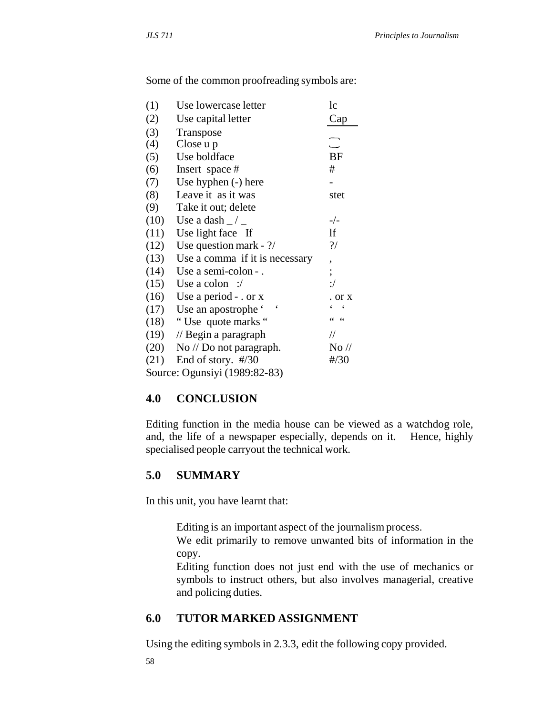| (1)                           | Use lowercase letter           | 1c                      |  |
|-------------------------------|--------------------------------|-------------------------|--|
| (2)                           | Use capital letter             | Cap                     |  |
| (3)                           | Transpose                      |                         |  |
| (4)                           | Close u p                      |                         |  |
| (5)                           | Use boldface                   | BF                      |  |
| (6)                           | Insert space #                 | #                       |  |
| (7)                           | Use hyphen (-) here            |                         |  |
| (8)                           | Leave it as it was             | stet                    |  |
| (9)                           | Take it out; delete            |                         |  |
| (10)                          | Use a dash $\angle$ $\angle$   | $-/-$                   |  |
| (11)                          | Use light face If              | lf                      |  |
|                               | $(12)$ Use question mark - ?/  | $\gamma$ /              |  |
| (13)                          | Use a comma if it is necessary | ,                       |  |
| (14)                          | Use a semi-colon - .           | $\vdots$                |  |
| (15)                          | Use a colon $\therefore$       | $:$ /                   |  |
|                               | $(16)$ Use a period - . or x   | or x                    |  |
| (17)                          | Use an apostrophe '            | $\boldsymbol{\zeta}$    |  |
| (18)                          | "Use quote marks"              | $-66$                   |  |
| (19)                          | // Begin a paragraph           | $\frac{1}{2}$           |  |
| (20)                          | No // Do not paragraph.        | $\mathrm{No} \, / \! /$ |  |
| (21)                          | End of story. $\#/30$          | $\frac{\#}{30}$         |  |
| Source: Ogunsiyi (1989:82-83) |                                |                         |  |

Some of the common proofreading symbols are:

## **4.0 CONCLUSION**

Editing function in the media house can be viewed as a watchdog role, and, the life of a newspaper especially, depends on it. Hence, highly specialised people carryout the technical work.

## **5.0 SUMMARY**

In this unit, you have learnt that:

Editing is an important aspect of the journalism process.

We edit primarily to remove unwanted bits of information in the copy.

Editing function does not just end with the use of mechanics or symbols to instruct others, but also involves managerial, creative and policing duties.

## **6.0 TUTOR MARKED ASSIGNMENT**

Using the editing symbols in 2.3.3, edit the following copy provided.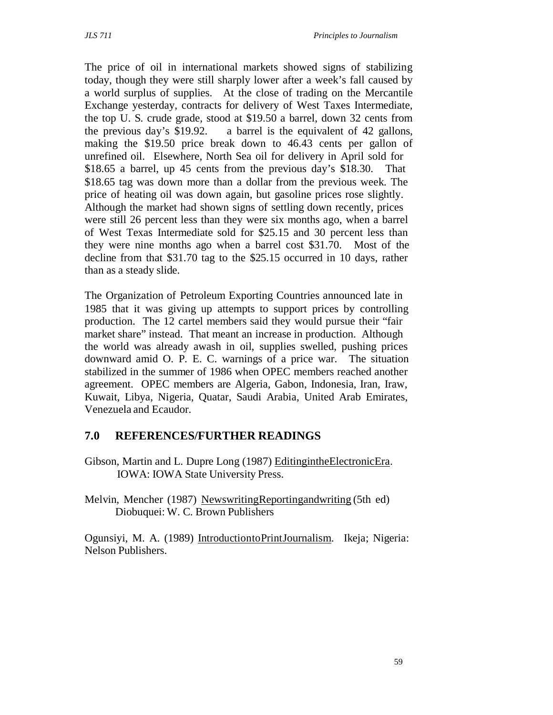The price of oil in international markets showed signs of stabilizing today, though they were still sharply lower after a week's fall caused by a world surplus of supplies. At the close of trading on the Mercantile Exchange yesterday, contracts for delivery of West Taxes Intermediate, the top U. S. crude grade, stood at \$19.50 a barrel, down 32 cents from the previous day's \$19.92. a barrel is the equivalent of 42 gallons, making the \$19.50 price break down to 46.43 cents per gallon of unrefined oil. Elsewhere, North Sea oil for delivery in April sold for \$18.65 a barrel, up 45 cents from the previous day's \$18.30. That \$18.65 tag was down more than a dollar from the previous week. The price of heating oil was down again, but gasoline prices rose slightly. Although the market had shown signs of settling down recently, prices were still 26 percent less than they were six months ago, when a barrel of West Texas Intermediate sold for \$25.15 and 30 percent less than they were nine months ago when a barrel cost \$31.70. Most of the decline from that \$31.70 tag to the \$25.15 occurred in 10 days, rather than as a steady slide.

The Organization of Petroleum Exporting Countries announced late in 1985 that it was giving up attempts to support prices by controlling production. The 12 cartel members said they would pursue their "fair market share" instead. That meant an increase in production. Although the world was already awash in oil, supplies swelled, pushing prices downward amid O. P. E. C. warnings of a price war. The situation stabilized in the summer of 1986 when OPEC members reached another agreement. OPEC members are Algeria, Gabon, Indonesia, Iran, Iraw, Kuwait, Libya, Nigeria, Quatar, Saudi Arabia, United Arab Emirates, Venezuela and Ecaudor.

#### **7.0 REFERENCES/FURTHER READINGS**

- Gibson, Martin and L. Dupre Long (1987) EditingintheElectronicEra. IOWA: IOWA State University Press.
- Melvin, Mencher (1987) NewswritingReportingandwriting (5th ed) Diobuquei: W. C. Brown Publishers

Ogunsiyi, M. A. (1989) IntroductiontoPrint Journalism. Ikeja; Nigeria: Nelson Publishers.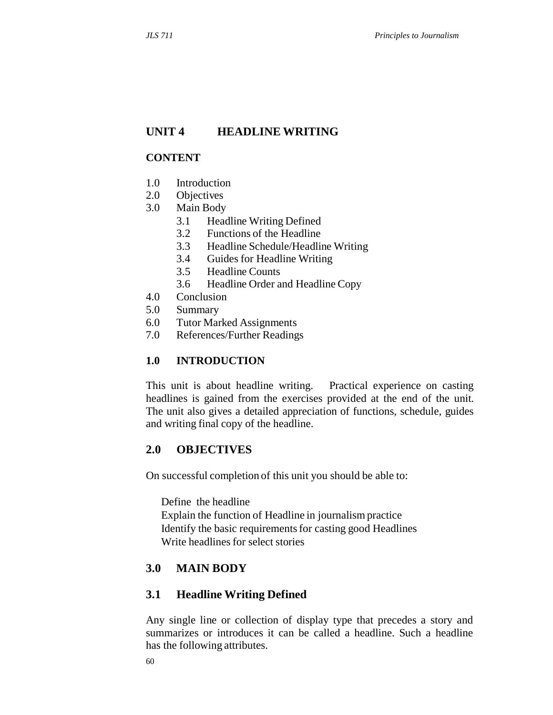## **UNIT 4 HEADLINE WRITING**

#### **CONTENT**

- 1.0 Introduction
- 2.0 Objectives
- 3.0 Main Body
	- 3.1 Headline Writing Defined
	- 3.2 Functions of the Headline
	- 3.3 Headline Schedule/Headline Writing
	- 3.4 Guides for Headline Writing
	- 3.5 Headline Counts
	- 3.6 Headline Order and Headline Copy
- 4.0 Conclusion
- 5.0 Summary
- 6.0 Tutor Marked Assignments
- 7.0 References/Further Readings

#### **1.0 INTRODUCTION**

This unit is about headline writing. Practical experience on casting headlines is gained from the exercises provided at the end of the unit. The unit also gives a detailed appreciation of functions, schedule, guides and writing final copy of the headline.

#### **2.0 OBJECTIVES**

On successful completion of this unit you should be able to:

Define the headline Explain the function of Headline in journalism practice Identify the basic requirements for casting good Headlines Write headlines for select stories

## **3.0 MAIN BODY**

## **3.1 Headline Writing Defined**

Any single line or collection of display type that precedes a story and summarizes or introduces it can be called a headline. Such a headline has the following attributes.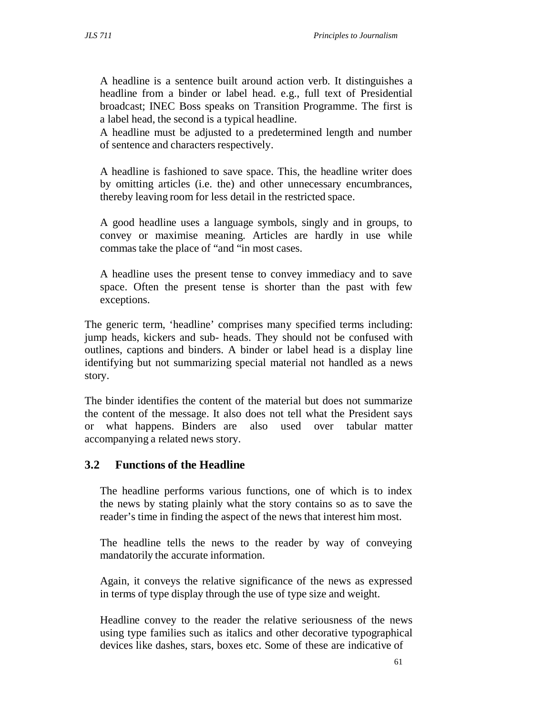A headline is a sentence built around action verb. It distinguishes a headline from a binder or label head. e.g., full text of Presidential broadcast; INEC Boss speaks on Transition Programme. The first is a label head, the second is a typical headline.

A headline must be adjusted to a predetermined length and number of sentence and characters respectively.

A headline is fashioned to save space. This, the headline writer does by omitting articles (i.e. the) and other unnecessary encumbrances, thereby leaving room for less detail in the restricted space.

A good headline uses a language symbols, singly and in groups, to convey or maximise meaning. Articles are hardly in use while commas take the place of "and "in most cases.

A headline uses the present tense to convey immediacy and to save space. Often the present tense is shorter than the past with few exceptions.

The generic term, 'headline' comprises many specified terms including: jump heads, kickers and sub- heads. They should not be confused with outlines, captions and binders. A binder or label head is a display line identifying but not summarizing special material not handled as a news story.

The binder identifies the content of the material but does not summarize the content of the message. It also does not tell what the President says or what happens. Binders are also used over tabular matter accompanying a related news story.

#### **3.2 Functions of the Headline**

The headline performs various functions, one of which is to index the news by stating plainly what the story contains so as to save the reader's time in finding the aspect of the news that interest him most.

The headline tells the news to the reader by way of conveying mandatorily the accurate information.

Again, it conveys the relative significance of the news as expressed in terms of type display through the use of type size and weight.

Headline convey to the reader the relative seriousness of the news using type families such as italics and other decorative typographical devices like dashes, stars, boxes etc. Some of these are indicative of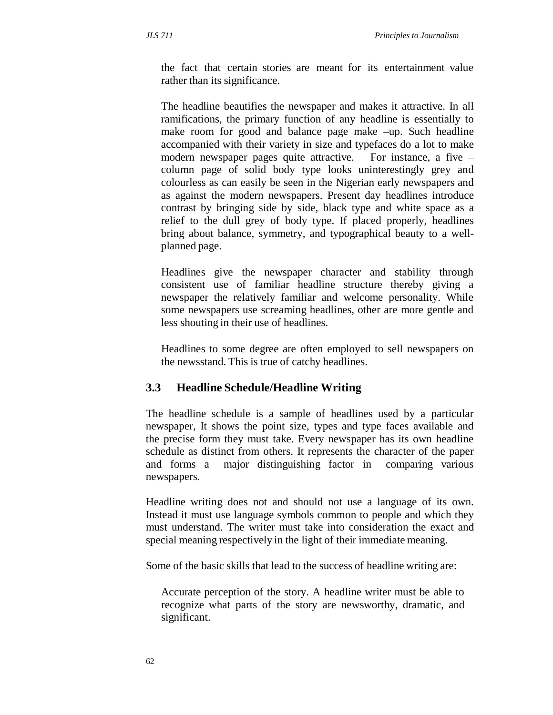the fact that certain stories are meant for its entertainment value rather than its significance.

The headline beautifies the newspaper and makes it attractive. In all ramifications, the primary function of any headline is essentially to make room for good and balance page make –up. Such headline accompanied with their variety in size and typefaces do a lot to make modern newspaper pages quite attractive. For instance, a five – column page of solid body type looks uninterestingly grey and colourless as can easily be seen in the Nigerian early newspapers and as against the modern newspapers. Present day headlines introduce contrast by bringing side by side, black type and white space as a relief to the dull grey of body type. If placed properly, headlines bring about balance, symmetry, and typographical beauty to a wellplanned page.

Headlines give the newspaper character and stability through consistent use of familiar headline structure thereby giving a newspaper the relatively familiar and welcome personality. While some newspapers use screaming headlines, other are more gentle and less shouting in their use of headlines.

Headlines to some degree are often employed to sell newspapers on the newsstand. This is true of catchy headlines.

# **3.3 Headline Schedule/Headline Writing**

The headline schedule is a sample of headlines used by a particular newspaper, It shows the point size, types and type faces available and the precise form they must take. Every newspaper has its own headline schedule as distinct from others. It represents the character of the paper and forms a major distinguishing factor in comparing various newspapers.

Headline writing does not and should not use a language of its own. Instead it must use language symbols common to people and which they must understand. The writer must take into consideration the exact and special meaning respectively in the light of their immediate meaning.

Some of the basic skills that lead to the success of headline writing are:

Accurate perception of the story. A headline writer must be able to recognize what parts of the story are newsworthy, dramatic, and significant.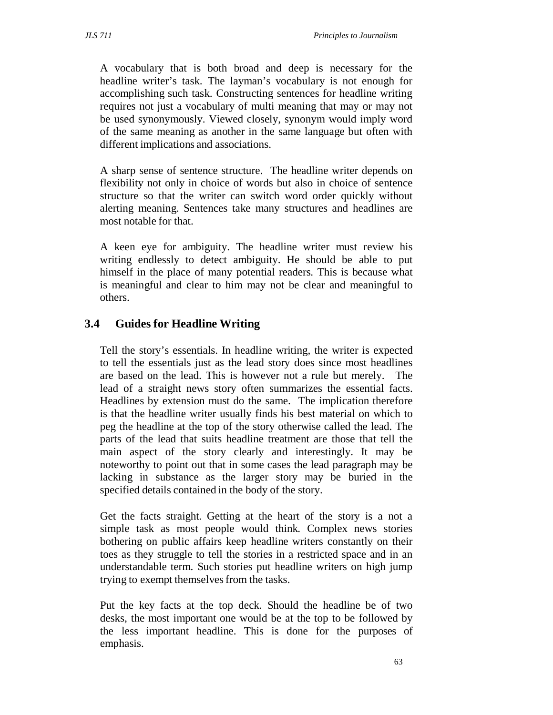A vocabulary that is both broad and deep is necessary for the headline writer's task. The layman's vocabulary is not enough for accomplishing such task. Constructing sentences for headline writing requires not just a vocabulary of multi meaning that may or may not be used synonymously. Viewed closely, synonym would imply word of the same meaning as another in the same language but often with different implications and associations.

A sharp sense of sentence structure. The headline writer depends on flexibility not only in choice of words but also in choice of sentence structure so that the writer can switch word order quickly without alerting meaning. Sentences take many structures and headlines are most notable for that.

A keen eye for ambiguity. The headline writer must review his writing endlessly to detect ambiguity. He should be able to put himself in the place of many potential readers. This is because what is meaningful and clear to him may not be clear and meaningful to others.

#### **3.4 Guides for Headline Writing**

Tell the story's essentials. In headline writing, the writer is expected to tell the essentials just as the lead story does since most headlines are based on the lead. This is however not a rule but merely. The lead of a straight news story often summarizes the essential facts. Headlines by extension must do the same. The implication therefore is that the headline writer usually finds his best material on which to peg the headline at the top of the story otherwise called the lead. The parts of the lead that suits headline treatment are those that tell the main aspect of the story clearly and interestingly. It may be noteworthy to point out that in some cases the lead paragraph may be lacking in substance as the larger story may be buried in the specified details contained in the body of the story.

Get the facts straight. Getting at the heart of the story is a not a simple task as most people would think. Complex news stories bothering on public affairs keep headline writers constantly on their toes as they struggle to tell the stories in a restricted space and in an understandable term. Such stories put headline writers on high jump trying to exempt themselves from the tasks.

Put the key facts at the top deck. Should the headline be of two desks, the most important one would be at the top to be followed by the less important headline. This is done for the purposes of emphasis.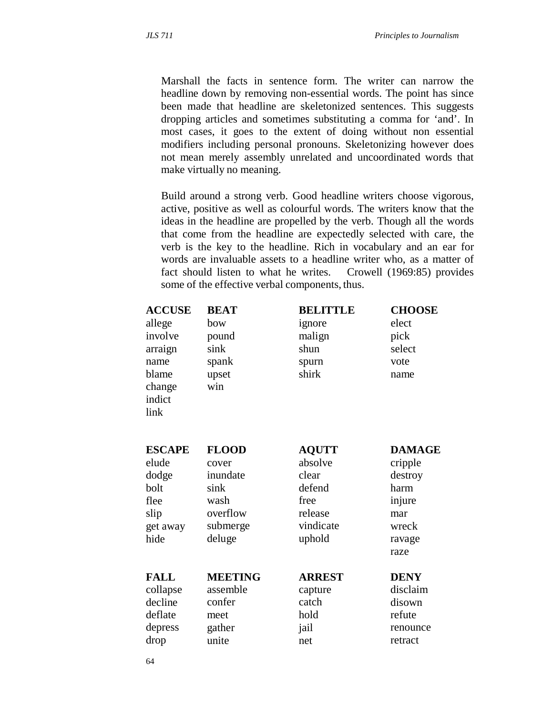Marshall the facts in sentence form. The writer can narrow the headline down by removing non-essential words. The point has since been made that headline are skeletonized sentences. This suggests dropping articles and sometimes substituting a comma for 'and'. In most cases, it goes to the extent of doing without non essential modifiers including personal pronouns. Skeletonizing however does not mean merely assembly unrelated and uncoordinated words that make virtually no meaning.

Build around a strong verb. Good headline writers choose vigorous, active, positive as well as colourful words. The writers know that the ideas in the headline are propelled by the verb. Though all the words that come from the headline are expectedly selected with care, the verb is the key to the headline. Rich in vocabulary and an ear for words are invaluable assets to a headline writer who, as a matter of fact should listen to what he writes. Crowell (1969:85) provides some of the effective verbal components, thus.

| <b>ACCUSE</b>                                                               | <b>BEAT</b>                                                                         | <b>BELITTLE</b>                                                                      | <b>CHOOSE</b>                                                                           |
|-----------------------------------------------------------------------------|-------------------------------------------------------------------------------------|--------------------------------------------------------------------------------------|-----------------------------------------------------------------------------------------|
| allege                                                                      | bow                                                                                 | ignore                                                                               | elect                                                                                   |
| involve                                                                     | pound                                                                               | malign                                                                               | pick                                                                                    |
| arraign                                                                     | sink                                                                                | shun                                                                                 | select                                                                                  |
| name<br>blame<br>change<br>indict<br>link                                   | spank<br>upset<br>win                                                               | spurn<br>shirk                                                                       | vote<br>name                                                                            |
| <b>ESCAPE</b><br>elude<br>dodge<br>bolt<br>flee<br>slip<br>get away<br>hide | <b>FLOOD</b><br>cover<br>inundate<br>sink<br>wash<br>overflow<br>submerge<br>deluge | <b>AQUTT</b><br>absolve<br>clear<br>defend<br>free<br>release<br>vindicate<br>uphold | <b>DAMAGE</b><br>cripple<br>destroy<br>harm<br>injure<br>mar<br>wreck<br>ravage<br>raze |
| <b>FALL</b>                                                                 | <b>MEETING</b>                                                                      | <b>ARREST</b>                                                                        | <b>DENY</b>                                                                             |
| collapse                                                                    | assemble                                                                            | capture                                                                              | disclaim                                                                                |
| decline                                                                     | confer                                                                              | catch                                                                                | disown                                                                                  |
| deflate                                                                     | meet                                                                                | hold                                                                                 | refute                                                                                  |
| depress                                                                     | gather                                                                              | jail                                                                                 | renounce                                                                                |
| drop                                                                        | unite                                                                               | net                                                                                  | retract                                                                                 |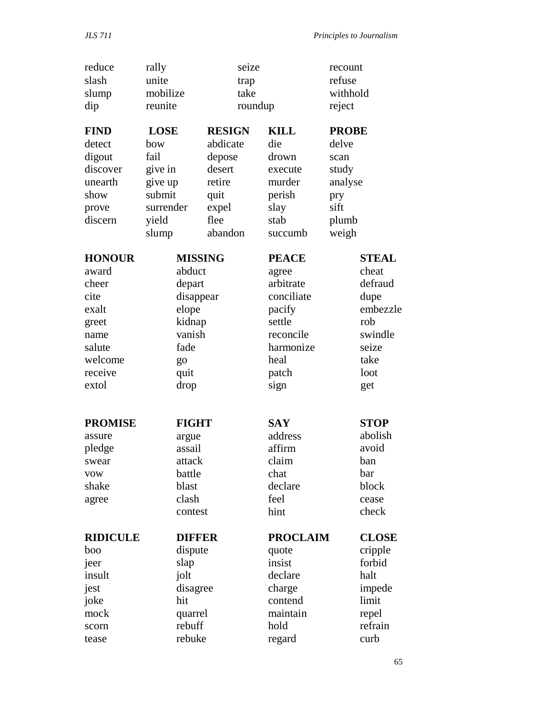| reduce<br>slash<br>slump<br>dip                                                           | rally<br>unite<br>mobilize<br>reunite                                                      | seize<br>trap<br>take                                                            | roundup                                                                                                 | recount<br>refuse<br>withhold<br>reject                                   |                                                                                          |
|-------------------------------------------------------------------------------------------|--------------------------------------------------------------------------------------------|----------------------------------------------------------------------------------|---------------------------------------------------------------------------------------------------------|---------------------------------------------------------------------------|------------------------------------------------------------------------------------------|
| <b>FIND</b><br>detect<br>digout<br>discover<br>unearth<br>show<br>prove<br>discern        | <b>LOSE</b><br>bow<br>fail<br>give in<br>give up<br>submit<br>surrender<br>yield           | <b>RESIGN</b><br>abdicate<br>depose<br>desert<br>retire<br>quit<br>expel<br>flee | KILL<br>die<br>drown<br>execute<br>murder<br>perish<br>slay<br>stab                                     | <b>PROBE</b><br>delve<br>scan<br>study<br>analyse<br>pry<br>sift<br>plumb |                                                                                          |
| <b>HONOUR</b>                                                                             | slump<br><b>MISSING</b>                                                                    | abandon                                                                          | succumb<br><b>PEACE</b>                                                                                 | weigh                                                                     | <b>STEAL</b>                                                                             |
| award<br>cheer<br>cite<br>exalt<br>greet<br>name<br>salute<br>welcome<br>receive<br>extol | abduct<br>depart<br>disappear<br>elope<br>kidnap<br>vanish<br>fade<br>go<br>quit<br>drop   |                                                                                  | agree<br>arbitrate<br>conciliate<br>pacify<br>settle<br>reconcile<br>harmonize<br>heal<br>patch<br>sign |                                                                           | cheat<br>defraud<br>dupe<br>embezzle<br>rob<br>swindle<br>seize<br>take<br>loot<br>get   |
| <b>PROMISE</b><br>assure<br>pledge<br>swear<br><b>VOW</b><br>shake<br>agree               | <b>FIGHT</b><br>argue<br>assail<br>attack<br>battle<br>blast<br>clash<br>contest           |                                                                                  | <b>SAY</b><br>address<br>affirm<br>claim<br>chat<br>declare<br>feel<br>hint                             |                                                                           | <b>STOP</b><br>abolish<br>avoid<br>ban<br>bar<br>block<br>cease<br>check                 |
| <b>RIDICULE</b><br>boo<br>jeer<br>insult<br>jest<br>joke<br>mock<br>scorn<br>tease        | <b>DIFFER</b><br>dispute<br>slap<br>jolt<br>disagree<br>hit<br>quarrel<br>rebuff<br>rebuke |                                                                                  | <b>PROCLAIM</b><br>quote<br>insist<br>declare<br>charge<br>contend<br>maintain<br>hold<br>regard        |                                                                           | <b>CLOSE</b><br>cripple<br>forbid<br>halt<br>impede<br>limit<br>repel<br>refrain<br>curb |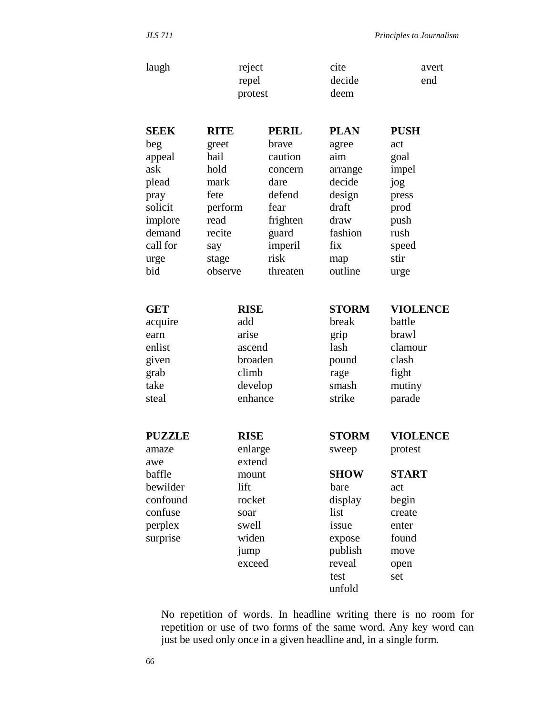| laugh                                                                                                           | reject<br>repel<br>protest                                                                                   |                                                                                                                           | cite<br>decide<br>deem                                                                                                    | avert<br>end                                                                                                  |
|-----------------------------------------------------------------------------------------------------------------|--------------------------------------------------------------------------------------------------------------|---------------------------------------------------------------------------------------------------------------------------|---------------------------------------------------------------------------------------------------------------------------|---------------------------------------------------------------------------------------------------------------|
| <b>SEEK</b><br>beg<br>appeal<br>ask<br>plead<br>pray<br>solicit<br>implore<br>demand<br>call for<br>urge<br>bid | <b>RITE</b><br>greet<br>hail<br>hold<br>mark<br>fete<br>perform<br>read<br>recite<br>say<br>stage<br>observe | <b>PERIL</b><br>brave<br>caution<br>concern<br>dare<br>defend<br>fear<br>frighten<br>guard<br>imperil<br>risk<br>threaten | <b>PLAN</b><br>agree<br>aim<br>arrange<br>decide<br>design<br>draft<br>draw<br>fashion<br>fix<br>map<br>outline           | <b>PUSH</b><br>act<br>goal<br>impel<br>jog<br>press<br>prod<br>push<br>rush<br>speed<br>stir<br>urge          |
| <b>GET</b><br>acquire<br>earn<br>enlist<br>given<br>grab<br>take<br>steal                                       | <b>RISE</b><br>add<br>arise<br>ascend<br>climb                                                               | broaden<br>develop<br>enhance                                                                                             | <b>STORM</b><br>break<br>grip<br>lash<br>pound<br>rage<br>smash<br>strike                                                 | <b>VIOLENCE</b><br>battle<br><b>brawl</b><br>clamour<br>clash<br>fight<br>mutiny<br>parade                    |
| <b>PUZZLE</b><br>amaze<br>awe<br>baffle<br>bewilder<br>confound<br>confuse<br>perplex<br>surprise               | <b>RISE</b><br>enlarge<br>extend<br>mount<br>lift<br>rocket<br>soar<br>swell<br>widen<br>jump<br>exceed      |                                                                                                                           | <b>STORM</b><br>sweep<br><b>SHOW</b><br>bare<br>display<br>list<br>issue<br>expose<br>publish<br>reveal<br>test<br>unfold | <b>VIOLENCE</b><br>protest<br><b>START</b><br>act<br>begin<br>create<br>enter<br>found<br>move<br>open<br>set |

No repetition of words. In headline writing there is no room for repetition or use of two forms of the same word. Any key word can just be used only once in a given headline and, in a single form.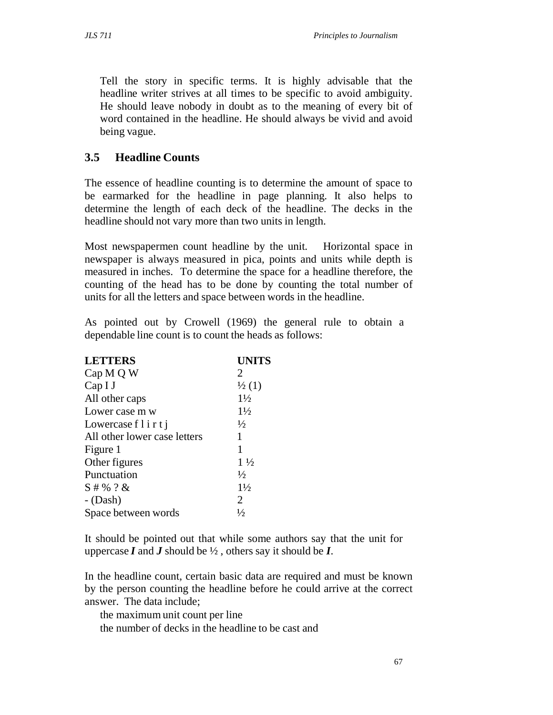Tell the story in specific terms. It is highly advisable that the headline writer strives at all times to be specific to avoid ambiguity. He should leave nobody in doubt as to the meaning of every bit of word contained in the headline. He should always be vivid and avoid being vague.

## **3.5 Headline Counts**

The essence of headline counting is to determine the amount of space to be earmarked for the headline in page planning. It also helps to determine the length of each deck of the headline. The decks in the headline should not vary more than two units in length.

Most newspapermen count headline by the unit. Horizontal space in newspaper is always measured in pica, points and units while depth is measured in inches. To determine the space for a headline therefore, the counting of the head has to be done by counting the total number of units for all the letters and space between words in the headline.

As pointed out by Crowell (1969) the general rule to obtain a dependable line count is to count the heads as follows:

| <b>LETTERS</b>               | <b>UNITS</b>      |
|------------------------------|-------------------|
| Cap M Q W                    | 2                 |
| Cap <sub>I</sub>             | $\frac{1}{2}$ (1) |
| All other caps               | $1\frac{1}{2}$    |
| Lower case m w               | $1\frac{1}{2}$    |
| Lowercase $f$ l i r t j      | $\frac{1}{2}$     |
| All other lower case letters | 1                 |
| Figure 1                     | 1                 |
| Other figures                | $1\frac{1}{2}$    |
| Punctuation                  | $\frac{1}{2}$     |
| $S#$ % ? &                   | $1\frac{1}{2}$    |
| $-Dash$ )                    | 2                 |
| Space between words          | $\frac{1}{2}$     |

It should be pointed out that while some authors say that the unit for uppercase  $I$  and  $J$  should be  $\frac{1}{2}$ , others say it should be  $I$ .

In the headline count, certain basic data are required and must be known by the person counting the headline before he could arrive at the correct answer. The data include;

the maximum unit count per line

the number of decks in the headline to be cast and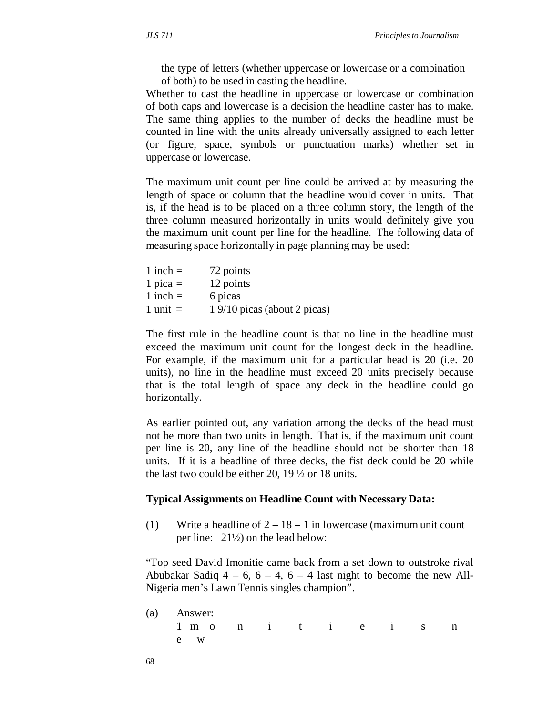the type of letters (whether uppercase or lowercase or a combination of both) to be used in casting the headline.

Whether to cast the headline in uppercase or lowercase or combination of both caps and lowercase is a decision the headline caster has to make. The same thing applies to the number of decks the headline must be counted in line with the units already universally assigned to each letter (or figure, space, symbols or punctuation marks) whether set in uppercase or lowercase.

The maximum unit count per line could be arrived at by measuring the length of space or column that the headline would cover in units. That is, if the head is to be placed on a three column story, the length of the three column measured horizontally in units would definitely give you the maximum unit count per line for the headline. The following data of measuring space horizontally in page planning may be used:

| $1$ inch $=$ | 72 points                    |
|--------------|------------------------------|
| 1 pica $=$   | 12 points                    |
| $1$ inch $=$ | 6 picas                      |
| 1 unit $=$   | 1 9/10 picas (about 2 picas) |

The first rule in the headline count is that no line in the headline must exceed the maximum unit count for the longest deck in the headline. For example, if the maximum unit for a particular head is 20 (i.e. 20 units), no line in the headline must exceed 20 units precisely because that is the total length of space any deck in the headline could go horizontally.

As earlier pointed out, any variation among the decks of the head must not be more than two units in length. That is, if the maximum unit count per line is 20, any line of the headline should not be shorter than 18 units. If it is a headline of three decks, the fist deck could be 20 while the last two could be either 20, 19  $\frac{1}{2}$  or 18 units.

#### **Typical Assignments on Headline Count with Necessary Data:**

(1) Write a headline of  $2 - 18 - 1$  in lowercase (maximum unit count per line: 21½) on the lead below:

"Top seed David Imonitie came back from a set down to outstroke rival Abubakar Sadiq  $4 - 6$ ,  $6 - 4$ ,  $6 - 4$  last night to become the new All-Nigeria men's Lawn Tennis singles champion".

| (a) Answer:         |  |  |  |  |
|---------------------|--|--|--|--|
| 1 m o n i t i e i s |  |  |  |  |
|                     |  |  |  |  |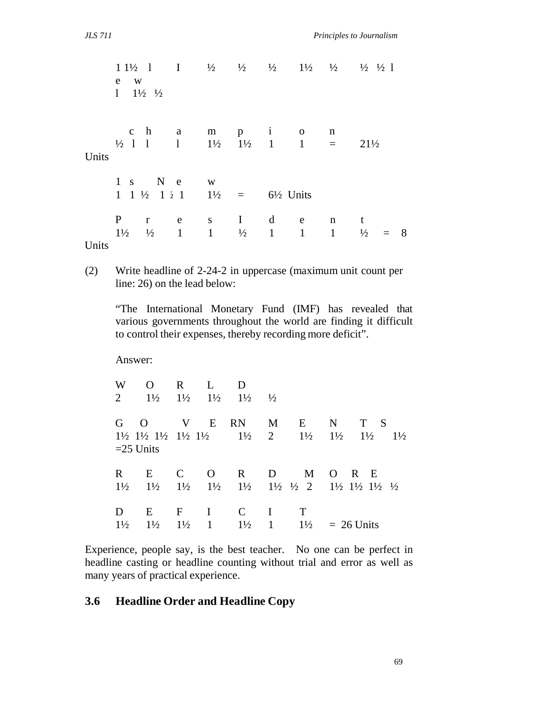1 1  $\frac{1}{2}$  1  $\frac{1}{2}$  1  $\frac{1}{2}$  1  $\frac{1}{2}$  1  $\frac{1}{2}$  1  $\frac{1}{2}$  1  $\frac{1}{2}$  1 e w l 1½ ½ c h a m p i o n Units  $\frac{1}{2}$  1 1 1  $\frac{1}{2}$  1  $\frac{1}{2}$  1 1 = 21  $\frac{1}{2}$ <sup>1</sup> <sup>s</sup> <sup>N</sup> <sup>e</sup> <sup>w</sup> 1 1  $\frac{1}{2}$  1  $\frac{1}{2}$  1  $\frac{1}{2}$  = 6<sup>1</sup>/<sub>2</sub> Units P r e s I d e n t  $1\frac{1}{2}$   $\frac{1}{2}$  1  $\frac{1}{2}$  1  $\frac{1}{2}$  1  $\frac{1}{2}$   $\frac{1}{2}$  = 8

Units

(2) Write headline of 2-24-2 in uppercase (maximum unit count per line: 26) on the lead below:

"The International Monetary Fund (IMF) has revealed that various governments throughout the world are finding it difficult to control their expenses, thereby recording more deficit".

Answer:

G O V E RN M E N T S 1½ 1½ 1½ 1½ 1½ 1½ 2 1½ 1½ 1½ 1½ W O R L D 2  $1\frac{1}{2}$   $1\frac{1}{2}$   $1\frac{1}{2}$   $1\frac{1}{2}$   $1\frac{1}{2}$  $=25$  Units R E C O R D M O R E 1½ 1½ 1½ 1½ 1½ 1½ ½ 2 1½ 1½ 1½ ½ D E F I C I T  $1\frac{1}{2}$   $1\frac{1}{2}$   $1\frac{1}{2}$  1  $1\frac{1}{2}$  1  $1\frac{1}{2}$  = 26 Units

Experience, people say, is the best teacher. No one can be perfect in headline casting or headline counting without trial and error as well as many years of practical experience.

#### **3.6 Headline Order and Headline Copy**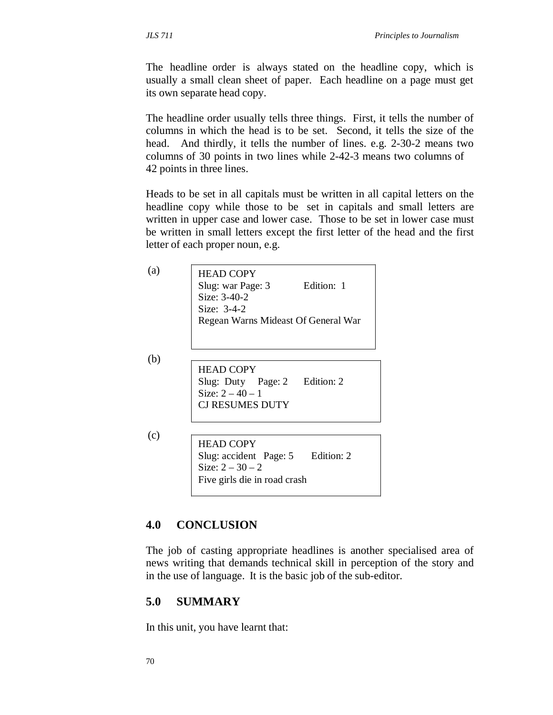The headline order is always stated on the headline copy, which is usually a small clean sheet of paper. Each headline on a page must get its own separate head copy.

The headline order usually tells three things. First, it tells the number of columns in which the head is to be set. Second, it tells the size of the head. And thirdly, it tells the number of lines. e.g. 2-30-2 means two columns of 30 points in two lines while 2-42-3 means two columns of 42 points in three lines.

Heads to be set in all capitals must be written in all capital letters on the headline copy while those to be set in capitals and small letters are written in upper case and lower case. Those to be set in lower case must be written in small letters except the first letter of the head and the first letter of each proper noun, e.g.

| (a) | <b>HEAD COPY</b><br>Edition: 1<br>Slug: war Page: 3<br>Size: 3-40-2<br>Size: $3-4-2$<br>Regean Warns Mideast Of General War |
|-----|-----------------------------------------------------------------------------------------------------------------------------|
|     |                                                                                                                             |
| (b) | <b>HEAD COPY</b><br>Slug: Duty Page: 2 Edition: 2<br>Size: $2 - 40 - 1$<br><b>CJ RESUMES DUTY</b>                           |
| (c) |                                                                                                                             |
|     | <b>HEAD COPY</b><br>Slug: accident Page: 5 Edition: 2<br>Size: $2 - 30 - 2$<br>Five girls die in road crash                 |

## **4.0 CONCLUSION**

The job of casting appropriate headlines is another specialised area of news writing that demands technical skill in perception of the story and in the use of language. It is the basic job of the sub-editor.

#### **5.0 SUMMARY**

In this unit, you have learnt that: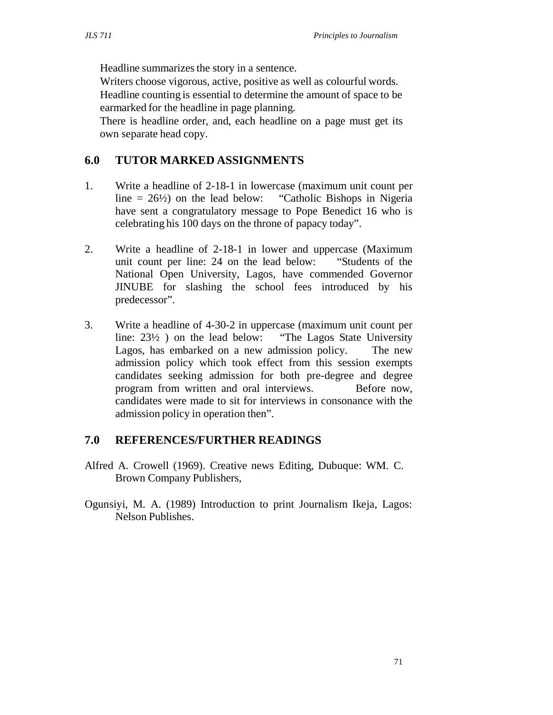Headline summarizes the story in a sentence.

Writers choose vigorous, active, positive as well as colourful words. Headline counting is essential to determine the amount of space to be earmarked for the headline in page planning.

There is headline order, and, each headline on a page must get its own separate head copy.

## **6.0 TUTOR MARKED ASSIGNMENTS**

- 1. Write a headline of 2-18-1 in lowercase (maximum unit count per line  $= 26\frac{1}{2}$  on the lead below: "Catholic Bishops in Nigeria" have sent a congratulatory message to Pope Benedict 16 who is celebrating his 100 days on the throne of papacy today".
- 2. Write a headline of 2-18-1 in lower and uppercase (Maximum unit count per line: 24 on the lead below: "Students of the National Open University, Lagos, have commended Governor JINUBE for slashing the school fees introduced by his predecessor".
- 3. Write a headline of 4-30-2 in uppercase (maximum unit count per line: 23½ ) on the lead below: "The Lagos State University Lagos, has embarked on a new admission policy. The new admission policy which took effect from this session exempts candidates seeking admission for both pre-degree and degree program from written and oral interviews. Before now, candidates were made to sit for interviews in consonance with the admission policy in operation then".

## **7.0 REFERENCES/FURTHER READINGS**

- Alfred A. Crowell (1969). Creative news Editing, Dubuque: WM. C. Brown Company Publishers,
- Ogunsiyi, M. A. (1989) Introduction to print Journalism Ikeja, Lagos: Nelson Publishes.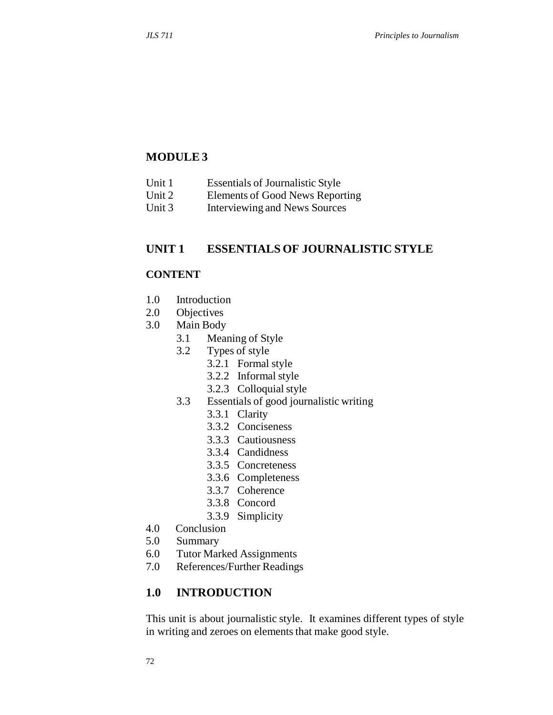# **MODULE 3**

| Unit 1 | <b>Essentials of Journalistic Style</b> |
|--------|-----------------------------------------|
|--------|-----------------------------------------|

- Unit 2 Elements of Good News Reporting
- Unit 3 Interviewing and News Sources

#### **UNIT 1 ESSENTIALS OF JOURNALISTIC STYLE**

#### **CONTENT**

- 1.0 Introduction
- 2.0 Objectives
- 3.0 Main Body
	- 3.1 Meaning of Style
	- 3.2 Types of style
		- 3.2.1 Formal style
		- 3.2.2 Informal style
		- 3.2.3 Colloquial style
	- 3.3 Essentials of good journalistic writing
		- 3.3.1 Clarity
		- 3.3.2 Conciseness
		- 3.3.3 Cautiousness
		- 3.3.4 Candidness
		- 3.3.5 Concreteness
		- 3.3.6 Completeness
		- 3.3.7 Coherence
		- 3.3.8 Concord
		- 3.3.9 Simplicity
- 4.0 Conclusion
- 5.0 Summary
- 6.0 Tutor Marked Assignments
- 7.0 References/Further Readings

## **1.0 INTRODUCTION**

This unit is about journalistic style. It examines different types of style in writing and zeroes on elements that make good style.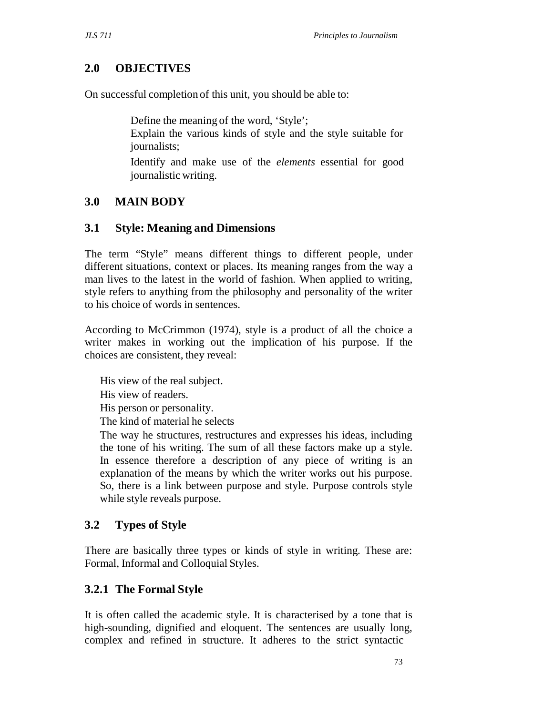## **2.0 OBJECTIVES**

On successful completion of this unit, you should be able to:

Define the meaning of the word, 'Style';

Explain the various kinds of style and the style suitable for journalists;

Identify and make use of the *elements* essential for good journalistic writing.

#### **3.0 MAIN BODY**

#### **3.1 Style: Meaning and Dimensions**

The term "Style" means different things to different people, under different situations, context or places. Its meaning ranges from the way a man lives to the latest in the world of fashion. When applied to writing, style refers to anything from the philosophy and personality of the writer to his choice of words in sentences.

According to McCrimmon (1974), style is a product of all the choice a writer makes in working out the implication of his purpose. If the choices are consistent, they reveal:

His view of the real subject.

His view of readers.

His person or personality.

The kind of material he selects

The way he structures, restructures and expresses his ideas, including the tone of his writing. The sum of all these factors make up a style. In essence therefore a description of any piece of writing is an explanation of the means by which the writer works out his purpose. So, there is a link between purpose and style. Purpose controls style while style reveals purpose.

## **3.2 Types of Style**

There are basically three types or kinds of style in writing. These are: Formal, Informal and Colloquial Styles.

## **3.2.1 The Formal Style**

It is often called the academic style. It is characterised by a tone that is high-sounding, dignified and eloquent. The sentences are usually long, complex and refined in structure. It adheres to the strict syntactic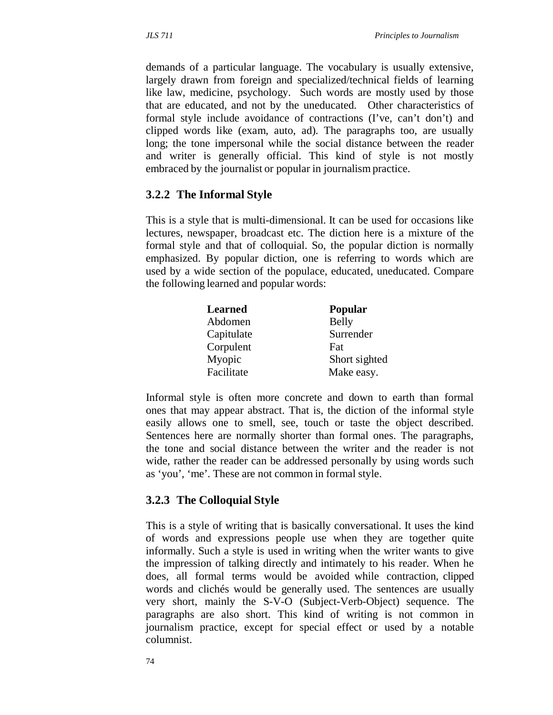demands of a particular language. The vocabulary is usually extensive, largely drawn from foreign and specialized/technical fields of learning like law, medicine, psychology. Such words are mostly used by those that are educated, and not by the uneducated. Other characteristics of formal style include avoidance of contractions (I've, can't don't) and clipped words like (exam, auto, ad). The paragraphs too, are usually long; the tone impersonal while the social distance between the reader and writer is generally official. This kind of style is not mostly embraced by the journalist or popular in journalism practice.

## **3.2.2 The Informal Style**

This is a style that is multi-dimensional. It can be used for occasions like lectures, newspaper, broadcast etc. The diction here is a mixture of the formal style and that of colloquial. So, the popular diction is normally emphasized. By popular diction, one is referring to words which are used by a wide section of the populace, educated, uneducated. Compare the following learned and popular words:

| <b>Learned</b> | <b>Popular</b> |
|----------------|----------------|
| Abdomen        | <b>Belly</b>   |
| Capitulate     | Surrender      |
| Corpulent      | Fat            |
| Myopic         | Short sighted  |
| Facilitate     | Make easy.     |

Informal style is often more concrete and down to earth than formal ones that may appear abstract. That is, the diction of the informal style easily allows one to smell, see, touch or taste the object described. Sentences here are normally shorter than formal ones. The paragraphs, the tone and social distance between the writer and the reader is not wide, rather the reader can be addressed personally by using words such as 'you', 'me'. These are not common in formal style.

## **3.2.3 The Colloquial Style**

This is a style of writing that is basically conversational. It uses the kind of words and expressions people use when they are together quite informally. Such a style is used in writing when the writer wants to give the impression of talking directly and intimately to his reader. When he does, all formal terms would be avoided while contraction, clipped words and clichés would be generally used. The sentences are usually very short, mainly the S-V-O (Subject-Verb-Object) sequence. The paragraphs are also short. This kind of writing is not common in journalism practice, except for special effect or used by a notable columnist.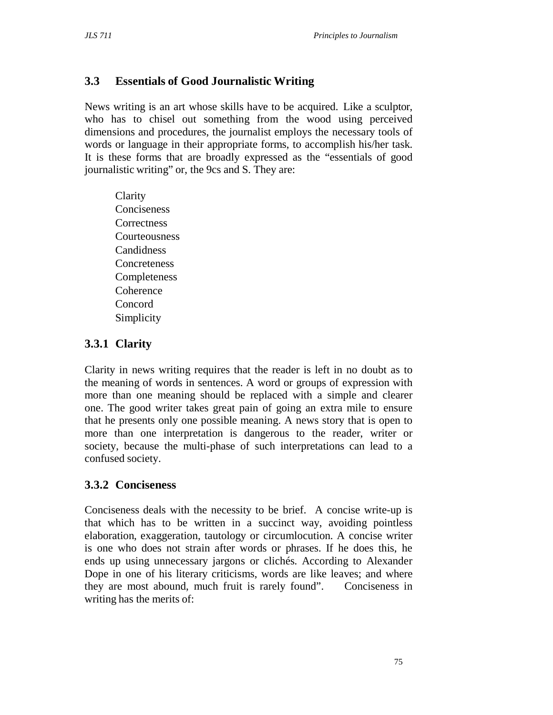## **3.3 Essentials of Good Journalistic Writing**

News writing is an art whose skills have to be acquired. Like a sculptor, who has to chisel out something from the wood using perceived dimensions and procedures, the journalist employs the necessary tools of words or language in their appropriate forms, to accomplish his/her task. It is these forms that are broadly expressed as the "essentials of good journalistic writing" or, the 9cs and S. They are:

Clarity Conciseness **Correctness** Courteousness **Candidness** Concreteness Completeness **Coherence** Concord Simplicity

#### **3.3.1 Clarity**

Clarity in news writing requires that the reader is left in no doubt as to the meaning of words in sentences. A word or groups of expression with more than one meaning should be replaced with a simple and clearer one. The good writer takes great pain of going an extra mile to ensure that he presents only one possible meaning. A news story that is open to more than one interpretation is dangerous to the reader, writer or society, because the multi-phase of such interpretations can lead to a confused society.

#### **3.3.2 Conciseness**

Conciseness deals with the necessity to be brief. A concise write-up is that which has to be written in a succinct way, avoiding pointless elaboration, exaggeration, tautology or circumlocution. A concise writer is one who does not strain after words or phrases. If he does this, he ends up using unnecessary jargons or clichés. According to Alexander Dope in one of his literary criticisms, words are like leaves; and where they are most abound, much fruit is rarely found". Conciseness in writing has the merits of: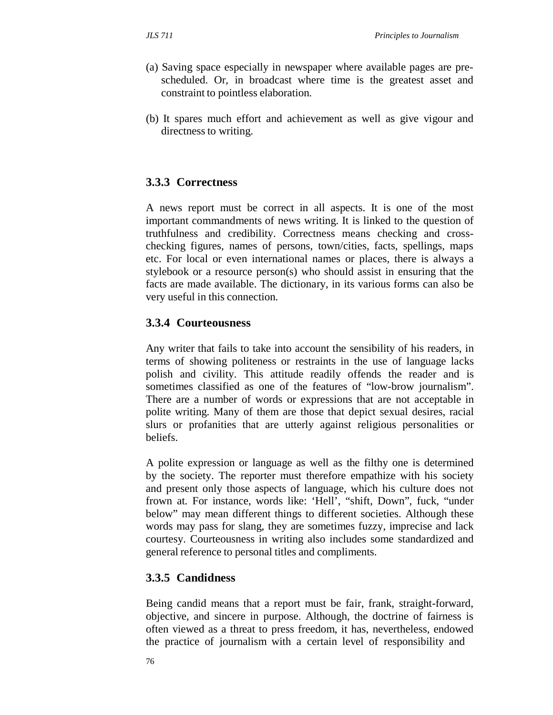- (a) Saving space especially in newspaper where available pages are prescheduled. Or, in broadcast where time is the greatest asset and constraint to pointless elaboration.
- (b) It spares much effort and achievement as well as give vigour and directness to writing.

## **3.3.3 Correctness**

A news report must be correct in all aspects. It is one of the most important commandments of news writing. It is linked to the question of truthfulness and credibility. Correctness means checking and crosschecking figures, names of persons, town/cities, facts, spellings, maps etc. For local or even international names or places, there is always a stylebook or a resource person(s) who should assist in ensuring that the facts are made available. The dictionary, in its various forms can also be very useful in this connection.

#### **3.3.4 Courteousness**

Any writer that fails to take into account the sensibility of his readers, in terms of showing politeness or restraints in the use of language lacks polish and civility. This attitude readily offends the reader and is sometimes classified as one of the features of "low-brow journalism". There are a number of words or expressions that are not acceptable in polite writing. Many of them are those that depict sexual desires, racial slurs or profanities that are utterly against religious personalities or beliefs.

A polite expression or language as well as the filthy one is determined by the society. The reporter must therefore empathize with his society and present only those aspects of language, which his culture does not frown at. For instance, words like: 'Hell', "shift, Down", fuck, "under below" may mean different things to different societies. Although these words may pass for slang, they are sometimes fuzzy, imprecise and lack courtesy. Courteousness in writing also includes some standardized and general reference to personal titles and compliments.

## **3.3.5 Candidness**

Being candid means that a report must be fair, frank, straight-forward, objective, and sincere in purpose. Although, the doctrine of fairness is often viewed as a threat to press freedom, it has, nevertheless, endowed the practice of journalism with a certain level of responsibility and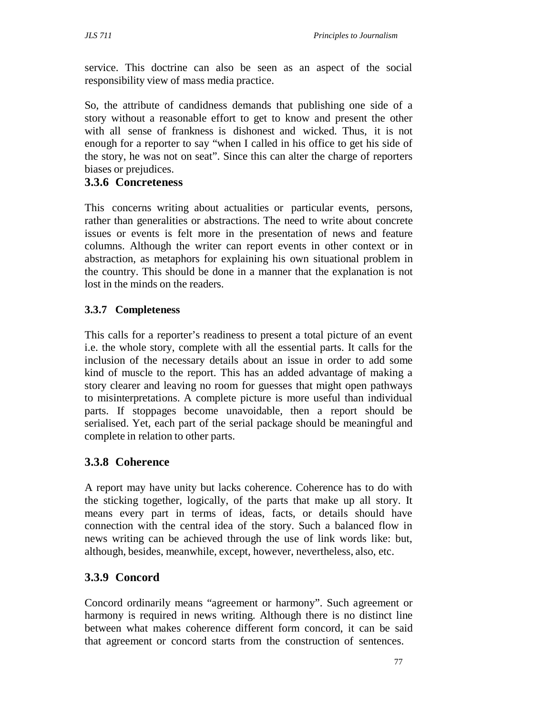service. This doctrine can also be seen as an aspect of the social responsibility view of mass media practice.

So, the attribute of candidness demands that publishing one side of a story without a reasonable effort to get to know and present the other with all sense of frankness is dishonest and wicked. Thus, it is not enough for a reporter to say "when I called in his office to get his side of the story, he was not on seat". Since this can alter the charge of reporters biases or prejudices.

# **3.3.6 Concreteness**

This concerns writing about actualities or particular events, persons, rather than generalities or abstractions. The need to write about concrete issues or events is felt more in the presentation of news and feature columns. Although the writer can report events in other context or in abstraction, as metaphors for explaining his own situational problem in the country. This should be done in a manner that the explanation is not lost in the minds on the readers.

# **3.3.7 Completeness**

This calls for a reporter's readiness to present a total picture of an event i.e. the whole story, complete with all the essential parts. It calls for the inclusion of the necessary details about an issue in order to add some kind of muscle to the report. This has an added advantage of making a story clearer and leaving no room for guesses that might open pathways to misinterpretations. A complete picture is more useful than individual parts. If stoppages become unavoidable, then a report should be serialised. Yet, each part of the serial package should be meaningful and complete in relation to other parts.

# **3.3.8 Coherence**

A report may have unity but lacks coherence. Coherence has to do with the sticking together, logically, of the parts that make up all story. It means every part in terms of ideas, facts, or details should have connection with the central idea of the story. Such a balanced flow in news writing can be achieved through the use of link words like: but, although, besides, meanwhile, except, however, nevertheless, also, etc.

# **3.3.9 Concord**

Concord ordinarily means "agreement or harmony". Such agreement or harmony is required in news writing. Although there is no distinct line between what makes coherence different form concord, it can be said that agreement or concord starts from the construction of sentences.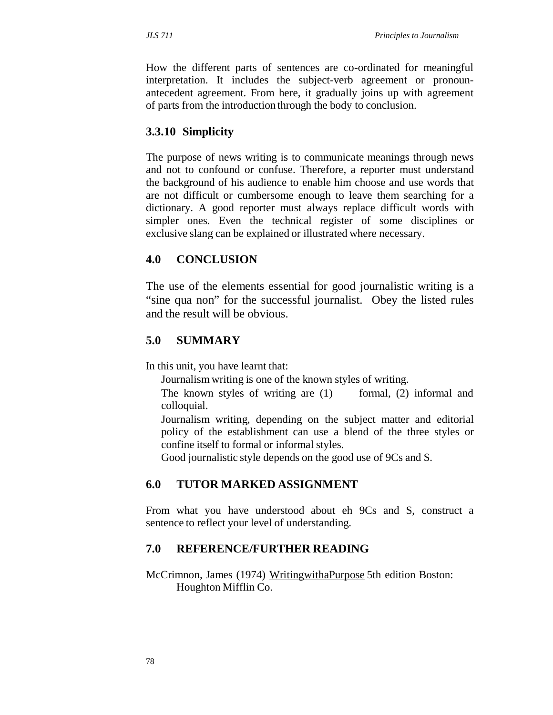How the different parts of sentences are co-ordinated for meaningful interpretation. It includes the subject-verb agreement or pronounantecedent agreement. From here, it gradually joins up with agreement of parts from the introduction through the body to conclusion.

# **3.3.10 Simplicity**

The purpose of news writing is to communicate meanings through news and not to confound or confuse. Therefore, a reporter must understand the background of his audience to enable him choose and use words that are not difficult or cumbersome enough to leave them searching for a dictionary. A good reporter must always replace difficult words with simpler ones. Even the technical register of some disciplines or exclusive slang can be explained or illustrated where necessary.

# **4.0 CONCLUSION**

The use of the elements essential for good journalistic writing is a "sine qua non" for the successful journalist. Obey the listed rules and the result will be obvious.

# **5.0 SUMMARY**

In this unit, you have learnt that:

Journalism writing is one of the known styles of writing.

The known styles of writing are  $(1)$  formal,  $(2)$  informal and colloquial.

Journalism writing, depending on the subject matter and editorial policy of the establishment can use a blend of the three styles or confine itself to formal or informal styles.

Good journalistic style depends on the good use of 9Cs and S.

# **6.0 TUTOR MARKED ASSIGNMENT**

From what you have understood about eh 9Cs and S, construct a sentence to reflect your level of understanding.

# **7.0 REFERENCE/FURTHER READING**

McCrimnon, James (1974) WritingwithaPurpose 5th edition Boston: Houghton Mifflin Co.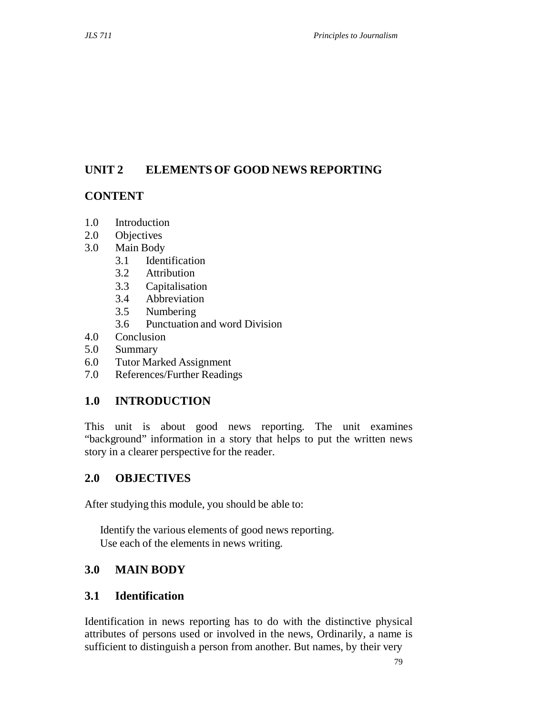# **UNIT 2 ELEMENTS OF GOOD NEWS REPORTING**

#### **CONTENT**

- 1.0 Introduction
- 2.0 Objectives
- 3.0 Main Body
	- 3.1 Identification
	- 3.2 Attribution
	- 3.3 Capitalisation
	- 3.4 Abbreviation
	- 3.5 Numbering
	- 3.6 Punctuation and word Division
- 4.0 Conclusion
- 5.0 Summary
- 6.0 Tutor Marked Assignment
- 7.0 References/Further Readings

## **1.0 INTRODUCTION**

This unit is about good news reporting. The unit examines "background" information in a story that helps to put the written news story in a clearer perspective for the reader.

## **2.0 OBJECTIVES**

After studying this module, you should be able to:

Identify the various elements of good news reporting. Use each of the elements in news writing.

# **3.0 MAIN BODY**

## **3.1 Identification**

Identification in news reporting has to do with the distinctive physical attributes of persons used or involved in the news, Ordinarily, a name is sufficient to distinguish a person from another. But names, by their very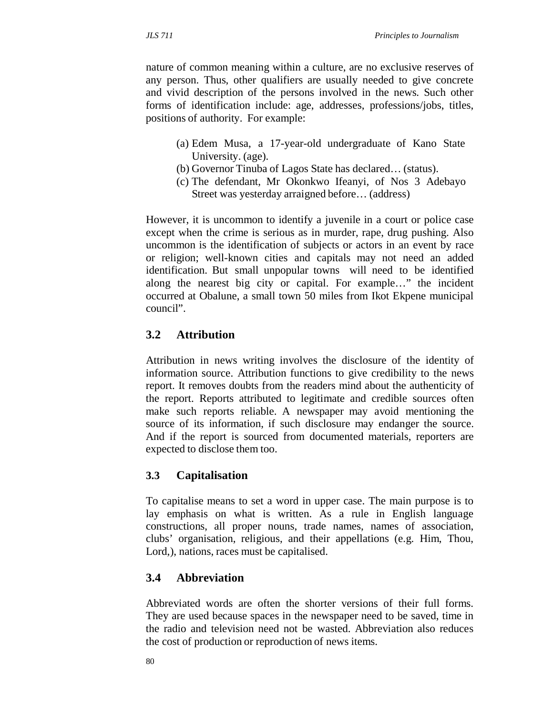nature of common meaning within a culture, are no exclusive reserves of any person. Thus, other qualifiers are usually needed to give concrete and vivid description of the persons involved in the news. Such other forms of identification include: age, addresses, professions/jobs, titles, positions of authority. For example:

- (a) Edem Musa, a 17-year-old undergraduate of Kano State University. (age).
- (b) Governor Tinuba of Lagos State has declared… (status).
- (c) The defendant, Mr Okonkwo Ifeanyi, of Nos 3 Adebayo Street was yesterday arraigned before… (address)

However, it is uncommon to identify a juvenile in a court or police case except when the crime is serious as in murder, rape, drug pushing. Also uncommon is the identification of subjects or actors in an event by race or religion; well-known cities and capitals may not need an added identification. But small unpopular towns will need to be identified along the nearest big city or capital. For example…" the incident occurred at Obalune, a small town 50 miles from Ikot Ekpene municipal council".

## **3.2 Attribution**

Attribution in news writing involves the disclosure of the identity of information source. Attribution functions to give credibility to the news report. It removes doubts from the readers mind about the authenticity of the report. Reports attributed to legitimate and credible sources often make such reports reliable. A newspaper may avoid mentioning the source of its information, if such disclosure may endanger the source. And if the report is sourced from documented materials, reporters are expected to disclose them too.

#### **3.3 Capitalisation**

To capitalise means to set a word in upper case. The main purpose is to lay emphasis on what is written. As a rule in English language constructions, all proper nouns, trade names, names of association, clubs' organisation, religious, and their appellations (e.g. Him, Thou, Lord,), nations, races must be capitalised.

## **3.4 Abbreviation**

Abbreviated words are often the shorter versions of their full forms. They are used because spaces in the newspaper need to be saved, time in the radio and television need not be wasted. Abbreviation also reduces the cost of production or reproduction of news items.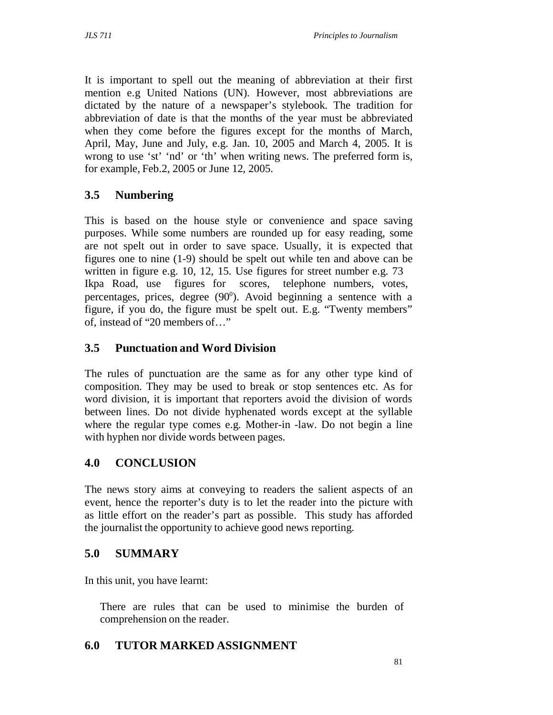It is important to spell out the meaning of abbreviation at their first mention e.g United Nations (UN). However, most abbreviations are dictated by the nature of a newspaper's stylebook. The tradition for abbreviation of date is that the months of the year must be abbreviated when they come before the figures except for the months of March, April, May, June and July, e.g. Jan. 10, 2005 and March 4, 2005. It is wrong to use 'st' 'nd' or 'th' when writing news. The preferred form is, for example, Feb.2, 2005 or June 12, 2005.

# **3.5 Numbering**

This is based on the house style or convenience and space saving purposes. While some numbers are rounded up for easy reading, some are not spelt out in order to save space. Usually, it is expected that figures one to nine (1-9) should be spelt out while ten and above can be written in figure e.g. 10, 12, 15. Use figures for street number e.g. 73 Ikpa Road, use figures for scores, telephone numbers, votes, percentages, prices, degree  $(90^0)$ . Avoid beginning a sentence with a figure, if you do, the figure must be spelt out. E.g. "Twenty members" of, instead of "20 members of…"

## **3.5 Punctuation and Word Division**

The rules of punctuation are the same as for any other type kind of composition. They may be used to break or stop sentences etc. As for word division, it is important that reporters avoid the division of words between lines. Do not divide hyphenated words except at the syllable where the regular type comes e.g. Mother-in -law. Do not begin a line with hyphen nor divide words between pages.

## **4.0 CONCLUSION**

The news story aims at conveying to readers the salient aspects of an event, hence the reporter's duty is to let the reader into the picture with as little effort on the reader's part as possible. This study has afforded the journalist the opportunity to achieve good news reporting.

## **5.0 SUMMARY**

In this unit, you have learnt:

There are rules that can be used to minimise the burden of comprehension on the reader.

## **6.0 TUTOR MARKED ASSIGNMENT**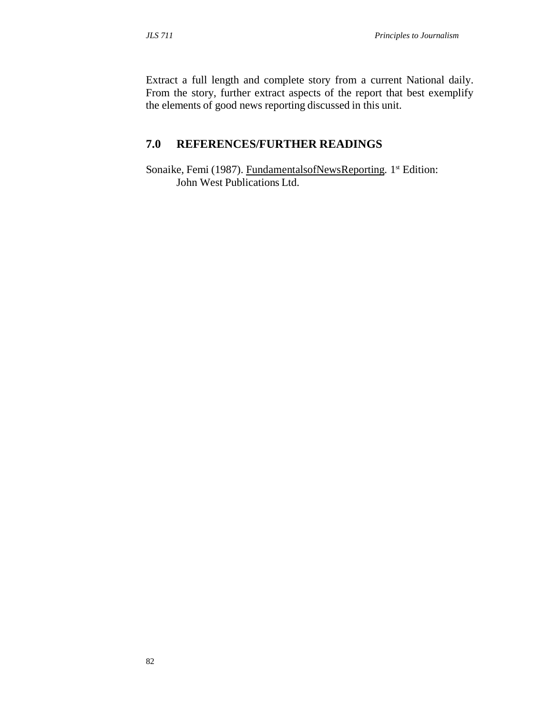Extract a full length and complete story from a current National daily. From the story, further extract aspects of the report that best exemplify the elements of good news reporting discussed in this unit.

# **7.0 REFERENCES/FURTHER READINGS**

Sonaike, Femi (1987). FundamentalsofNewsReporting. 1st Edition: John West Publications Ltd.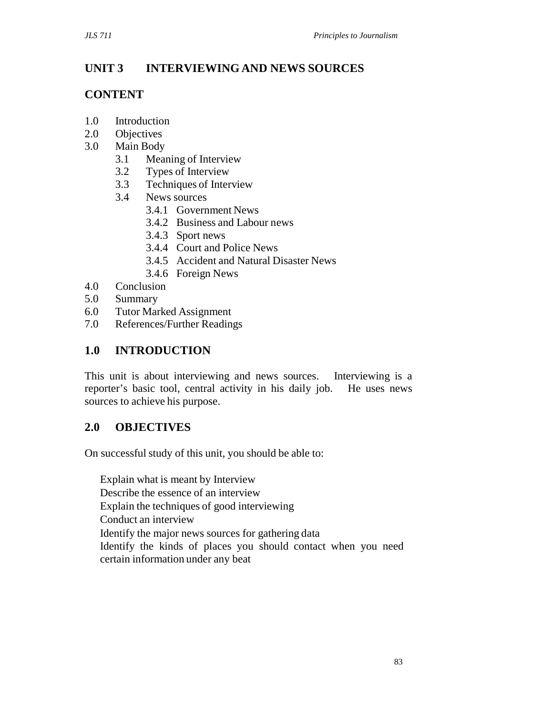# **UNIT 3 INTERVIEWING AND NEWS SOURCES**

#### **CONTENT**

- 1.0 Introduction
- 2.0 Objectives
- 3.0 Main Body
	- 3.1 Meaning of Interview
	- 3.2 Types of Interview
	- 3.3 Techniques of Interview
	- 3.4 News sources
		- 3.4.1 Government News
		- 3.4.2 Business and Labour news
		- 3.4.3 Sport news
		- 3.4.4 Court and Police News
		- 3.4.5 Accident and Natural Disaster News
		- 3.4.6 Foreign News
- 4.0 Conclusion
- 5.0 Summary
- 6.0 Tutor Marked Assignment
- 7.0 References/Further Readings

#### **1.0 INTRODUCTION**

This unit is about interviewing and news sources. Interviewing is a reporter's basic tool, central activity in his daily job. He uses news sources to achieve his purpose.

#### **2.0 OBJECTIVES**

On successful study of this unit, you should be able to:

Explain what is meant by Interview Describe the essence of an interview Explain the techniques of good interviewing Conduct an interview Identify the major news sources for gathering data Identify the kinds of places you should contact when you need certain information under any beat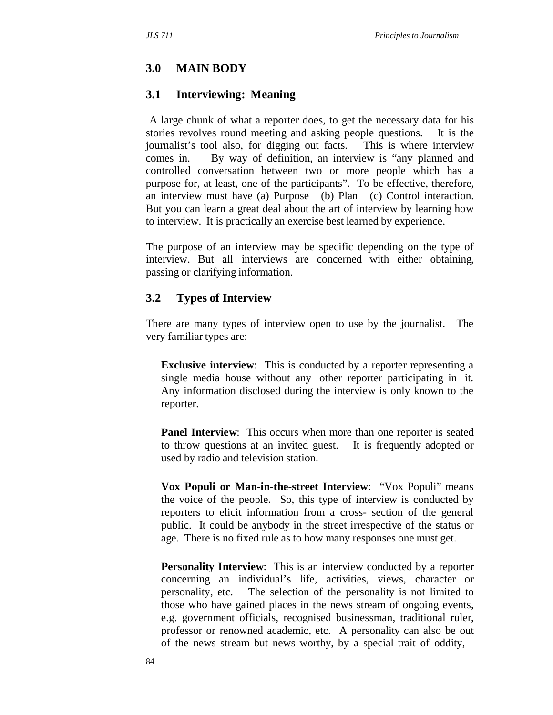#### **3.0 MAIN BODY**

#### **3.1 Interviewing: Meaning**

A large chunk of what a reporter does, to get the necessary data for his stories revolves round meeting and asking people questions. It is the journalist's tool also, for digging out facts. This is where interview comes in. By way of definition, an interview is "any planned and controlled conversation between two or more people which has a purpose for, at least, one of the participants". To be effective, therefore, an interview must have (a) Purpose (b) Plan (c) Control interaction. But you can learn a great deal about the art of interview by learning how to interview. It is practically an exercise best learned by experience.

The purpose of an interview may be specific depending on the type of interview. But all interviews are concerned with either obtaining, passing or clarifying information.

#### **3.2 Types of Interview**

There are many types of interview open to use by the journalist. The very familiar types are:

**Exclusive interview**: This is conducted by a reporter representing a single media house without any other reporter participating in it. Any information disclosed during the interview is only known to the reporter.

**Panel Interview**: This occurs when more than one reporter is seated to throw questions at an invited guest. It is frequently adopted or used by radio and television station.

**Vox Populi or Man-in-the-street Interview**: "Vox Populi" means the voice of the people. So, this type of interview is conducted by reporters to elicit information from a cross- section of the general public. It could be anybody in the street irrespective of the status or age. There is no fixed rule as to how many responses one must get.

**Personality Interview**: This is an interview conducted by a reporter concerning an individual's life, activities, views, character or personality, etc. The selection of the personality is not limited to those who have gained places in the news stream of ongoing events, e.g. government officials, recognised businessman, traditional ruler, professor or renowned academic, etc. A personality can also be out of the news stream but news worthy, by a special trait of oddity,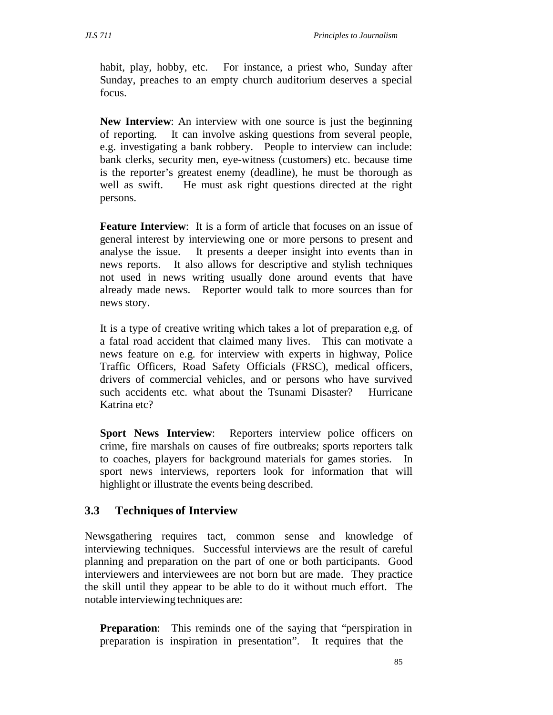habit, play, hobby, etc. For instance, a priest who, Sunday after Sunday, preaches to an empty church auditorium deserves a special focus.

**New Interview**: An interview with one source is just the beginning of reporting. It can involve asking questions from several people, e.g. investigating a bank robbery. People to interview can include: bank clerks, security men, eye-witness (customers) etc. because time is the reporter's greatest enemy (deadline), he must be thorough as well as swift. He must ask right questions directed at the right persons.

**Feature Interview**: It is a form of article that focuses on an issue of general interest by interviewing one or more persons to present and analyse the issue. It presents a deeper insight into events than in news reports. It also allows for descriptive and stylish techniques not used in news writing usually done around events that have already made news. Reporter would talk to more sources than for news story.

It is a type of creative writing which takes a lot of preparation e,g. of a fatal road accident that claimed many lives. This can motivate a news feature on e.g. for interview with experts in highway, Police Traffic Officers, Road Safety Officials (FRSC), medical officers, drivers of commercial vehicles, and or persons who have survived such accidents etc. what about the Tsunami Disaster? Hurricane Katrina etc?

**Sport News Interview:** Reporters interview police officers on crime, fire marshals on causes of fire outbreaks; sports reporters talk to coaches, players for background materials for games stories. In sport news interviews, reporters look for information that will highlight or illustrate the events being described.

# **3.3 Techniques of Interview**

Newsgathering requires tact, common sense and knowledge of interviewing techniques. Successful interviews are the result of careful planning and preparation on the part of one or both participants. Good interviewers and interviewees are not born but are made. They practice the skill until they appear to be able to do it without much effort. The notable interviewing techniques are:

**Preparation:** This reminds one of the saying that "perspiration in preparation is inspiration in presentation". It requires that the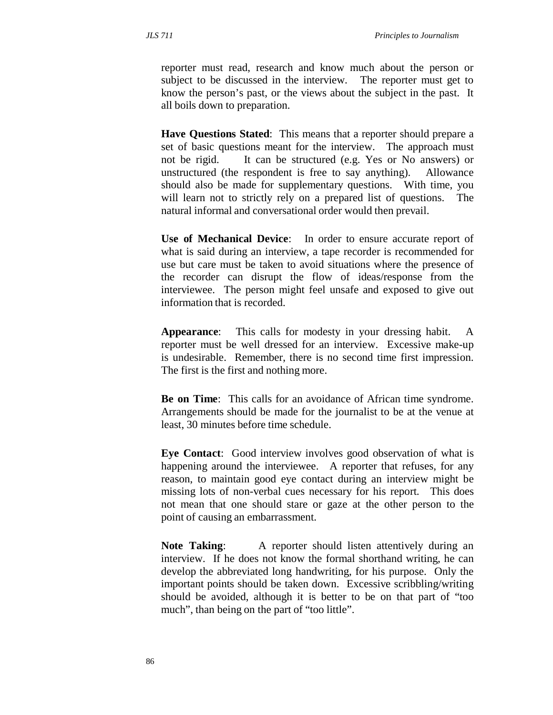reporter must read, research and know much about the person or subject to be discussed in the interview. The reporter must get to know the person's past, or the views about the subject in the past. It all boils down to preparation.

**Have Questions Stated**: This means that a reporter should prepare a set of basic questions meant for the interview. The approach must not be rigid. It can be structured (e.g. Yes or No answers) or unstructured (the respondent is free to say anything). Allowance should also be made for supplementary questions. With time, you will learn not to strictly rely on a prepared list of questions. The natural informal and conversational order would then prevail.

**Use of Mechanical Device**: In order to ensure accurate report of what is said during an interview, a tape recorder is recommended for use but care must be taken to avoid situations where the presence of the recorder can disrupt the flow of ideas/response from the interviewee. The person might feel unsafe and exposed to give out information that is recorded.

**Appearance**: This calls for modesty in your dressing habit. A reporter must be well dressed for an interview. Excessive make-up is undesirable. Remember, there is no second time first impression. The first is the first and nothing more.

**Be on Time**: This calls for an avoidance of African time syndrome. Arrangements should be made for the journalist to be at the venue at least, 30 minutes before time schedule.

**Eye Contact**: Good interview involves good observation of what is happening around the interviewee. A reporter that refuses, for any reason, to maintain good eye contact during an interview might be missing lots of non-verbal cues necessary for his report. This does not mean that one should stare or gaze at the other person to the point of causing an embarrassment.

**Note Taking:** A reporter should listen attentively during an interview. If he does not know the formal shorthand writing, he can develop the abbreviated long handwriting, for his purpose. Only the important points should be taken down. Excessive scribbling/writing should be avoided, although it is better to be on that part of "too much", than being on the part of "too little".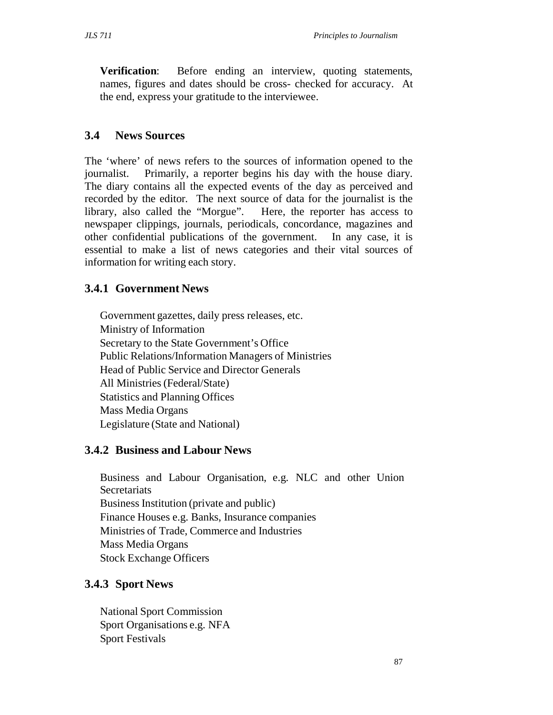**Verification**: Before ending an interview, quoting statements, names, figures and dates should be cross- checked for accuracy. At the end, express your gratitude to the interviewee.

# **3.4 News Sources**

The 'where' of news refers to the sources of information opened to the journalist. Primarily, a reporter begins his day with the house diary. The diary contains all the expected events of the day as perceived and recorded by the editor. The next source of data for the journalist is the library, also called the "Morgue". Here, the reporter has access to newspaper clippings, journals, periodicals, concordance, magazines and other confidential publications of the government. In any case, it is essential to make a list of news categories and their vital sources of information for writing each story.

# **3.4.1 Government News**

Government gazettes, daily press releases, etc. Ministry of Information Secretary to the State Government's Office Public Relations/Information Managers of Ministries Head of Public Service and Director Generals All Ministries (Federal/State) Statistics and Planning Offices Mass Media Organs Legislature (State and National)

# **3.4.2 Business and Labour News**

Business and Labour Organisation, e.g. NLC and other Union **Secretariats** Business Institution (private and public) Finance Houses e.g. Banks, Insurance companies Ministries of Trade, Commerce and Industries Mass Media Organs Stock Exchange Officers

# **3.4.3 Sport News**

National Sport Commission Sport Organisations e.g. NFA Sport Festivals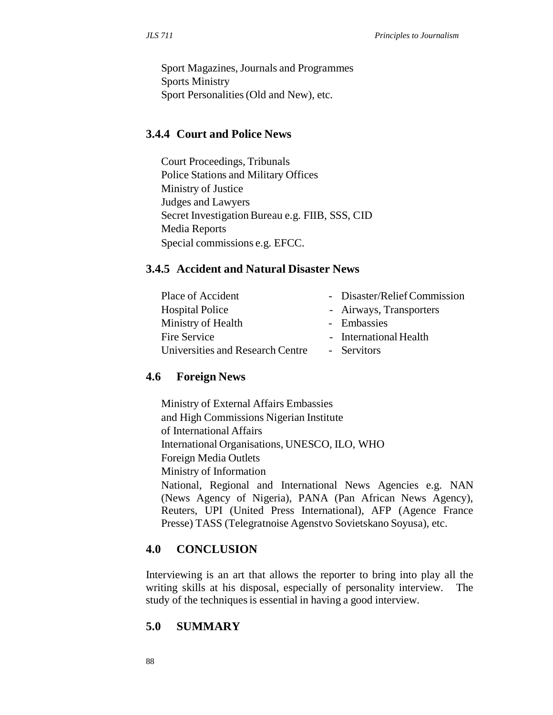Sport Magazines, Journals and Programmes Sports Ministry Sport Personalities (Old and New), etc.

#### **3.4.4 Court and Police News**

Court Proceedings, Tribunals Police Stations and Military Offices Ministry of Justice Judges and Lawyers Secret Investigation Bureau e.g. FIIB, SSS, CID Media Reports Special commissions e.g. EFCC.

#### **3.4.5 Accident and Natural Disaster News**

| Place of Accident                | - Disaster/Relief Commission |
|----------------------------------|------------------------------|
| <b>Hospital Police</b>           | - Airways, Transporters      |
| Ministry of Health               | - Embassies                  |
| Fire Service                     | - International Health       |
| Universities and Research Centre | - Servitors                  |
|                                  |                              |

#### **4.6 Foreign News**

Ministry of External Affairs Embassies and High Commissions Nigerian Institute of International Affairs International Organisations, UNESCO, ILO, WHO Foreign Media Outlets Ministry of Information National, Regional and International News Agencies e.g. NAN (News Agency of Nigeria), PANA (Pan African News Agency), Reuters, UPI (United Press International), AFP (Agence France Presse) TASS (Telegratnoise Agenstvo Sovietskano Soyusa), etc.

#### **4.0 CONCLUSION**

Interviewing is an art that allows the reporter to bring into play all the writing skills at his disposal, especially of personality interview. The study of the techniques is essential in having a good interview.

#### **5.0 SUMMARY**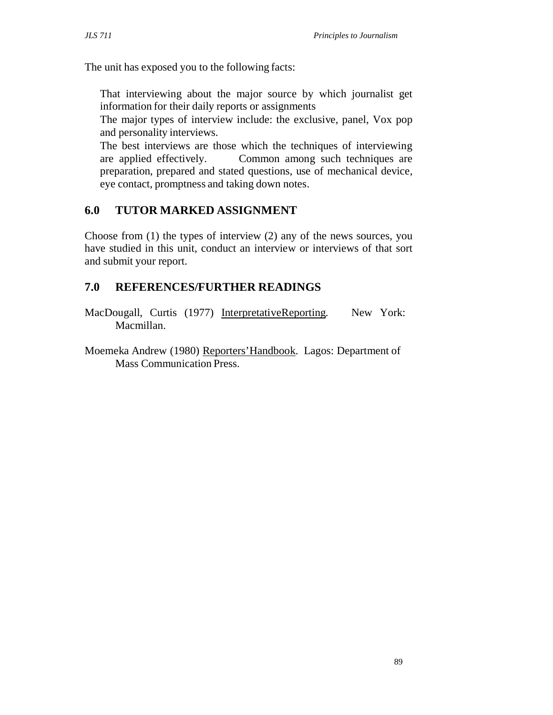The unit has exposed you to the following facts:

That interviewing about the major source by which journalist get information for their daily reports or assignments

The major types of interview include: the exclusive, panel, Vox pop and personality interviews.

The best interviews are those which the techniques of interviewing are applied effectively. Common among such techniques are preparation, prepared and stated questions, use of mechanical device, eye contact, promptness and taking down notes.

#### **6.0 TUTOR MARKED ASSIGNMENT**

Choose from (1) the types of interview (2) any of the news sources, you have studied in this unit, conduct an interview or interviews of that sort and submit your report.

#### **7.0 REFERENCES/FURTHER READINGS**

- MacDougall, Curtis (1977) InterpretativeReporting. New York: Macmillan.
- Moemeka Andrew (1980) Reporters'Handbook. Lagos: Department of Mass Communication Press.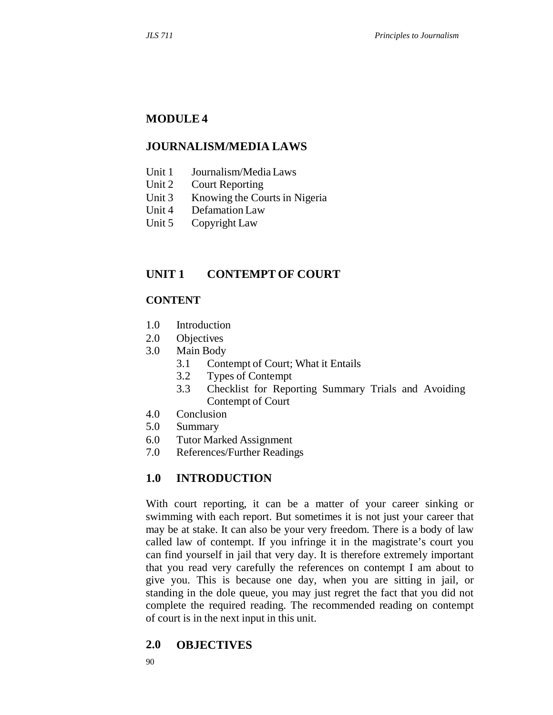# **MODULE 4**

#### **JOURNALISM/MEDIA LAWS**

- Unit 1 Journalism/Media Laws
- Unit 2 Court Reporting
- Unit 3 Knowing the Courts in Nigeria
- Unit 4 Defamation Law
- Unit 5 Copyright Law

#### **UNIT 1 CONTEMPT OF COURT**

#### **CONTENT**

- 1.0 Introduction
- 2.0 Objectives
- 3.0 Main Body
	- 3.1 Contempt of Court; What it Entails
	- 3.2 Types of Contempt
	- 3.3 Checklist for Reporting Summary Trials and Avoiding Contempt of Court
- 4.0 Conclusion
- 5.0 Summary
- 6.0 Tutor Marked Assignment
- 7.0 References/Further Readings

#### **1.0 INTRODUCTION**

With court reporting, it can be a matter of your career sinking or swimming with each report. But sometimes it is not just your career that may be at stake. It can also be your very freedom. There is a body of law called law of contempt. If you infringe it in the magistrate's court you can find yourself in jail that very day. It is therefore extremely important that you read very carefully the references on contempt I am about to give you. This is because one day, when you are sitting in jail, or standing in the dole queue, you may just regret the fact that you did not complete the required reading. The recommended reading on contempt of court is in the next input in this unit.

#### **2.0 OBJECTIVES**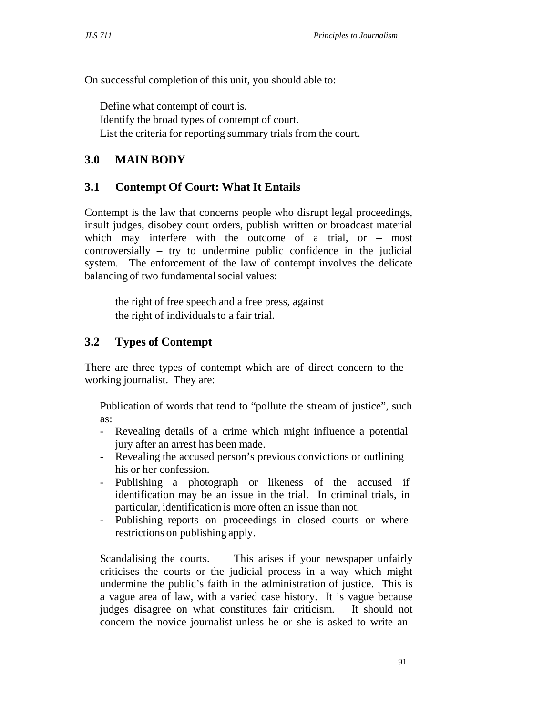On successful completion of this unit, you should able to:

Define what contempt of court is. Identify the broad types of contempt of court. List the criteria for reporting summary trials from the court.

# **3.0 MAIN BODY**

## **3.1 Contempt Of Court: What It Entails**

Contempt is the law that concerns people who disrupt legal proceedings, insult judges, disobey court orders, publish written or broadcast material which may interfere with the outcome of a trial, or – most controversially – try to undermine public confidence in the judicial system. The enforcement of the law of contempt involves the delicate balancing of two fundamental social values:

the right of free speech and a free press, against the right of individuals to a fair trial.

# **3.2 Types of Contempt**

There are three types of contempt which are of direct concern to the working journalist. They are:

Publication of words that tend to "pollute the stream of justice", such as:

- Revealing details of a crime which might influence a potential jury after an arrest has been made.
- Revealing the accused person's previous convictions or outlining his or her confession.
- Publishing a photograph or likeness of the accused if identification may be an issue in the trial. In criminal trials, in particular, identification is more often an issue than not.
- Publishing reports on proceedings in closed courts or where restrictions on publishing apply.

Scandalising the courts. This arises if your newspaper unfairly criticises the courts or the judicial process in a way which might undermine the public's faith in the administration of justice. This is a vague area of law, with a varied case history. It is vague because judges disagree on what constitutes fair criticism. It should not concern the novice journalist unless he or she is asked to write an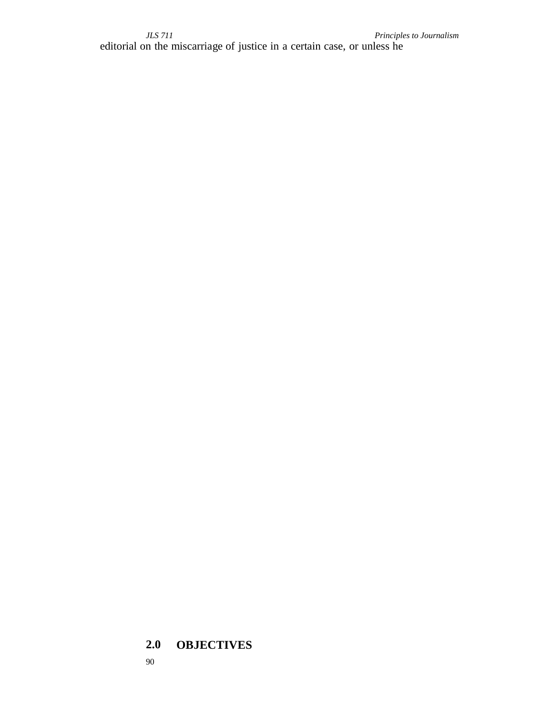*JLS 711 Principles to Journalism* editorial on the miscarriage of justice in a certain case, or unless he

#### **2.0 OBJECTIVES**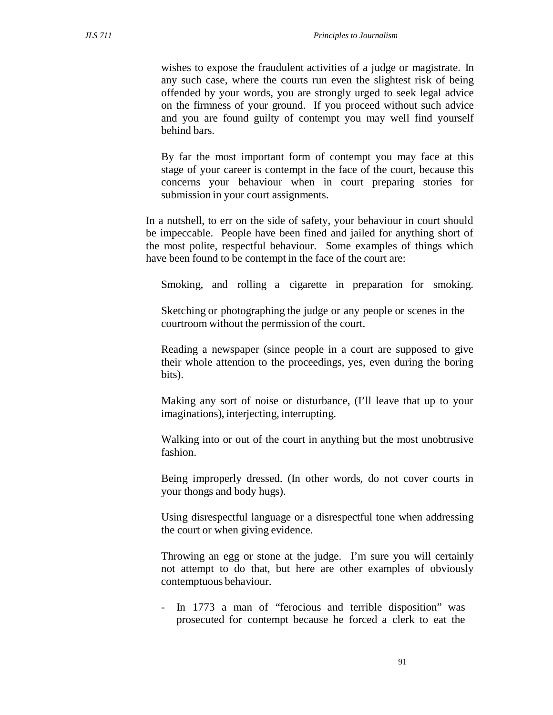wishes to expose the fraudulent activities of a judge or magistrate. In any such case, where the courts run even the slightest risk of being

offended by your words, you are strongly urged to seek legal advice on the firmness of your ground. If you proceed without such advice and you are found guilty of contempt you may well find yourself behind bars.

By far the most important form of contempt you may face at this stage of your career is contempt in the face of the court, because this concerns your behaviour when in court preparing stories for submission in your court assignments.

In a nutshell, to err on the side of safety, your behaviour in court should be impeccable. People have been fined and jailed for anything short of the most polite, respectful behaviour. Some examples of things which have been found to be contempt in the face of the court are:

Smoking, and rolling a cigarette in preparation for smoking.

Sketching or photographing the judge or any people or scenes in the courtroom without the permission of the court.

Reading a newspaper (since people in a court are supposed to give their whole attention to the proceedings, yes, even during the boring bits).

Making any sort of noise or disturbance, (I'll leave that up to your imaginations), interjecting, interrupting.

Walking into or out of the court in anything but the most unobtrusive fashion.

Being improperly dressed. (In other words, do not cover courts in your thongs and body hugs).

Using disrespectful language or a disrespectful tone when addressing the court or when giving evidence.

Throwing an egg or stone at the judge. I'm sure you will certainly not attempt to do that, but here are other examples of obviously contemptuous behaviour.

In 1773 a man of "ferocious and terrible disposition" was prosecuted for contempt because he forced a clerk to eat the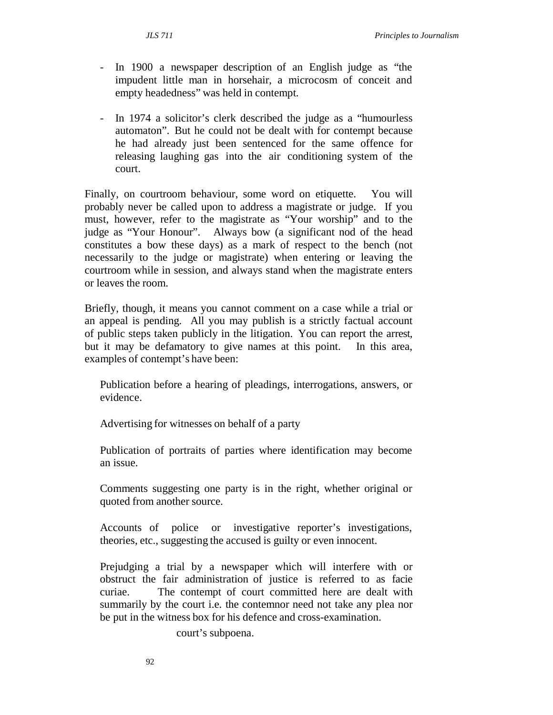- In 1900 a newspaper description of an English judge as "the impudent little man in horsehair, a microcosm of conceit and empty headedness" was held in contempt.
- In 1974 a solicitor's clerk described the judge as a "humourless automaton". But he could not be dealt with for contempt because he had already just been sentenced for the same offence for releasing laughing gas into the air conditioning system of the court.

Finally, on courtroom behaviour, some word on etiquette. You will probably never be called upon to address a magistrate or judge. If you must, however, refer to the magistrate as "Your worship" and to the judge as "Your Honour". Always bow (a significant nod of the head constitutes a bow these days) as a mark of respect to the bench (not necessarily to the judge or magistrate) when entering or leaving the courtroom while in session, and always stand when the magistrate enters or leaves the room.

Briefly, though, it means you cannot comment on a case while a trial or an appeal is pending. All you may publish is a strictly factual account of public steps taken publicly in the litigation. You can report the arrest, but it may be defamatory to give names at this point. In this area, examples of contempt's have been:

Publication before a hearing of pleadings, interrogations, answers, or evidence.

Advertising for witnesses on behalf of a party

Publication of portraits of parties where identification may become an issue.

Comments suggesting one party is in the right, whether original or quoted from another source.

Accounts of police or investigative reporter's investigations, theories, etc., suggesting the accused is guilty or even innocent.

Prejudging a trial by a newspaper which will interfere with or obstruct the fair administration of justice is referred to as facie curiae. The contempt of court committed here are dealt with summarily by the court i.e. the contemnor need not take any plea nor be put in the witness box for his defence and cross-examination.

court's subpoena.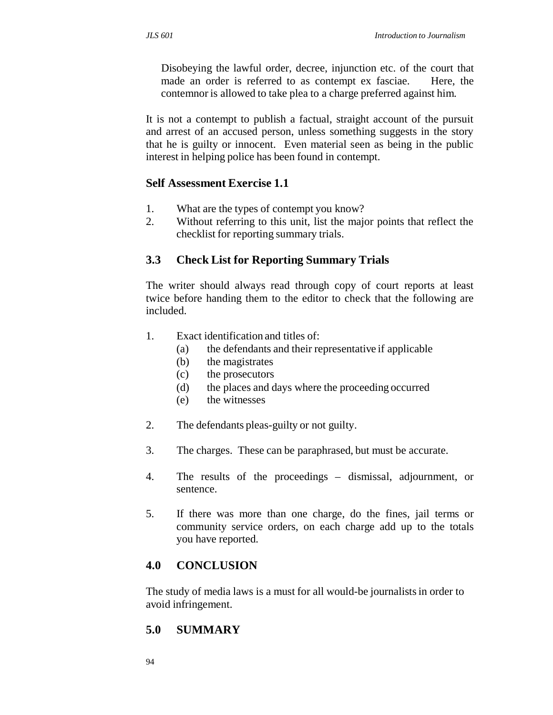Disobeying the lawful order, decree, injunction etc. of the court that made an order is referred to as contempt ex fasciae. Here, the contemnor is allowed to take plea to a charge preferred against him.

It is not a contempt to publish a factual, straight account of the pursuit and arrest of an accused person, unless something suggests in the story that he is guilty or innocent. Even material seen as being in the public interest in helping police has been found in contempt.

#### **Self Assessment Exercise 1.1**

- 1. What are the types of contempt you know?
- 2. Without referring to this unit, list the major points that reflect the checklist for reporting summary trials.

## **3.3 Check List for Reporting Summary Trials**

The writer should always read through copy of court reports at least twice before handing them to the editor to check that the following are included.

- 1. Exact identification and titles of:
	- (a) the defendants and their representative if applicable
	- (b) the magistrates
	- (c) the prosecutors
	- (d) the places and days where the proceeding occurred
	- (e) the witnesses
- 2. The defendants pleas-guilty or not guilty.
- 3. The charges. These can be paraphrased, but must be accurate.
- 4. The results of the proceedings dismissal, adjournment, or sentence.
- 5. If there was more than one charge, do the fines, jail terms or community service orders, on each charge add up to the totals you have reported.

## **4.0 CONCLUSION**

The study of media laws is a must for all would-be journalists in order to avoid infringement.

## **5.0 SUMMARY**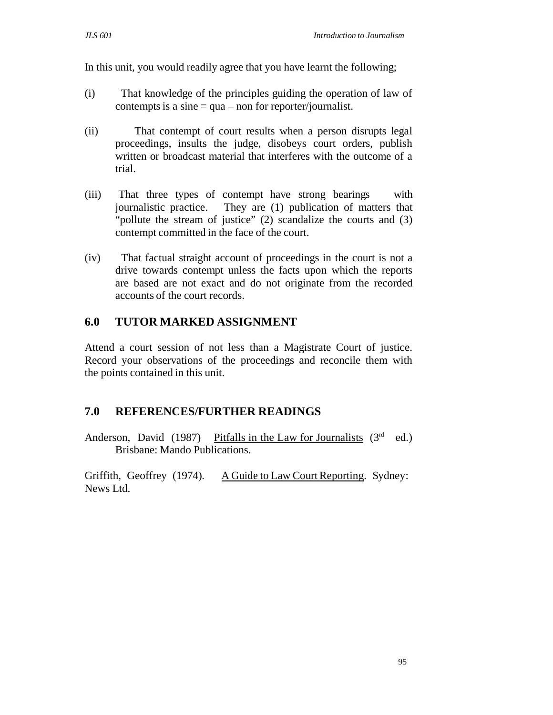In this unit, you would readily agree that you have learnt the following;

- (i) That knowledge of the principles guiding the operation of law of contempts is a sine  $=$  qua – non for reporter/journalist.
- (ii) That contempt of court results when a person disrupts legal proceedings, insults the judge, disobeys court orders, publish written or broadcast material that interferes with the outcome of a trial.
- (iii) That three types of contempt have strong bearings with journalistic practice. They are (1) publication of matters that "pollute the stream of justice" (2) scandalize the courts and (3) contempt committed in the face of the court.
- (iv) That factual straight account of proceedings in the court is not a drive towards contempt unless the facts upon which the reports are based are not exact and do not originate from the recorded accounts of the court records.

# **6.0 TUTOR MARKED ASSIGNMENT**

Attend a court session of not less than a Magistrate Court of justice. Record your observations of the proceedings and reconcile them with the points contained in this unit.

# **7.0 REFERENCES/FURTHER READINGS**

Anderson, David (1987) Pitfalls in the Law for Journalists  $(3<sup>rd</sup>$  ed.) Brisbane: Mando Publications.

Griffith, Geoffrey (1974). A Guide to Law Court Reporting. Sydney: News Ltd.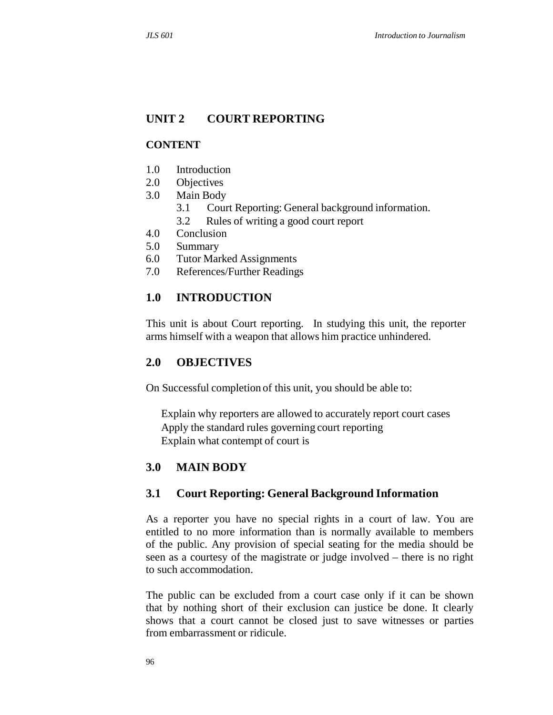## **UNIT 2 COURT REPORTING**

#### **CONTENT**

- 1.0 Introduction
- 2.0 Objectives
- 3.0 Main Body
	- 3.1 Court Reporting: General background information.
	- 3.2 Rules of writing a good court report
- 4.0 Conclusion
- 5.0 Summary
- 6.0 Tutor Marked Assignments
- 7.0 References/Further Readings

#### **1.0 INTRODUCTION**

This unit is about Court reporting. In studying this unit, the reporter arms himself with a weapon that allows him practice unhindered.

#### **2.0 OBJECTIVES**

On Successful completion of this unit, you should be able to:

Explain why reporters are allowed to accurately report court cases Apply the standard rules governing court reporting Explain what contempt of court is

#### **3.0 MAIN BODY**

#### **3.1 Court Reporting: General Background Information**

As a reporter you have no special rights in a court of law. You are entitled to no more information than is normally available to members of the public. Any provision of special seating for the media should be seen as a courtesy of the magistrate or judge involved – there is no right to such accommodation.

The public can be excluded from a court case only if it can be shown that by nothing short of their exclusion can justice be done. It clearly shows that a court cannot be closed just to save witnesses or parties from embarrassment or ridicule.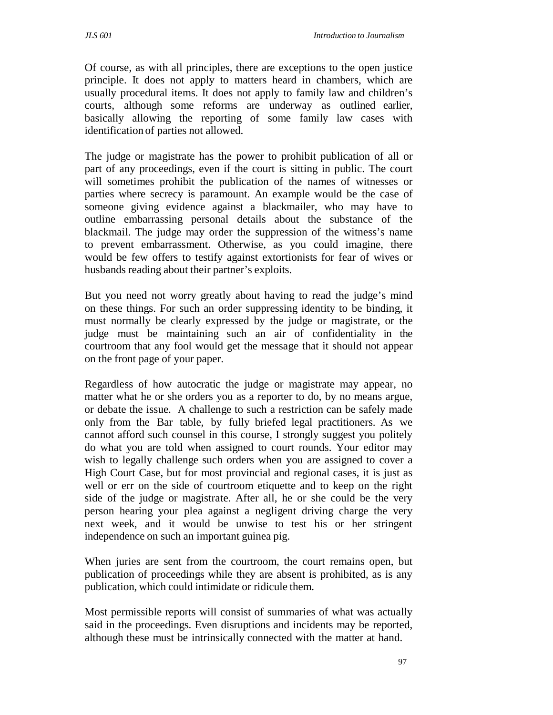Of course, as with all principles, there are exceptions to the open justice principle. It does not apply to matters heard in chambers, which are usually procedural items. It does not apply to family law and children's courts, although some reforms are underway as outlined earlier, basically allowing the reporting of some family law cases with identification of parties not allowed.

The judge or magistrate has the power to prohibit publication of all or part of any proceedings, even if the court is sitting in public. The court will sometimes prohibit the publication of the names of witnesses or parties where secrecy is paramount. An example would be the case of someone giving evidence against a blackmailer, who may have to outline embarrassing personal details about the substance of the blackmail. The judge may order the suppression of the witness's name to prevent embarrassment. Otherwise, as you could imagine, there would be few offers to testify against extortionists for fear of wives or husbands reading about their partner's exploits.

But you need not worry greatly about having to read the judge's mind on these things. For such an order suppressing identity to be binding, it must normally be clearly expressed by the judge or magistrate, or the judge must be maintaining such an air of confidentiality in the courtroom that any fool would get the message that it should not appear on the front page of your paper.

Regardless of how autocratic the judge or magistrate may appear, no matter what he or she orders you as a reporter to do, by no means argue, or debate the issue. A challenge to such a restriction can be safely made only from the Bar table, by fully briefed legal practitioners. As we cannot afford such counsel in this course, I strongly suggest you politely do what you are told when assigned to court rounds. Your editor may wish to legally challenge such orders when you are assigned to cover a High Court Case, but for most provincial and regional cases, it is just as well or err on the side of courtroom etiquette and to keep on the right side of the judge or magistrate. After all, he or she could be the very person hearing your plea against a negligent driving charge the very next week, and it would be unwise to test his or her stringent independence on such an important guinea pig.

When juries are sent from the courtroom, the court remains open, but publication of proceedings while they are absent is prohibited, as is any publication, which could intimidate or ridicule them.

Most permissible reports will consist of summaries of what was actually said in the proceedings. Even disruptions and incidents may be reported, although these must be intrinsically connected with the matter at hand.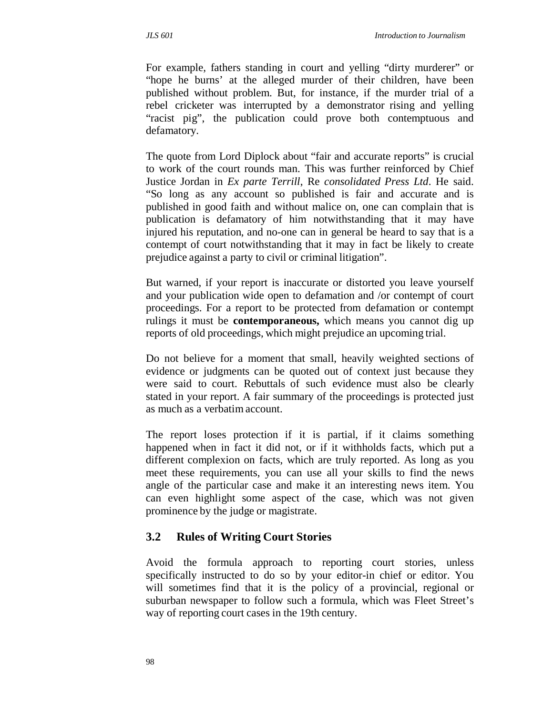For example, fathers standing in court and yelling "dirty murderer" or "hope he burns' at the alleged murder of their children, have been published without problem. But, for instance, if the murder trial of a rebel cricketer was interrupted by a demonstrator rising and yelling "racist pig", the publication could prove both contemptuous and defamatory.

The quote from Lord Diplock about "fair and accurate reports" is crucial to work of the court rounds man. This was further reinforced by Chief Justice Jordan in *Ex parte Terrill*, Re *consolidated Press Ltd*. He said. "So long as any account so published is fair and accurate and is published in good faith and without malice on, one can complain that is publication is defamatory of him notwithstanding that it may have injured his reputation, and no-one can in general be heard to say that is a contempt of court notwithstanding that it may in fact be likely to create prejudice against a party to civil or criminal litigation".

But warned, if your report is inaccurate or distorted you leave yourself and your publication wide open to defamation and /or contempt of court proceedings. For a report to be protected from defamation or contempt rulings it must be **contemporaneous,** which means you cannot dig up reports of old proceedings, which might prejudice an upcoming trial.

Do not believe for a moment that small, heavily weighted sections of evidence or judgments can be quoted out of context just because they were said to court. Rebuttals of such evidence must also be clearly stated in your report. A fair summary of the proceedings is protected just as much as a verbatim account.

The report loses protection if it is partial, if it claims something happened when in fact it did not, or if it withholds facts, which put a different complexion on facts, which are truly reported. As long as you meet these requirements, you can use all your skills to find the news angle of the particular case and make it an interesting news item. You can even highlight some aspect of the case, which was not given prominence by the judge or magistrate.

## **3.2 Rules of Writing Court Stories**

Avoid the formula approach to reporting court stories, unless specifically instructed to do so by your editor-in chief or editor. You will sometimes find that it is the policy of a provincial, regional or suburban newspaper to follow such a formula, which was Fleet Street's way of reporting court cases in the 19th century.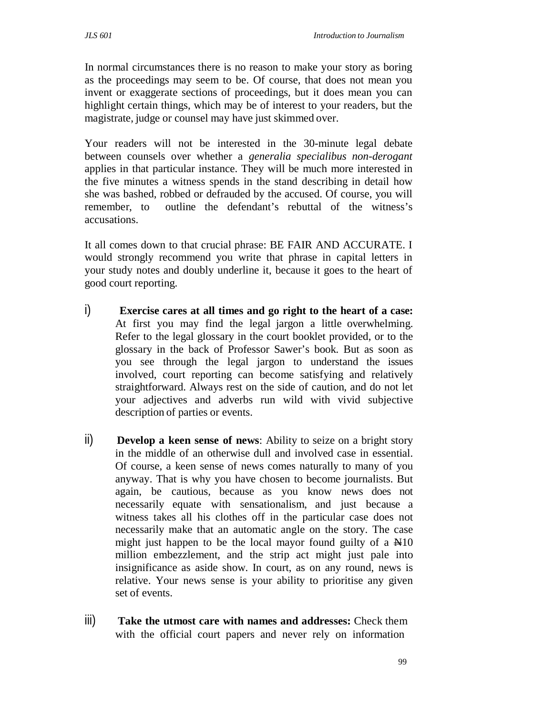In normal circumstances there is no reason to make your story as boring as the proceedings may seem to be. Of course, that does not mean you invent or exaggerate sections of proceedings, but it does mean you can highlight certain things, which may be of interest to your readers, but the magistrate, judge or counsel may have just skimmed over.

Your readers will not be interested in the 30-minute legal debate between counsels over whether a *generalia specialibus non-derogant*  applies in that particular instance. They will be much more interested in the five minutes a witness spends in the stand describing in detail how she was bashed, robbed or defrauded by the accused. Of course, you will remember, to outline the defendant's rebuttal of the witness's accusations.

It all comes down to that crucial phrase: BE FAIR AND ACCURATE. I would strongly recommend you write that phrase in capital letters in your study notes and doubly underline it, because it goes to the heart of good court reporting.

- i) **Exercise cares at all times and go right to the heart of a case:**  At first you may find the legal jargon a little overwhelming. Refer to the legal glossary in the court booklet provided, or to the glossary in the back of Professor Sawer's book. But as soon as you see through the legal jargon to understand the issues involved, court reporting can become satisfying and relatively straightforward. Always rest on the side of caution, and do not let your adjectives and adverbs run wild with vivid subjective description of parties or events.
- ii) **Develop a keen sense of news**: Ability to seize on a bright story in the middle of an otherwise dull and involved case in essential. Of course, a keen sense of news comes naturally to many of you anyway. That is why you have chosen to become journalists. But again, be cautious, because as you know news does not necessarily equate with sensationalism, and just because a witness takes all his clothes off in the particular case does not necessarily make that an automatic angle on the story. The case might just happen to be the local mayor found guilty of a  $\mathbb{H}10$ million embezzlement, and the strip act might just pale into insignificance as aside show. In court, as on any round, news is relative. Your news sense is your ability to prioritise any given set of events.
- iii) **Take the utmost care with names and addresses:** Check them with the official court papers and never rely on information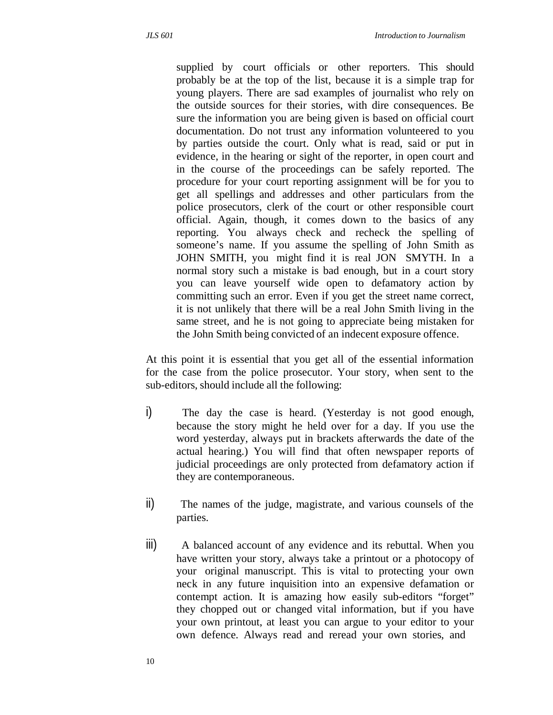supplied by court officials or other reporters. This should probably be at the top of the list, because it is a simple trap for young players. There are sad examples of journalist who rely on the outside sources for their stories, with dire consequences. Be sure the information you are being given is based on official court documentation. Do not trust any information volunteered to you by parties outside the court. Only what is read, said or put in evidence, in the hearing or sight of the reporter, in open court and

in the course of the proceedings can be safely reported. The procedure for your court reporting assignment will be for you to get all spellings and addresses and other particulars from the police prosecutors, clerk of the court or other responsible court official. Again, though, it comes down to the basics of any reporting. You always check and recheck the spelling of someone's name. If you assume the spelling of John Smith as JOHN SMITH, you might find it is real JON SMYTH. In a normal story such a mistake is bad enough, but in a court story you can leave yourself wide open to defamatory action by committing such an error. Even if you get the street name correct, it is not unlikely that there will be a real John Smith living in the same street, and he is not going to appreciate being mistaken for the John Smith being convicted of an indecent exposure offence.

At this point it is essential that you get all of the essential information for the case from the police prosecutor. Your story, when sent to the sub-editors, should include all the following:

- i) The day the case is heard. (Yesterday is not good enough, because the story might he held over for a day. If you use the word yesterday, always put in brackets afterwards the date of the actual hearing.) You will find that often newspaper reports of judicial proceedings are only protected from defamatory action if they are contemporaneous.
- ii) The names of the judge, magistrate, and various counsels of the parties.
- iii) A balanced account of any evidence and its rebuttal. When you have written your story, always take a printout or a photocopy of your original manuscript. This is vital to protecting your own neck in any future inquisition into an expensive defamation or contempt action. It is amazing how easily sub-editors "forget" they chopped out or changed vital information, but if you have your own printout, at least you can argue to your editor to your own defence. Always read and reread your own stories, and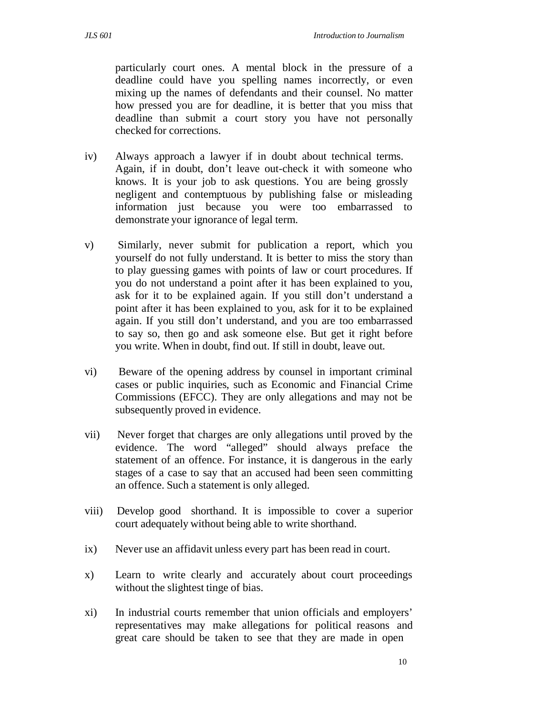particularly court ones. A mental block in the pressure of a deadline could have you spelling names incorrectly, or even mixing up the names of defendants and their counsel. No matter how pressed you are for deadline, it is better that you miss that deadline than submit a court story you have not personally checked for corrections.

- iv) Always approach a lawyer if in doubt about technical terms. Again, if in doubt, don't leave out-check it with someone who knows. It is your job to ask questions. You are being grossly negligent and contemptuous by publishing false or misleading information just because you were too embarrassed to demonstrate your ignorance of legal term.
- v) Similarly, never submit for publication a report, which you yourself do not fully understand. It is better to miss the story than to play guessing games with points of law or court procedures. If you do not understand a point after it has been explained to you, ask for it to be explained again. If you still don't understand a point after it has been explained to you, ask for it to be explained again. If you still don't understand, and you are too embarrassed to say so, then go and ask someone else. But get it right before you write. When in doubt, find out. If still in doubt, leave out.
- vi) Beware of the opening address by counsel in important criminal cases or public inquiries, such as Economic and Financial Crime Commissions (EFCC). They are only allegations and may not be subsequently proved in evidence.
- vii) Never forget that charges are only allegations until proved by the evidence. The word "alleged" should always preface the statement of an offence. For instance, it is dangerous in the early stages of a case to say that an accused had been seen committing an offence. Such a statement is only alleged.
- viii) Develop good shorthand. It is impossible to cover a superior court adequately without being able to write shorthand.
- ix) Never use an affidavit unless every part has been read in court.
- x) Learn to write clearly and accurately about court proceedings without the slightest tinge of bias.
- xi) In industrial courts remember that union officials and employers' representatives may make allegations for political reasons and great care should be taken to see that they are made in open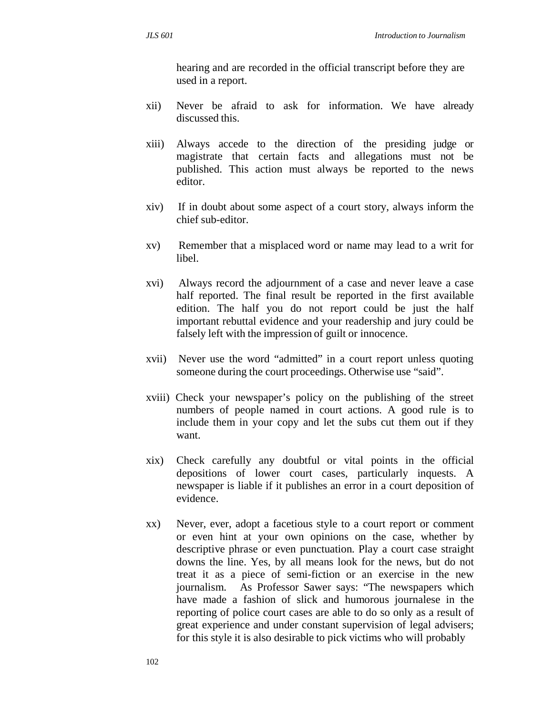hearing and are recorded in the official transcript before they are used in a report.

- xii) Never be afraid to ask for information. We have already discussed this.
- xiii) Always accede to the direction of the presiding judge or magistrate that certain facts and allegations must not be published. This action must always be reported to the news editor.
- xiv) If in doubt about some aspect of a court story, always inform the chief sub-editor.
- xv) Remember that a misplaced word or name may lead to a writ for libel.
- xvi) Always record the adjournment of a case and never leave a case half reported. The final result be reported in the first available edition. The half you do not report could be just the half important rebuttal evidence and your readership and jury could be falsely left with the impression of guilt or innocence.
- xvii) Never use the word "admitted" in a court report unless quoting someone during the court proceedings. Otherwise use "said".
- xviii) Check your newspaper's policy on the publishing of the street numbers of people named in court actions. A good rule is to include them in your copy and let the subs cut them out if they want.
- xix) Check carefully any doubtful or vital points in the official depositions of lower court cases, particularly inquests. A newspaper is liable if it publishes an error in a court deposition of evidence.
- xx) Never, ever, adopt a facetious style to a court report or comment or even hint at your own opinions on the case, whether by descriptive phrase or even punctuation. Play a court case straight downs the line. Yes, by all means look for the news, but do not treat it as a piece of semi-fiction or an exercise in the new journalism. As Professor Sawer says: "The newspapers which have made a fashion of slick and humorous journalese in the reporting of police court cases are able to do so only as a result of great experience and under constant supervision of legal advisers; for this style it is also desirable to pick victims who will probably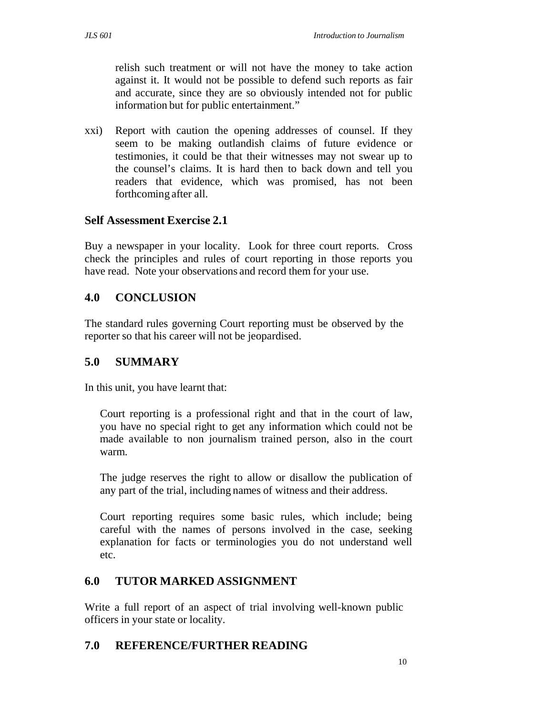relish such treatment or will not have the money to take action against it. It would not be possible to defend such reports as fair and accurate, since they are so obviously intended not for public information but for public entertainment."

xxi) Report with caution the opening addresses of counsel. If they seem to be making outlandish claims of future evidence or testimonies, it could be that their witnesses may not swear up to the counsel's claims. It is hard then to back down and tell you readers that evidence, which was promised, has not been forthcoming after all.

## **Self Assessment Exercise 2.1**

Buy a newspaper in your locality. Look for three court reports. Cross check the principles and rules of court reporting in those reports you have read. Note your observations and record them for your use.

## **4.0 CONCLUSION**

The standard rules governing Court reporting must be observed by the reporter so that his career will not be jeopardised.

## **5.0 SUMMARY**

In this unit, you have learnt that:

Court reporting is a professional right and that in the court of law, you have no special right to get any information which could not be made available to non journalism trained person, also in the court warm.

The judge reserves the right to allow or disallow the publication of any part of the trial, including names of witness and their address.

Court reporting requires some basic rules, which include; being careful with the names of persons involved in the case, seeking explanation for facts or terminologies you do not understand well etc.

## **6.0 TUTOR MARKED ASSIGNMENT**

Write a full report of an aspect of trial involving well-known public officers in your state or locality.

## **7.0 REFERENCE/FURTHER READING**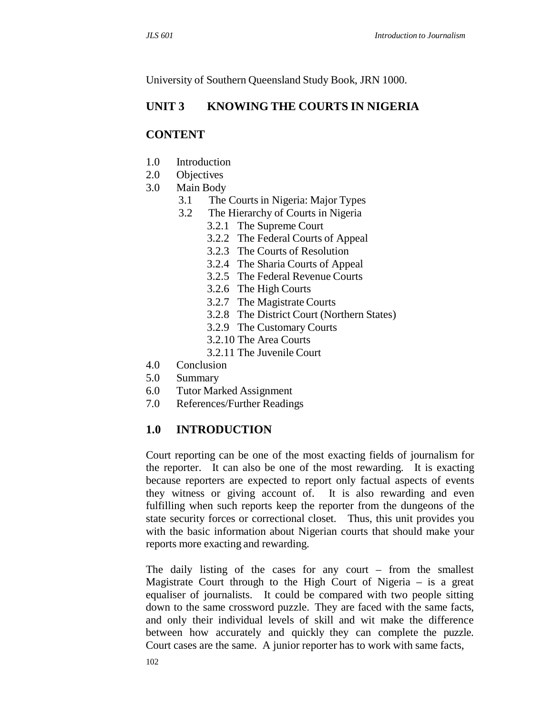University of Southern Queensland Study Book, JRN 1000.

# **UNIT 3 KNOWING THE COURTS IN NIGERIA**

## **CONTENT**

- 1.0 Introduction
- 2.0 Objectives
- 3.0 Main Body
	- 3.1 The Courts in Nigeria: Major Types
	- 3.2 The Hierarchy of Courts in Nigeria
		- 3.2.1 The Supreme Court
		- 3.2.2 The Federal Courts of Appeal
		- 3.2.3 The Courts of Resolution
		- 3.2.4 The Sharia Courts of Appeal
		- 3.2.5 The Federal Revenue Courts
		- 3.2.6 The High Courts
		- 3.2.7 The Magistrate Courts
		- 3.2.8 The District Court (Northern States)
		- 3.2.9 The Customary Courts
		- 3.2.10 The Area Courts
		- 3.2.11 The Juvenile Court
- 4.0 Conclusion
- 5.0 Summary
- 6.0 Tutor Marked Assignment
- 7.0 References/Further Readings

# **1.0 INTRODUCTION**

Court reporting can be one of the most exacting fields of journalism for the reporter. It can also be one of the most rewarding. It is exacting because reporters are expected to report only factual aspects of events they witness or giving account of. It is also rewarding and even fulfilling when such reports keep the reporter from the dungeons of the state security forces or correctional closet. Thus, this unit provides you with the basic information about Nigerian courts that should make your reports more exacting and rewarding.

The daily listing of the cases for any court – from the smallest Magistrate Court through to the High Court of Nigeria – is a great equaliser of journalists. It could be compared with two people sitting down to the same crossword puzzle. They are faced with the same facts, and only their individual levels of skill and wit make the difference between how accurately and quickly they can complete the puzzle. Court cases are the same. A junior reporter has to work with same facts,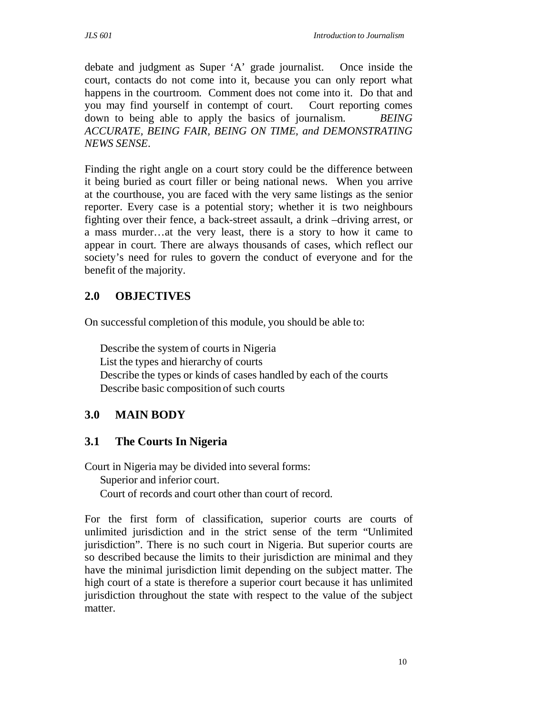debate and judgment as Super 'A' grade journalist. Once inside the court, contacts do not come into it, because you can only report what happens in the courtroom. Comment does not come into it. Do that and you may find yourself in contempt of court. Court reporting comes down to being able to apply the basics of journalism. *BEING ACCURATE, BEING FAIR, BEING ON TIME, and DEMONSTRATING NEWS SENSE*.

Finding the right angle on a court story could be the difference between it being buried as court filler or being national news. When you arrive at the courthouse, you are faced with the very same listings as the senior reporter. Every case is a potential story; whether it is two neighbours fighting over their fence, a back-street assault, a drink –driving arrest, or a mass murder…at the very least, there is a story to how it came to appear in court. There are always thousands of cases, which reflect our society's need for rules to govern the conduct of everyone and for the benefit of the majority.

# **2.0 OBJECTIVES**

On successful completion of this module, you should be able to:

Describe the system of courts in Nigeria List the types and hierarchy of courts Describe the types or kinds of cases handled by each of the courts Describe basic composition of such courts

# **3.0 MAIN BODY**

# **3.1 The Courts In Nigeria**

Court in Nigeria may be divided into several forms:

Superior and inferior court.

Court of records and court other than court of record.

For the first form of classification, superior courts are courts of unlimited jurisdiction and in the strict sense of the term "Unlimited jurisdiction". There is no such court in Nigeria. But superior courts are so described because the limits to their jurisdiction are minimal and they have the minimal jurisdiction limit depending on the subject matter. The high court of a state is therefore a superior court because it has unlimited jurisdiction throughout the state with respect to the value of the subject matter.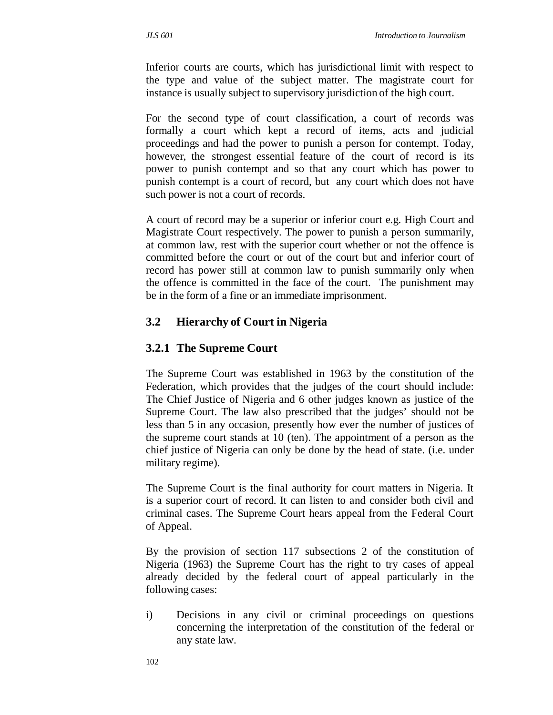Inferior courts are courts, which has jurisdictional limit with respect to the type and value of the subject matter. The magistrate court for instance is usually subject to supervisory jurisdiction of the high court.

For the second type of court classification, a court of records was formally a court which kept a record of items, acts and judicial proceedings and had the power to punish a person for contempt. Today, however, the strongest essential feature of the court of record is its power to punish contempt and so that any court which has power to punish contempt is a court of record, but any court which does not have such power is not a court of records.

A court of record may be a superior or inferior court e.g. High Court and Magistrate Court respectively. The power to punish a person summarily, at common law, rest with the superior court whether or not the offence is committed before the court or out of the court but and inferior court of record has power still at common law to punish summarily only when the offence is committed in the face of the court. The punishment may be in the form of a fine or an immediate imprisonment.

## **3.2 Hierarchy of Court in Nigeria**

## **3.2.1 The Supreme Court**

The Supreme Court was established in 1963 by the constitution of the Federation, which provides that the judges of the court should include: The Chief Justice of Nigeria and 6 other judges known as justice of the Supreme Court. The law also prescribed that the judges' should not be less than 5 in any occasion, presently how ever the number of justices of the supreme court stands at 10 (ten). The appointment of a person as the chief justice of Nigeria can only be done by the head of state. (i.e. under military regime).

The Supreme Court is the final authority for court matters in Nigeria. It is a superior court of record. It can listen to and consider both civil and criminal cases. The Supreme Court hears appeal from the Federal Court of Appeal.

By the provision of section 117 subsections 2 of the constitution of Nigeria (1963) the Supreme Court has the right to try cases of appeal already decided by the federal court of appeal particularly in the following cases:

i) Decisions in any civil or criminal proceedings on questions concerning the interpretation of the constitution of the federal or any state law.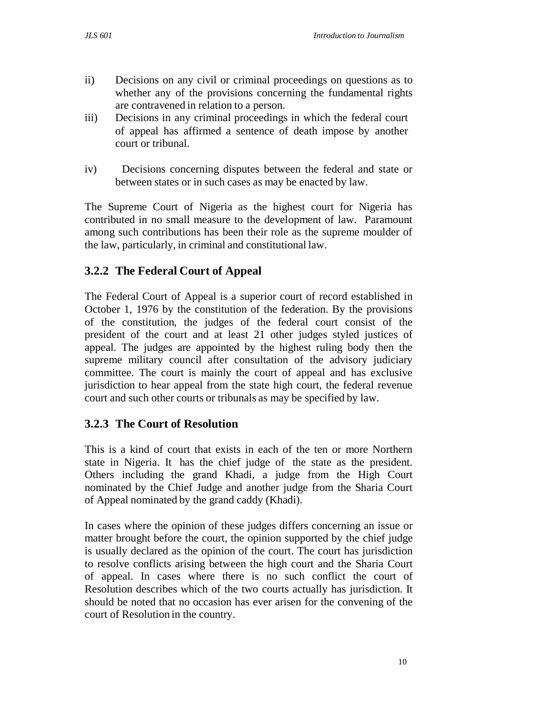- ii) Decisions on any civil or criminal proceedings on questions as to whether any of the provisions concerning the fundamental rights are contravened in relation to a person.
- iii) Decisions in any criminal proceedings in which the federal court of appeal has affirmed a sentence of death impose by another court or tribunal.
- iv) Decisions concerning disputes between the federal and state or between states or in such cases as may be enacted by law.

The Supreme Court of Nigeria as the highest court for Nigeria has contributed in no small measure to the development of law. Paramount among such contributions has been their role as the supreme moulder of the law, particularly, in criminal and constitutional law.

## **3.2.2 The Federal Court of Appeal**

The Federal Court of Appeal is a superior court of record established in October 1, 1976 by the constitution of the federation. By the provisions of the constitution, the judges of the federal court consist of the president of the court and at least 21 other judges styled justices of appeal. The judges are appointed by the highest ruling body then the supreme military council after consultation of the advisory judiciary committee. The court is mainly the court of appeal and has exclusive jurisdiction to hear appeal from the state high court, the federal revenue court and such other courts or tribunals as may be specified by law.

## **3.2.3 The Court of Resolution**

This is a kind of court that exists in each of the ten or more Northern state in Nigeria. It has the chief judge of the state as the president. Others including the grand Khadi, a judge from the High Court nominated by the Chief Judge and another judge from the Sharia Court of Appeal nominated by the grand caddy (Khadi).

In cases where the opinion of these judges differs concerning an issue or matter brought before the court, the opinion supported by the chief judge is usually declared as the opinion of the court. The court has jurisdiction to resolve conflicts arising between the high court and the Sharia Court of appeal. In cases where there is no such conflict the court of Resolution describes which of the two courts actually has jurisdiction. It should be noted that no occasion has ever arisen for the convening of the court of Resolution in the country.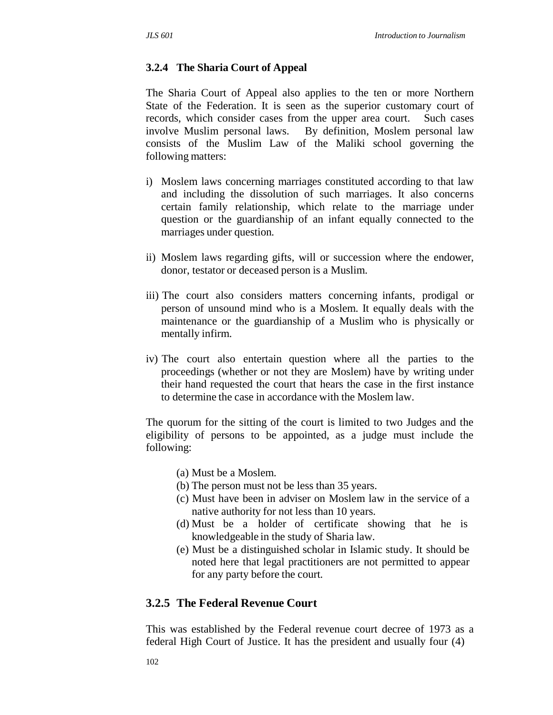#### **3.2.4 The Sharia Court of Appeal**

The Sharia Court of Appeal also applies to the ten or more Northern State of the Federation. It is seen as the superior customary court of records, which consider cases from the upper area court. Such cases involve Muslim personal laws. By definition, Moslem personal law consists of the Muslim Law of the Maliki school governing the following matters:

- i) Moslem laws concerning marriages constituted according to that law and including the dissolution of such marriages. It also concerns certain family relationship, which relate to the marriage under question or the guardianship of an infant equally connected to the marriages under question.
- ii) Moslem laws regarding gifts, will or succession where the endower, donor, testator or deceased person is a Muslim.
- iii) The court also considers matters concerning infants, prodigal or person of unsound mind who is a Moslem. It equally deals with the maintenance or the guardianship of a Muslim who is physically or mentally infirm.
- iv) The court also entertain question where all the parties to the proceedings (whether or not they are Moslem) have by writing under their hand requested the court that hears the case in the first instance to determine the case in accordance with the Moslem law.

The quorum for the sitting of the court is limited to two Judges and the eligibility of persons to be appointed, as a judge must include the following:

- (a) Must be a Moslem.
- (b) The person must not be less than 35 years.
- (c) Must have been in adviser on Moslem law in the service of a native authority for not less than 10 years.
- (d) Must be a holder of certificate showing that he is knowledgeable in the study of Sharia law.
- (e) Must be a distinguished scholar in Islamic study. It should be noted here that legal practitioners are not permitted to appear for any party before the court.

#### **3.2.5 The Federal Revenue Court**

This was established by the Federal revenue court decree of 1973 as a federal High Court of Justice. It has the president and usually four (4)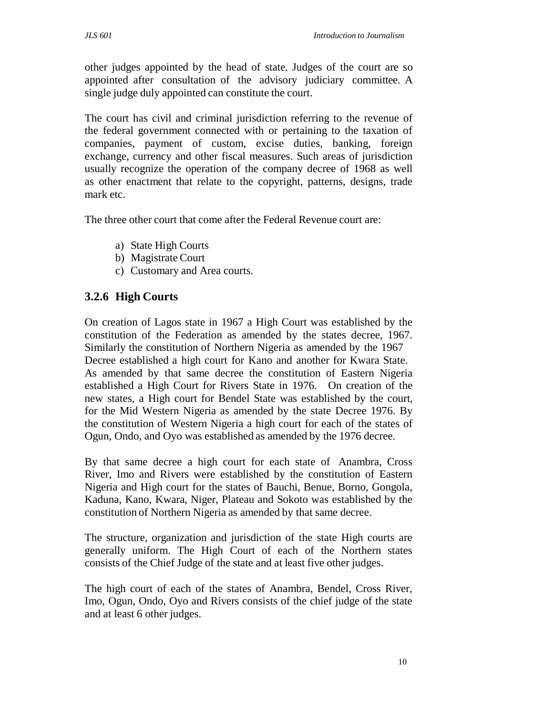other judges appointed by the head of state. Judges of the court are so appointed after consultation of the advisory judiciary committee. A single judge duly appointed can constitute the court.

The court has civil and criminal jurisdiction referring to the revenue of the federal government connected with or pertaining to the taxation of companies, payment of custom, excise duties, banking, foreign exchange, currency and other fiscal measures. Such areas of jurisdiction usually recognize the operation of the company decree of 1968 as well as other enactment that relate to the copyright, patterns, designs, trade mark etc.

The three other court that come after the Federal Revenue court are:

- a) State High Courts
- b) Magistrate Court
- c) Customary and Area courts.

## **3.2.6 High Courts**

On creation of Lagos state in 1967 a High Court was established by the constitution of the Federation as amended by the states decree, 1967. Similarly the constitution of Northern Nigeria as amended by the 1967 Decree established a high court for Kano and another for Kwara State. As amended by that same decree the constitution of Eastern Nigeria established a High Court for Rivers State in 1976. On creation of the new states, a High court for Bendel State was established by the court, for the Mid Western Nigeria as amended by the state Decree 1976. By the constitution of Western Nigeria a high court for each of the states of Ogun, Ondo, and Oyo was established as amended by the 1976 decree.

By that same decree a high court for each state of Anambra, Cross River, Imo and Rivers were established by the constitution of Eastern Nigeria and High court for the states of Bauchi, Benue, Borno, Gongola, Kaduna, Kano, Kwara, Niger, Plateau and Sokoto was established by the constitution of Northern Nigeria as amended by that same decree.

The structure, organization and jurisdiction of the state High courts are generally uniform. The High Court of each of the Northern states consists of the Chief Judge of the state and at least five other judges.

The high court of each of the states of Anambra, Bendel, Cross River, Imo, Ogun, Ondo, Oyo and Rivers consists of the chief judge of the state and at least 6 other judges.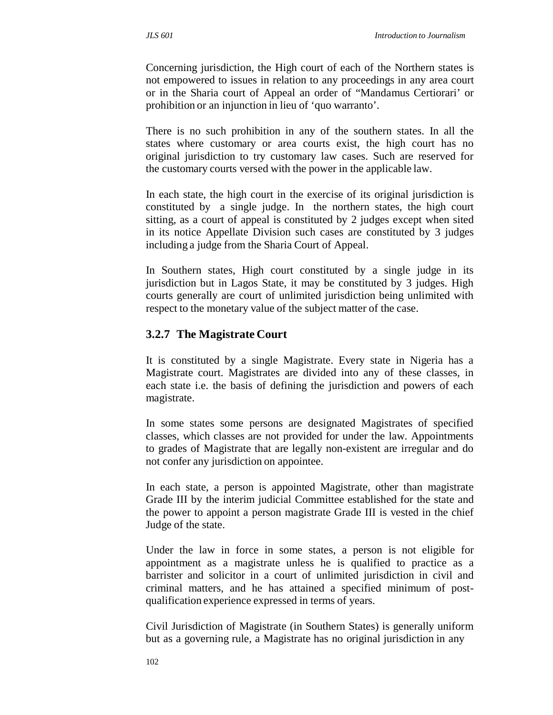Concerning jurisdiction, the High court of each of the Northern states is not empowered to issues in relation to any proceedings in any area court or in the Sharia court of Appeal an order of "Mandamus Certiorari' or prohibition or an injunction in lieu of 'quo warranto'.

There is no such prohibition in any of the southern states. In all the states where customary or area courts exist, the high court has no original jurisdiction to try customary law cases. Such are reserved for the customary courts versed with the power in the applicable law.

In each state, the high court in the exercise of its original jurisdiction is constituted by a single judge. In the northern states, the high court sitting, as a court of appeal is constituted by 2 judges except when sited in its notice Appellate Division such cases are constituted by 3 judges including a judge from the Sharia Court of Appeal.

In Southern states, High court constituted by a single judge in its jurisdiction but in Lagos State, it may be constituted by 3 judges. High courts generally are court of unlimited jurisdiction being unlimited with respect to the monetary value of the subject matter of the case.

## **3.2.7 The Magistrate Court**

It is constituted by a single Magistrate. Every state in Nigeria has a Magistrate court. Magistrates are divided into any of these classes, in each state i.e. the basis of defining the jurisdiction and powers of each magistrate.

In some states some persons are designated Magistrates of specified classes, which classes are not provided for under the law. Appointments to grades of Magistrate that are legally non-existent are irregular and do not confer any jurisdiction on appointee.

In each state, a person is appointed Magistrate, other than magistrate Grade III by the interim judicial Committee established for the state and the power to appoint a person magistrate Grade III is vested in the chief Judge of the state.

Under the law in force in some states, a person is not eligible for appointment as a magistrate unless he is qualified to practice as a barrister and solicitor in a court of unlimited jurisdiction in civil and criminal matters, and he has attained a specified minimum of postqualification experience expressed in terms of years.

Civil Jurisdiction of Magistrate (in Southern States) is generally uniform but as a governing rule, a Magistrate has no original jurisdiction in any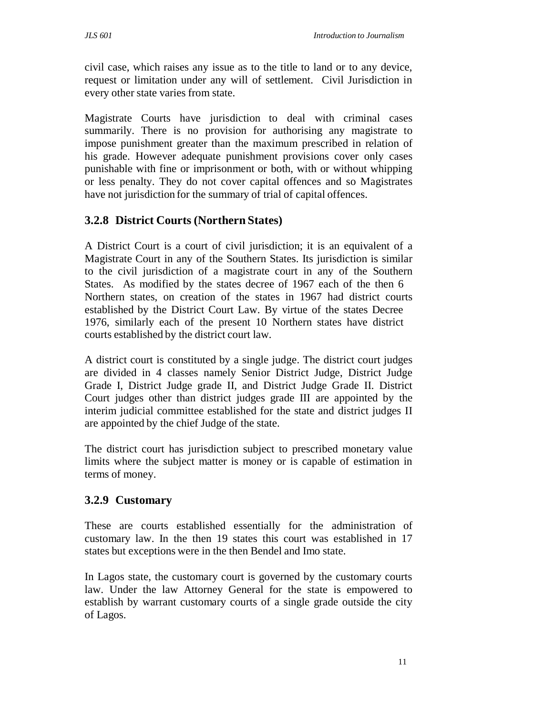civil case, which raises any issue as to the title to land or to any device, request or limitation under any will of settlement. Civil Jurisdiction in every other state varies from state.

Magistrate Courts have jurisdiction to deal with criminal cases summarily. There is no provision for authorising any magistrate to impose punishment greater than the maximum prescribed in relation of his grade. However adequate punishment provisions cover only cases punishable with fine or imprisonment or both, with or without whipping or less penalty. They do not cover capital offences and so Magistrates have not jurisdiction for the summary of trial of capital offences.

# **3.2.8 District Courts (Northern States)**

A District Court is a court of civil jurisdiction; it is an equivalent of a Magistrate Court in any of the Southern States. Its jurisdiction is similar to the civil jurisdiction of a magistrate court in any of the Southern States. As modified by the states decree of 1967 each of the then 6 Northern states, on creation of the states in 1967 had district courts established by the District Court Law. By virtue of the states Decree 1976, similarly each of the present 10 Northern states have district courts established by the district court law.

A district court is constituted by a single judge. The district court judges are divided in 4 classes namely Senior District Judge, District Judge Grade I, District Judge grade II, and District Judge Grade II. District Court judges other than district judges grade III are appointed by the interim judicial committee established for the state and district judges II are appointed by the chief Judge of the state.

The district court has jurisdiction subject to prescribed monetary value limits where the subject matter is money or is capable of estimation in terms of money.

# **3.2.9 Customary**

These are courts established essentially for the administration of customary law. In the then 19 states this court was established in 17 states but exceptions were in the then Bendel and Imo state.

In Lagos state, the customary court is governed by the customary courts law. Under the law Attorney General for the state is empowered to establish by warrant customary courts of a single grade outside the city of Lagos.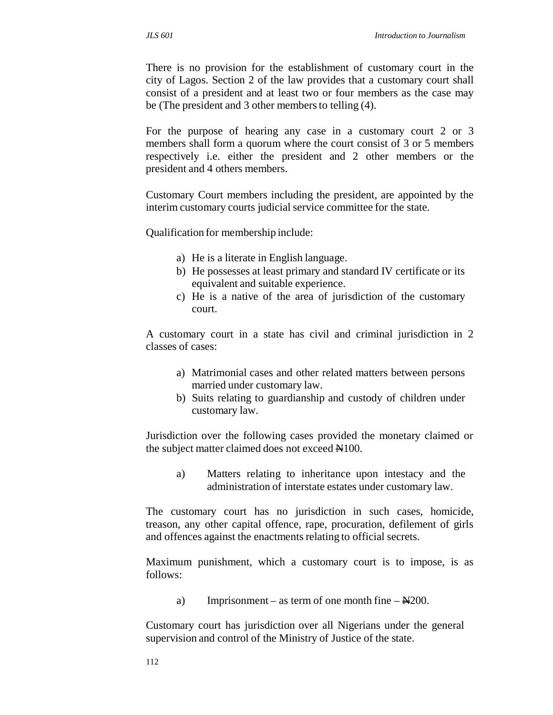There is no provision for the establishment of customary court in the city of Lagos. Section 2 of the law provides that a customary court shall consist of a president and at least two or four members as the case may be (The president and 3 other members to telling (4).

For the purpose of hearing any case in a customary court 2 or 3 members shall form a quorum where the court consist of 3 or 5 members respectively i.e. either the president and 2 other members or the president and 4 others members.

Customary Court members including the president, are appointed by the interim customary courts judicial service committee for the state.

Qualification for membership include:

- a) He is a literate in English language.
- b) He possesses at least primary and standard IV certificate or its equivalent and suitable experience.
- c) He is a native of the area of jurisdiction of the customary court.

A customary court in a state has civil and criminal jurisdiction in 2 classes of cases:

- a) Matrimonial cases and other related matters between persons married under customary law.
- b) Suits relating to guardianship and custody of children under customary law.

Jurisdiction over the following cases provided the monetary claimed or the subject matter claimed does not exceed  $\cancel{\text{N}}100$ .

a) Matters relating to inheritance upon intestacy and the administration of interstate estates under customary law.

The customary court has no jurisdiction in such cases, homicide, treason, any other capital offence, rape, procuration, defilement of girls and offences against the enactments relating to official secrets.

Maximum punishment, which a customary court is to impose, is as follows:

a) Imprisonment – as term of one month fine –  $\text{N200}$ .

Customary court has jurisdiction over all Nigerians under the general supervision and control of the Ministry of Justice of the state.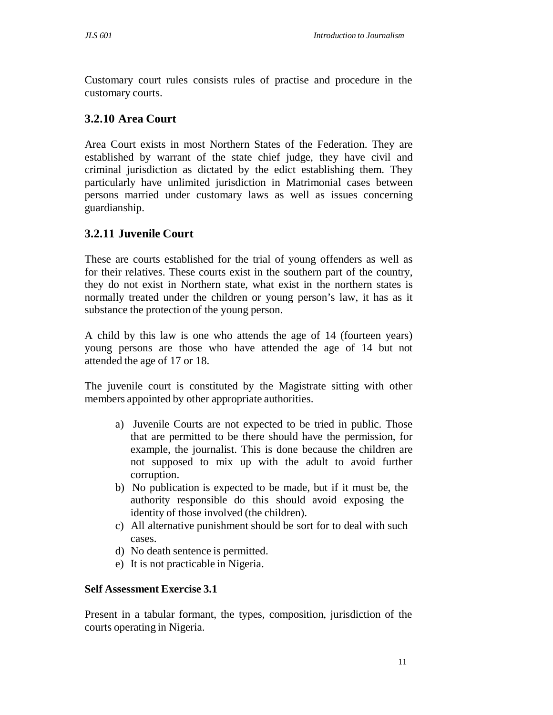Customary court rules consists rules of practise and procedure in the customary courts.

# **3.2.10 Area Court**

Area Court exists in most Northern States of the Federation. They are established by warrant of the state chief judge, they have civil and criminal jurisdiction as dictated by the edict establishing them. They particularly have unlimited jurisdiction in Matrimonial cases between persons married under customary laws as well as issues concerning guardianship.

# **3.2.11 Juvenile Court**

These are courts established for the trial of young offenders as well as for their relatives. These courts exist in the southern part of the country, they do not exist in Northern state, what exist in the northern states is normally treated under the children or young person's law, it has as it substance the protection of the young person.

A child by this law is one who attends the age of 14 (fourteen years) young persons are those who have attended the age of 14 but not attended the age of 17 or 18.

The juvenile court is constituted by the Magistrate sitting with other members appointed by other appropriate authorities.

- a) Juvenile Courts are not expected to be tried in public. Those that are permitted to be there should have the permission, for example, the journalist. This is done because the children are not supposed to mix up with the adult to avoid further corruption.
- b) No publication is expected to be made, but if it must be, the authority responsible do this should avoid exposing the identity of those involved (the children).
- c) All alternative punishment should be sort for to deal with such cases.
- d) No death sentence is permitted.
- e) It is not practicable in Nigeria.

## **Self Assessment Exercise 3.1**

Present in a tabular formant, the types, composition, jurisdiction of the courts operating in Nigeria.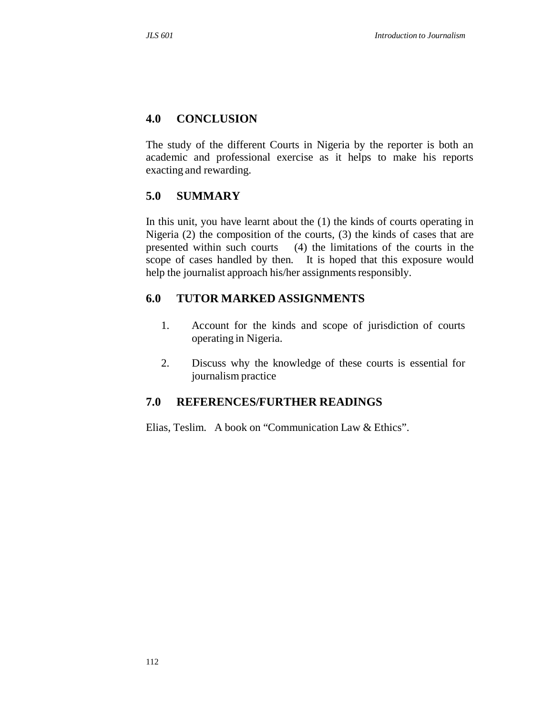## **4.0 CONCLUSION**

The study of the different Courts in Nigeria by the reporter is both an academic and professional exercise as it helps to make his reports exacting and rewarding.

## **5.0 SUMMARY**

In this unit, you have learnt about the (1) the kinds of courts operating in Nigeria (2) the composition of the courts, (3) the kinds of cases that are presented within such courts (4) the limitations of the courts in the scope of cases handled by then. It is hoped that this exposure would help the journalist approach his/her assignments responsibly.

## **6.0 TUTOR MARKED ASSIGNMENTS**

- 1. Account for the kinds and scope of jurisdiction of courts operating in Nigeria.
- 2. Discuss why the knowledge of these courts is essential for journalism practice

### **7.0 REFERENCES/FURTHER READINGS**

Elias, Teslim. A book on "Communication Law & Ethics".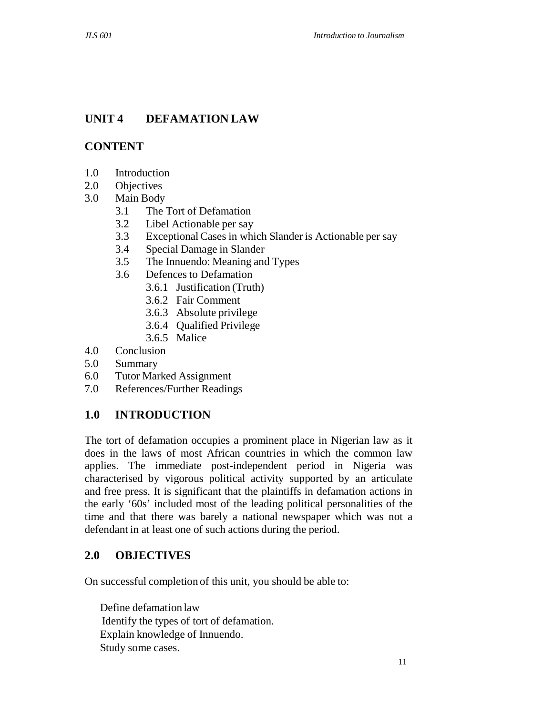# **UNIT 4 DEFAMATION LAW**

## **CONTENT**

- 1.0 Introduction
- 2.0 Objectives
- 3.0 Main Body
	- 3.1 The Tort of Defamation
	- 3.2 Libel Actionable per say
	- 3.3 Exceptional Cases in which Slander is Actionable per say
	- 3.4 Special Damage in Slander
	- 3.5 The Innuendo: Meaning and Types
	- 3.6 Defences to Defamation
		- 3.6.1 Justification (Truth)
		- 3.6.2 Fair Comment
		- 3.6.3 Absolute privilege
		- 3.6.4 Qualified Privilege
		- 3.6.5 Malice
- 4.0 Conclusion
- 5.0 Summary
- 6.0 Tutor Marked Assignment
- 7.0 References/Further Readings

## **1.0 INTRODUCTION**

The tort of defamation occupies a prominent place in Nigerian law as it does in the laws of most African countries in which the common law applies. The immediate post-independent period in Nigeria was characterised by vigorous political activity supported by an articulate and free press. It is significant that the plaintiffs in defamation actions in the early '60s' included most of the leading political personalities of the time and that there was barely a national newspaper which was not a defendant in at least one of such actions during the period.

# **2.0 OBJECTIVES**

On successful completion of this unit, you should be able to:

Define defamation law Identify the types of tort of defamation. Explain knowledge of Innuendo. Study some cases.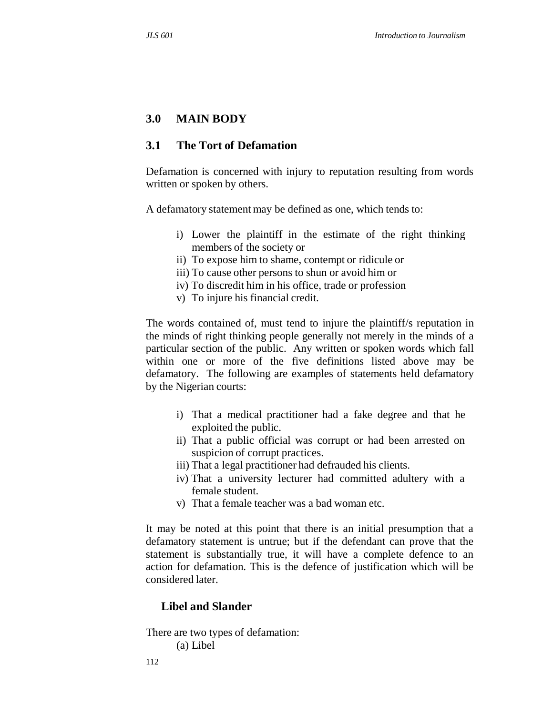## **3.0 MAIN BODY**

### **3.1 The Tort of Defamation**

Defamation is concerned with injury to reputation resulting from words written or spoken by others.

A defamatory statement may be defined as one, which tends to:

- i) Lower the plaintiff in the estimate of the right thinking members of the society or
- ii) To expose him to shame, contempt or ridicule or
- iii) To cause other persons to shun or avoid him or
- iv) To discredit him in his office, trade or profession
- v) To injure his financial credit.

The words contained of, must tend to injure the plaintiff/s reputation in the minds of right thinking people generally not merely in the minds of a particular section of the public. Any written or spoken words which fall within one or more of the five definitions listed above may be defamatory. The following are examples of statements held defamatory by the Nigerian courts:

- i) That a medical practitioner had a fake degree and that he exploited the public.
- ii) That a public official was corrupt or had been arrested on suspicion of corrupt practices.
- iii) That a legal practitioner had defrauded his clients.
- iv) That a university lecturer had committed adultery with a female student.
- v) That a female teacher was a bad woman etc.

It may be noted at this point that there is an initial presumption that a defamatory statement is untrue; but if the defendant can prove that the statement is substantially true, it will have a complete defence to an action for defamation. This is the defence of justification which will be considered later.

### **Libel and Slander**

There are two types of defamation: (a) Libel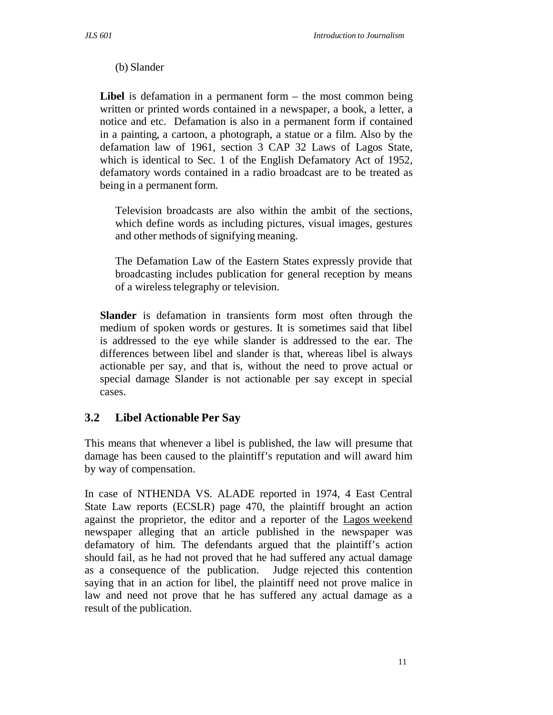### (b) Slander

Libel is defamation in a permanent form – the most common being written or printed words contained in a newspaper, a book, a letter, a notice and etc. Defamation is also in a permanent form if contained in a painting, a cartoon, a photograph, a statue or a film. Also by the defamation law of 1961, section 3 CAP 32 Laws of Lagos State, which is identical to Sec. 1 of the English Defamatory Act of 1952, defamatory words contained in a radio broadcast are to be treated as being in a permanent form.

Television broadcasts are also within the ambit of the sections, which define words as including pictures, visual images, gestures and other methods of signifying meaning.

The Defamation Law of the Eastern States expressly provide that broadcasting includes publication for general reception by means of a wireless telegraphy or television.

**Slander** is defamation in transients form most often through the medium of spoken words or gestures. It is sometimes said that libel is addressed to the eye while slander is addressed to the ear. The differences between libel and slander is that, whereas libel is always actionable per say, and that is, without the need to prove actual or special damage Slander is not actionable per say except in special cases.

## **3.2 Libel Actionable Per Say**

This means that whenever a libel is published, the law will presume that damage has been caused to the plaintiff's reputation and will award him by way of compensation.

In case of NTHENDA VS. ALADE reported in 1974, 4 East Central State Law reports (ECSLR) page 470, the plaintiff brought an action against the proprietor, the editor and a reporter of the Lagos weekend newspaper alleging that an article published in the newspaper was defamatory of him. The defendants argued that the plaintiff's action should fail, as he had not proved that he had suffered any actual damage as a consequence of the publication. Judge rejected this contention saying that in an action for libel, the plaintiff need not prove malice in law and need not prove that he has suffered any actual damage as a result of the publication.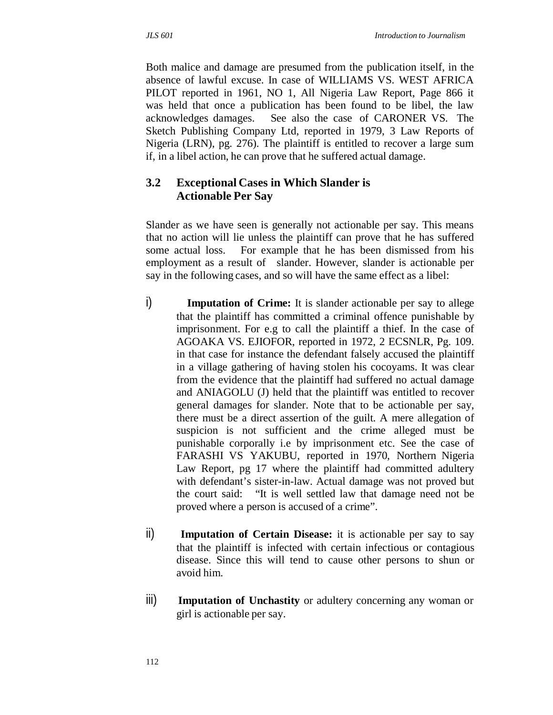Both malice and damage are presumed from the publication itself, in the absence of lawful excuse. In case of WILLIAMS VS. WEST AFRICA PILOT reported in 1961, NO 1, All Nigeria Law Report, Page 866 it was held that once a publication has been found to be libel, the law acknowledges damages. See also the case of CARONER VS. The Sketch Publishing Company Ltd, reported in 1979, 3 Law Reports of Nigeria (LRN), pg. 276). The plaintiff is entitled to recover a large sum if, in a libel action, he can prove that he suffered actual damage.

# **3.2 Exceptional Cases in Which Slander is Actionable Per Say**

Slander as we have seen is generally not actionable per say. This means that no action will lie unless the plaintiff can prove that he has suffered some actual loss. For example that he has been dismissed from his employment as a result of slander. However, slander is actionable per say in the following cases, and so will have the same effect as a libel:

- i) **Imputation of Crime:** It is slander actionable per say to allege that the plaintiff has committed a criminal offence punishable by imprisonment. For e.g to call the plaintiff a thief. In the case of AGOAKA VS. EJIOFOR, reported in 1972, 2 ECSNLR, Pg. 109. in that case for instance the defendant falsely accused the plaintiff in a village gathering of having stolen his cocoyams. It was clear from the evidence that the plaintiff had suffered no actual damage and ANIAGOLU (J) held that the plaintiff was entitled to recover general damages for slander. Note that to be actionable per say, there must be a direct assertion of the guilt. A mere allegation of suspicion is not sufficient and the crime alleged must be punishable corporally i.e by imprisonment etc. See the case of FARASHI VS YAKUBU, reported in 1970, Northern Nigeria Law Report, pg 17 where the plaintiff had committed adultery with defendant's sister-in-law. Actual damage was not proved but the court said: "It is well settled law that damage need not be proved where a person is accused of a crime".
- ii) **Imputation of Certain Disease:** it is actionable per say to say that the plaintiff is infected with certain infectious or contagious disease. Since this will tend to cause other persons to shun or avoid him.
- iii) **Imputation of Unchastity** or adultery concerning any woman or girl is actionable per say.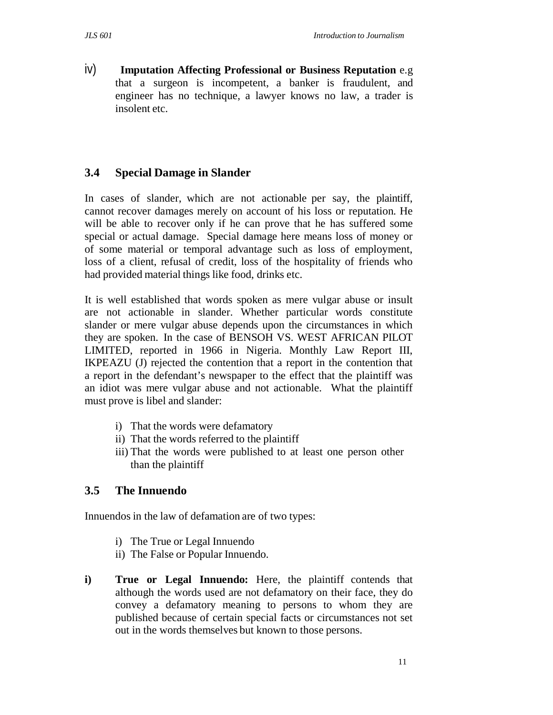iv) **Imputation Affecting Professional or Business Reputation** e.g that a surgeon is incompetent, a banker is fraudulent, and engineer has no technique, a lawyer knows no law, a trader is insolent etc.

## **3.4 Special Damage in Slander**

In cases of slander, which are not actionable per say, the plaintiff, cannot recover damages merely on account of his loss or reputation. He will be able to recover only if he can prove that he has suffered some special or actual damage. Special damage here means loss of money or of some material or temporal advantage such as loss of employment, loss of a client, refusal of credit, loss of the hospitality of friends who had provided material things like food, drinks etc.

It is well established that words spoken as mere vulgar abuse or insult are not actionable in slander. Whether particular words constitute slander or mere vulgar abuse depends upon the circumstances in which they are spoken. In the case of BENSOH VS. WEST AFRICAN PILOT LIMITED, reported in 1966 in Nigeria. Monthly Law Report III, IKPEAZU (J) rejected the contention that a report in the contention that a report in the defendant's newspaper to the effect that the plaintiff was an idiot was mere vulgar abuse and not actionable. What the plaintiff must prove is libel and slander:

- i) That the words were defamatory
- ii) That the words referred to the plaintiff
- iii) That the words were published to at least one person other than the plaintiff

## **3.5 The Innuendo**

Innuendos in the law of defamation are of two types:

- i) The True or Legal Innuendo
- ii) The False or Popular Innuendo.
- **i) True or Legal Innuendo:** Here, the plaintiff contends that although the words used are not defamatory on their face, they do convey a defamatory meaning to persons to whom they are published because of certain special facts or circumstances not set out in the words themselves but known to those persons.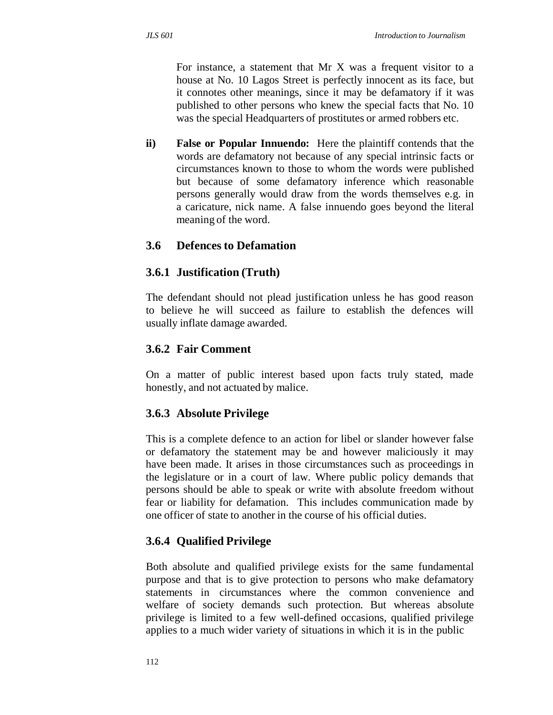For instance, a statement that Mr X was a frequent visitor to a house at No. 10 Lagos Street is perfectly innocent as its face, but it connotes other meanings, since it may be defamatory if it was published to other persons who knew the special facts that No. 10 was the special Headquarters of prostitutes or armed robbers etc.

**ii) False or Popular Innuendo:** Here the plaintiff contends that the words are defamatory not because of any special intrinsic facts or circumstances known to those to whom the words were published but because of some defamatory inference which reasonable persons generally would draw from the words themselves e.g. in a caricature, nick name. A false innuendo goes beyond the literal meaning of the word.

## **3.6 Defences to Defamation**

### **3.6.1 Justification (Truth)**

The defendant should not plead justification unless he has good reason to believe he will succeed as failure to establish the defences will usually inflate damage awarded.

### **3.6.2 Fair Comment**

On a matter of public interest based upon facts truly stated, made honestly, and not actuated by malice.

## **3.6.3 Absolute Privilege**

This is a complete defence to an action for libel or slander however false or defamatory the statement may be and however maliciously it may have been made. It arises in those circumstances such as proceedings in the legislature or in a court of law. Where public policy demands that persons should be able to speak or write with absolute freedom without fear or liability for defamation. This includes communication made by one officer of state to another in the course of his official duties.

## **3.6.4 Qualified Privilege**

Both absolute and qualified privilege exists for the same fundamental purpose and that is to give protection to persons who make defamatory statements in circumstances where the common convenience and welfare of society demands such protection. But whereas absolute privilege is limited to a few well-defined occasions, qualified privilege applies to a much wider variety of situations in which it is in the public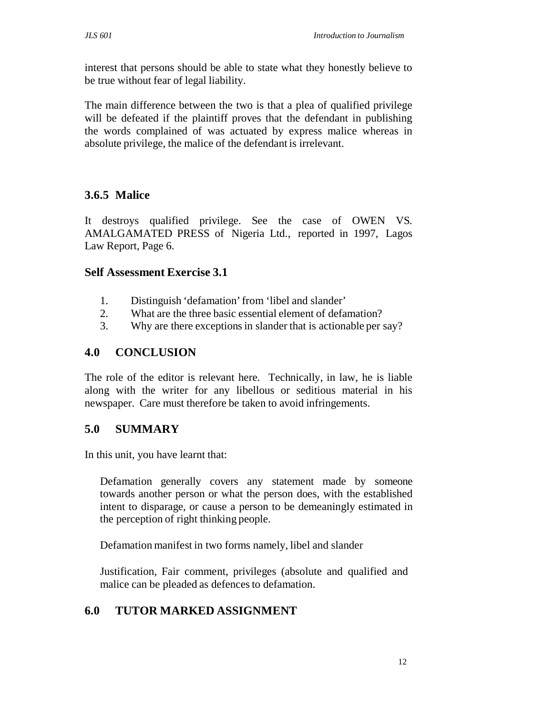interest that persons should be able to state what they honestly believe to be true without fear of legal liability.

The main difference between the two is that a plea of qualified privilege will be defeated if the plaintiff proves that the defendant in publishing the words complained of was actuated by express malice whereas in absolute privilege, the malice of the defendant is irrelevant.

# **3.6.5 Malice**

It destroys qualified privilege. See the case of OWEN VS. AMALGAMATED PRESS of Nigeria Ltd., reported in 1997, Lagos Law Report, Page 6.

## **Self Assessment Exercise 3.1**

- 1. Distinguish 'defamation' from 'libel and slander'
- 2. What are the three basic essential element of defamation?
- 3. Why are there exceptions in slander that is actionable per say?

# **4.0 CONCLUSION**

The role of the editor is relevant here. Technically, in law, he is liable along with the writer for any libellous or seditious material in his newspaper. Care must therefore be taken to avoid infringements.

# **5.0 SUMMARY**

In this unit, you have learnt that:

Defamation generally covers any statement made by someone towards another person or what the person does, with the established intent to disparage, or cause a person to be demeaningly estimated in the perception of right thinking people.

Defamation manifest in two forms namely, libel and slander

Justification, Fair comment, privileges (absolute and qualified and malice can be pleaded as defences to defamation.

# **6.0 TUTOR MARKED ASSIGNMENT**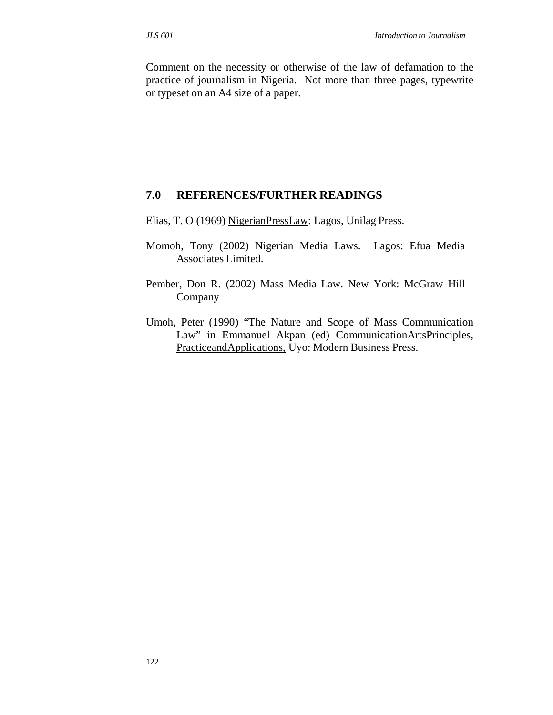Comment on the necessity or otherwise of the law of defamation to the practice of journalism in Nigeria. Not more than three pages, typewrite or typeset on an A4 size of a paper.

## **7.0 REFERENCES/FURTHER READINGS**

Elias, T. O (1969) NigerianPressLaw: Lagos, Unilag Press.

- Momoh, Tony (2002) Nigerian Media Laws. Lagos: Efua Media Associates Limited.
- Pember, Don R. (2002) Mass Media Law. New York: McGraw Hill Company
- Umoh, Peter (1990) "The Nature and Scope of Mass Communication Law" in Emmanuel Akpan (ed) CommunicationArtsPrinciples, PracticeandApplications, Uyo: Modern Business Press.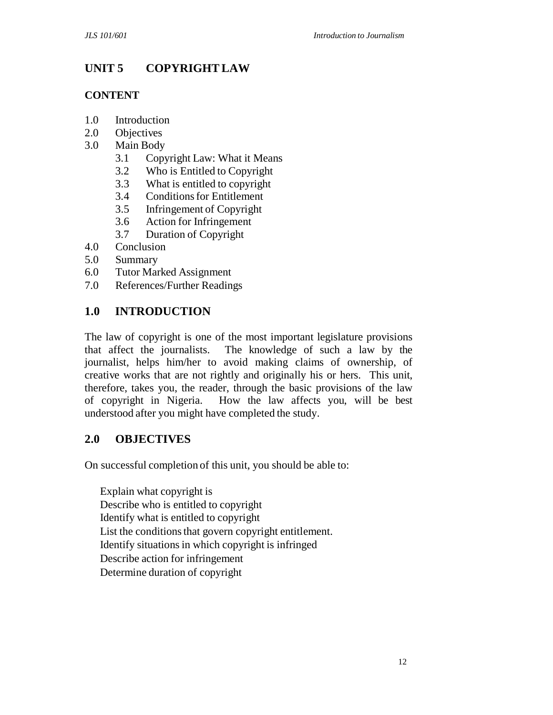# **UNIT 5 COPYRIGHT LAW**

### **CONTENT**

- 1.0 Introduction
- 2.0 Objectives
- 3.0 Main Body
	- 3.1 Copyright Law: What it Means
	- 3.2 Who is Entitled to Copyright
	- 3.3 What is entitled to copyright
	- 3.4 Conditions for Entitlement
	- 3.5 Infringement of Copyright
	- 3.6 Action for Infringement
	- 3.7 Duration of Copyright
- 4.0 Conclusion
- 5.0 Summary
- 6.0 Tutor Marked Assignment
- 7.0 References/Further Readings

## **1.0 INTRODUCTION**

The law of copyright is one of the most important legislature provisions that affect the journalists. The knowledge of such a law by the journalist, helps him/her to avoid making claims of ownership, of creative works that are not rightly and originally his or hers. This unit, therefore, takes you, the reader, through the basic provisions of the law of copyright in Nigeria. How the law affects you, will be best understood after you might have completed the study.

## **2.0 OBJECTIVES**

On successful completion of this unit, you should be able to:

Explain what copyright is Describe who is entitled to copyright Identify what is entitled to copyright List the conditions that govern copyright entitlement. Identify situations in which copyright is infringed Describe action for infringement Determine duration of copyright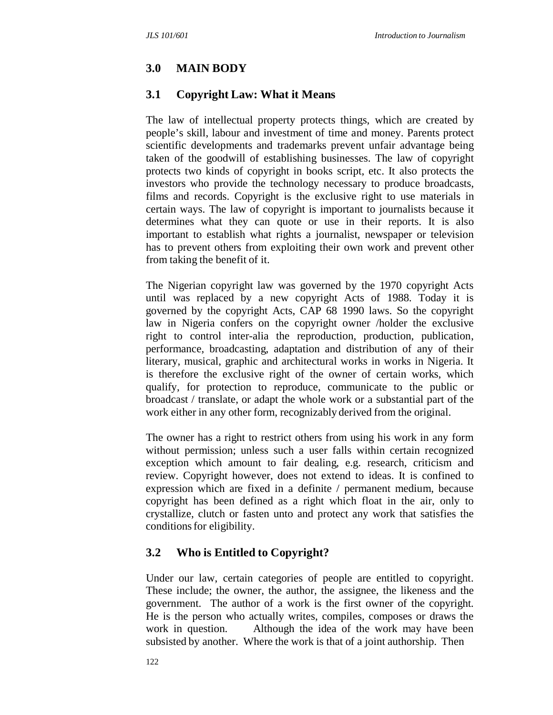## **3.0 MAIN BODY**

### **3.1 Copyright Law: What it Means**

The law of intellectual property protects things, which are created by people's skill, labour and investment of time and money. Parents protect scientific developments and trademarks prevent unfair advantage being taken of the goodwill of establishing businesses. The law of copyright protects two kinds of copyright in books script, etc. It also protects the investors who provide the technology necessary to produce broadcasts, films and records. Copyright is the exclusive right to use materials in certain ways. The law of copyright is important to journalists because it determines what they can quote or use in their reports. It is also important to establish what rights a journalist, newspaper or television has to prevent others from exploiting their own work and prevent other from taking the benefit of it.

The Nigerian copyright law was governed by the 1970 copyright Acts until was replaced by a new copyright Acts of 1988. Today it is governed by the copyright Acts, CAP 68 1990 laws. So the copyright law in Nigeria confers on the copyright owner /holder the exclusive right to control inter-alia the reproduction, production, publication, performance, broadcasting, adaptation and distribution of any of their literary, musical, graphic and architectural works in works in Nigeria. It is therefore the exclusive right of the owner of certain works, which qualify, for protection to reproduce, communicate to the public or broadcast / translate, or adapt the whole work or a substantial part of the work either in any other form, recognizably derived from the original.

The owner has a right to restrict others from using his work in any form without permission; unless such a user falls within certain recognized exception which amount to fair dealing, e.g. research, criticism and review. Copyright however, does not extend to ideas. It is confined to expression which are fixed in a definite / permanent medium, because copyright has been defined as a right which float in the air, only to crystallize, clutch or fasten unto and protect any work that satisfies the conditions for eligibility.

## **3.2 Who is Entitled to Copyright?**

Under our law, certain categories of people are entitled to copyright. These include; the owner, the author, the assignee, the likeness and the government. The author of a work is the first owner of the copyright. He is the person who actually writes, compiles, composes or draws the work in question. Although the idea of the work may have been subsisted by another. Where the work is that of a joint authorship. Then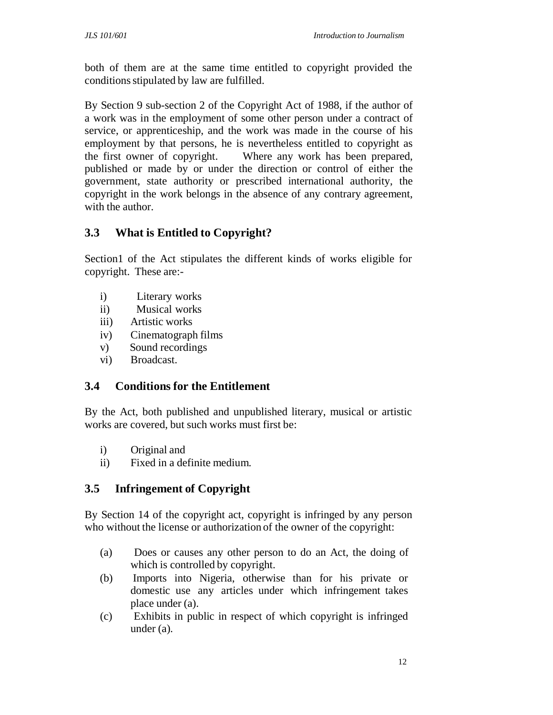both of them are at the same time entitled to copyright provided the conditions stipulated by law are fulfilled.

By Section 9 sub-section 2 of the Copyright Act of 1988, if the author of a work was in the employment of some other person under a contract of service, or apprenticeship, and the work was made in the course of his employment by that persons, he is nevertheless entitled to copyright as the first owner of copyright. Where any work has been prepared, published or made by or under the direction or control of either the government, state authority or prescribed international authority, the copyright in the work belongs in the absence of any contrary agreement, with the author.

# **3.3 What is Entitled to Copyright?**

Section1 of the Act stipulates the different kinds of works eligible for copyright. These are:-

- i) Literary works
- ii) Musical works
- iii) Artistic works
- iv) Cinematograph films
- v) Sound recordings
- vi) Broadcast.

# **3.4 Conditions for the Entitlement**

By the Act, both published and unpublished literary, musical or artistic works are covered, but such works must first be:

- i) Original and
- ii) Fixed in a definite medium.

# **3.5 Infringement of Copyright**

By Section 14 of the copyright act, copyright is infringed by any person who without the license or authorization of the owner of the copyright:

- (a) Does or causes any other person to do an Act, the doing of which is controlled by copyright.
- (b) Imports into Nigeria, otherwise than for his private or domestic use any articles under which infringement takes place under (a).
- (c) Exhibits in public in respect of which copyright is infringed under (a).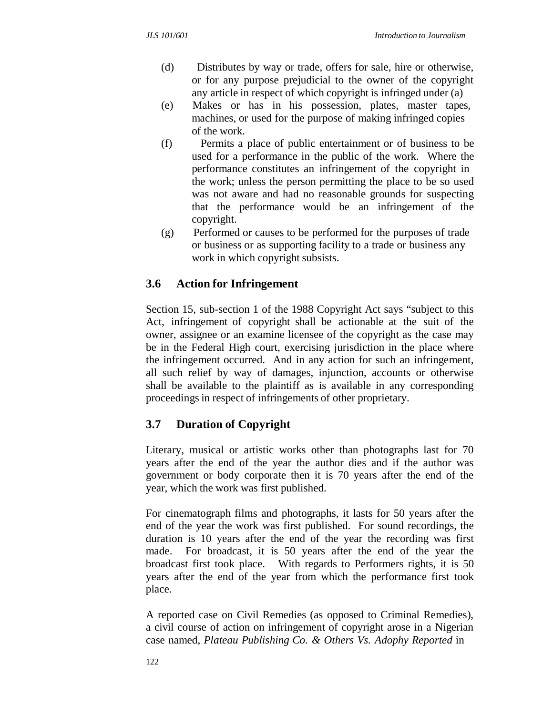- (d) Distributes by way or trade, offers for sale, hire or otherwise, or for any purpose prejudicial to the owner of the copyright any article in respect of which copyright is infringed under (a)
- (e) Makes or has in his possession, plates, master tapes, machines, or used for the purpose of making infringed copies of the work.
- (f) Permits a place of public entertainment or of business to be used for a performance in the public of the work. Where the performance constitutes an infringement of the copyright in the work; unless the person permitting the place to be so used was not aware and had no reasonable grounds for suspecting that the performance would be an infringement of the copyright.
- (g) Performed or causes to be performed for the purposes of trade or business or as supporting facility to a trade or business any work in which copyright subsists.

# **3.6 Action for Infringement**

Section 15, sub-section 1 of the 1988 Copyright Act says "subject to this Act, infringement of copyright shall be actionable at the suit of the owner, assignee or an examine licensee of the copyright as the case may be in the Federal High court, exercising jurisdiction in the place where the infringement occurred. And in any action for such an infringement, all such relief by way of damages, injunction, accounts or otherwise shall be available to the plaintiff as is available in any corresponding proceedings in respect of infringements of other proprietary.

# **3.7 Duration of Copyright**

Literary, musical or artistic works other than photographs last for 70 years after the end of the year the author dies and if the author was government or body corporate then it is 70 years after the end of the year, which the work was first published.

For cinematograph films and photographs, it lasts for 50 years after the end of the year the work was first published. For sound recordings, the duration is 10 years after the end of the year the recording was first made. For broadcast, it is 50 years after the end of the year the broadcast first took place. With regards to Performers rights, it is 50 years after the end of the year from which the performance first took place.

A reported case on Civil Remedies (as opposed to Criminal Remedies), a civil course of action on infringement of copyright arose in a Nigerian case named, *Plateau Publishing Co. & Others Vs. Adophy Reported* in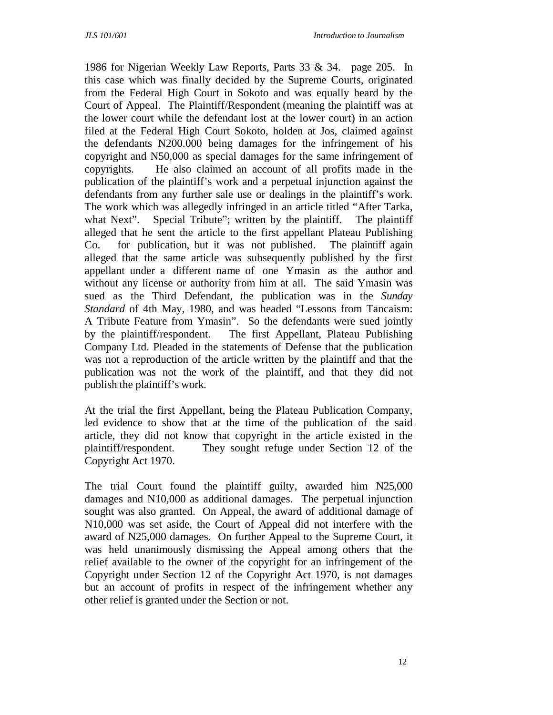1986 for Nigerian Weekly Law Reports, Parts 33 & 34. page 205. In this case which was finally decided by the Supreme Courts, originated from the Federal High Court in Sokoto and was equally heard by the Court of Appeal. The Plaintiff/Respondent (meaning the plaintiff was at the lower court while the defendant lost at the lower court) in an action filed at the Federal High Court Sokoto, holden at Jos, claimed against the defendants N200.000 being damages for the infringement of his copyright and N50,000 as special damages for the same infringement of copyrights. He also claimed an account of all profits made in the publication of the plaintiff's work and a perpetual injunction against the defendants from any further sale use or dealings in the plaintiff's work. The work which was allegedly infringed in an article titled "After Tarka, what Next". Special Tribute"; written by the plaintiff. The plaintiff alleged that he sent the article to the first appellant Plateau Publishing Co. for publication, but it was not published. The plaintiff again alleged that the same article was subsequently published by the first appellant under a different name of one Ymasin as the author and without any license or authority from him at all. The said Ymasin was sued as the Third Defendant, the publication was in the *Sunday Standard* of 4th May, 1980, and was headed "Lessons from Tancaism: A Tribute Feature from Ymasin". So the defendants were sued jointly by the plaintiff/respondent. The first Appellant, Plateau Publishing Company Ltd. Pleaded in the statements of Defense that the publication was not a reproduction of the article written by the plaintiff and that the publication was not the work of the plaintiff, and that they did not publish the plaintiff's work.

At the trial the first Appellant, being the Plateau Publication Company, led evidence to show that at the time of the publication of the said article, they did not know that copyright in the article existed in the plaintiff/respondent. They sought refuge under Section 12 of the Copyright Act 1970.

The trial Court found the plaintiff guilty, awarded him N25,000 damages and N10,000 as additional damages. The perpetual injunction sought was also granted. On Appeal, the award of additional damage of N10,000 was set aside, the Court of Appeal did not interfere with the award of N25,000 damages. On further Appeal to the Supreme Court, it was held unanimously dismissing the Appeal among others that the relief available to the owner of the copyright for an infringement of the Copyright under Section 12 of the Copyright Act 1970, is not damages but an account of profits in respect of the infringement whether any other relief is granted under the Section or not.